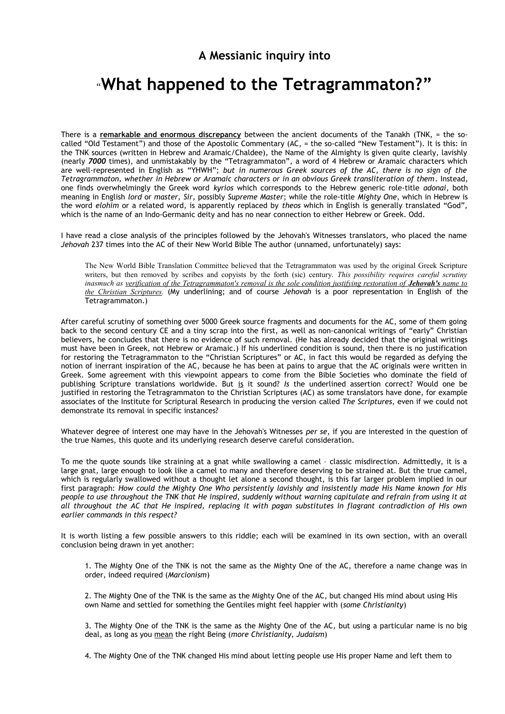**A Messianic inquiry into**

# "**What happened to the Tetragrammaton?"**

There is a **remarkable and enormous discrepancy** between the ancient documents of the Tanakh (TNK, = the socalled "Old Testament") and those of the Apostolic Commentary (AC, = the so-called "New Testament"). It is this: in the TNK sources (written in Hebrew and Aramaic/Chaldee), the Name of the Almighty is given quite clearly, lavishly (nearly *7000* times), and unmistakably by the "Tetragrammaton", a word of 4 Hebrew or Aramaic characters which are well-represented in English as "YHWH"; *but in numerous Greek sources of the AC, there is no sign of the Tetragrammaton, whether in Hebrew or Aramaic characters or in an obvious Greek transliteration of them*. Instead, one finds overwhelmingly the Greek word *kyrios* which corresponds to the Hebrew generic role-title *adonai,* both meaning in English *lord* or *master, Sir,* possibly *Supreme Master*; while the role-title *Mighty One*, which in Hebrew is the word *elohim* or a related word, is apparently replaced by *theos* which in English is generally translated "God", which is the name of an Indo-Germanic deity and has no near connection to either Hebrew or Greek. Odd.

I have read a close analysis of the principles followed by the Jehovah's Witnesses translators, who placed the name *Jehovah* 237 times into the AC of their New World Bible The author (unnamed, unfortunately) says:

The New World Bible Translation Committee believed that the Tetragrammaton was used by the original Greek Scripture writers, but then removed by scribes and copyists by the forth (sic) century. *This possibility requires careful scrutiny inasmuch as verification of the Tetragrammaton's removal is the sole condition justifying restoration of <i>Jehovah's name to the Christian Scriptures.* (My underlining; and of course *Jehovah* is a poor representation in English of the Tetragrammaton.)

After careful scrutiny of something over 5000 Greek source fragments and documents for the AC, some of them going back to the second century CE and a tiny scrap into the first, as well as non-canonical writings of "early" Christian believers, he concludes that there is no evidence of such removal. (He has already decided that the original writings must have been in Greek, not Hebrew or Aramaic.) If his underlined condition is sound, then there is no justification for restoring the Tetragrammaton to the "Christian Scriptures" or AC, in fact this would be regarded as defying the notion of inerrant inspiration of the AC, because he has been at pains to argue that the AC originals were written in Greek. Some agreement with this viewpoint appears to come from the Bible Societies who dominate the field of publishing Scripture translations worldwide. But is it sound? *Is* the underlined assertion correct? Would one be justified in restoring the Tetragrammaton to the Christian Scriptures (AC) as some translators have done, for example associates of the Institute for Scriptural Research in producing the version called *The Scriptures,* even if we could not demonstrate its removal in specific instances?

Whatever degree of interest one may have in the Jehovah's Witnesses *per se*, if you are interested in the question of the true Names, this quote and its underlying research deserve careful consideration.

To me the quote sounds like straining at a gnat while swallowing a camel – classic misdirection. Admittedly, it is a large gnat, large enough to look like a camel to many and therefore deserving to be strained at. But the true camel, which is regularly swallowed without a thought let alone a second thought, is this far larger problem implied in our first paragraph: *How could the Mighty One Who persistently lavishly and insistently made His Name known for His people to use throughout the TNK that He inspired, suddenly without warning capitulate and refrain from using it at all throughout the AC that He inspired, replacing it with pagan substitutes in flagrant contradiction of His own earlier commands in this respect?*

It is worth listing a few possible answers to this riddle; each will be examined in its own section, with an overall conclusion being drawn in yet another:

1. The Mighty One of the TNK is not the same as the Mighty One of the AC, therefore a name change was in order, indeed required (*Marcionism*)

2. The Mighty One of the TNK is the same as the Mighty One of the AC, but changed His mind about using His own Name and settled for something the Gentiles might feel happier with (*some Christianity*)

3. The Mighty One of the TNK is the same as the Mighty One of the AC, but using a particular name is no big deal, as long as you mean the right Being (*more Christianity, Judaism*)

4. The Mighty One of the TNK changed His mind about letting people use His proper Name and left them to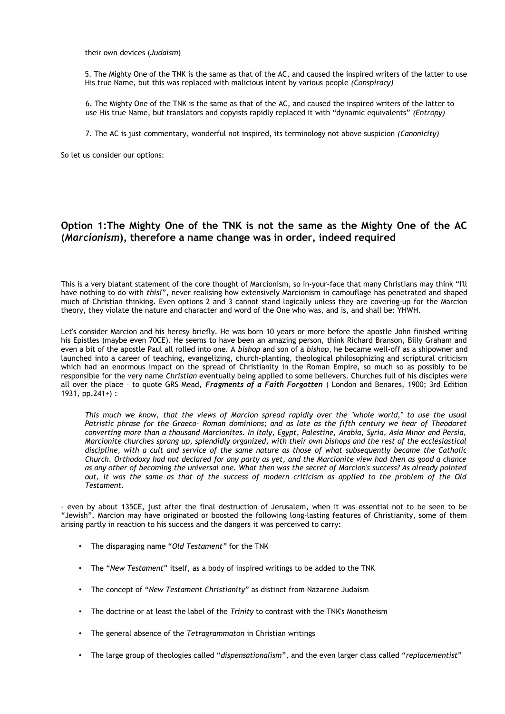their own devices (*Judaism*)

5. The Mighty One of the TNK is the same as that of the AC, and caused the inspired writers of the latter to use His true Name, but this was replaced with malicious intent by various people *(Conspiracy)*

6. The Mighty One of the TNK is the same as that of the AC, and caused the inspired writers of the latter to use His true Name, but translators and copyists rapidly replaced it with "dynamic equivalents" *(Entropy)*

7. The AC is just commentary, wonderful not inspired, its terminology not above suspicion *(Canonicity)*

So let us consider our options:

## **Option 1:The Mighty One of the TNK is not the same as the Mighty One of the AC (***Marcionism***), therefore a name change was in order, indeed required**

This is a very blatant statement of the core thought of Marcionism, so in-your-face that many Christians may think "I'll have nothing to do with *this!*", never realising how extensively Marcionism in camouflage has penetrated and shaped much of Christian thinking. Even options 2 and 3 cannot stand logically unless they are covering-up for the Marcion theory, they violate the nature and character and word of the One who was, and is, and shall be: YHWH.

Let's consider Marcion and his heresy briefly. He was born 10 years or more before the apostle John finished writing his Epistles (maybe even 70CE). He seems to have been an amazing person, think Richard Branson, Billy Graham and even a bit of the apostle Paul all rolled into one. A *bishop* and son of a *bishop*, he became well-off as a shipowner and launched into a career of teaching, evangelizing, church-planting, theological philosophizing and scriptural criticism which had an enormous impact on the spread of Christianity in the Roman Empire, so much so as possibly to be responsible for the very name *Christian* eventually being applied to some believers. Churches full of his disciples were all over the place – to quote GRS Mead, *Fragments of a Faith Forgotten* ( London and Benares, 1900; 3rd Edition 1931, pp.241+) :

*This much we know, that the views of Marcion spread rapidly over the "whole world," to use the usual Patristic phrase for the Graeco- Roman dominions; and as late as the fifth century we hear of Theodoret converting more than a thousand Marcionites. In Italy, Egypt, Palestine, Arabia, Syria, Asia Minor and Persia, Marcionite churches sprang up, splendidly organized, with their own bishops and the rest of the ecclesiastical discipline, with a cult and service of the same nature as those of what subsequently became the Catholic Church. Orthodoxy had not declared for any party as yet, and the Marcionite view had then as good a chance as any other of becoming the universal one. What then was the secret of Marcion's success? As already pointed out, it was the same as that of the success of modern criticism as applied to the problem of the Old Testament.* 

- even by about 135CE, just after the final destruction of Jerusalem, when it was essential not to be seen to be "Jewish". Marcion may have originated or boosted the following long-lasting features of Christianity, some of them arising partly in reaction to his success and the dangers it was perceived to carry:

- The disparaging name "*Old Testament"* for the TNK
- The "*New Testament*" itself, as a body of inspired writings to be added to the TNK
- The concept of "*New Testament Christianity*" as distinct from Nazarene Judaism
- The doctrine or at least the label of the *Trinity* to contrast with the TNK's Monotheism
- The general absence of the *Tetragrammaton* in Christian writings
- The large group of theologies called "*dispensationalism*", and the even larger class called "*replacementist*"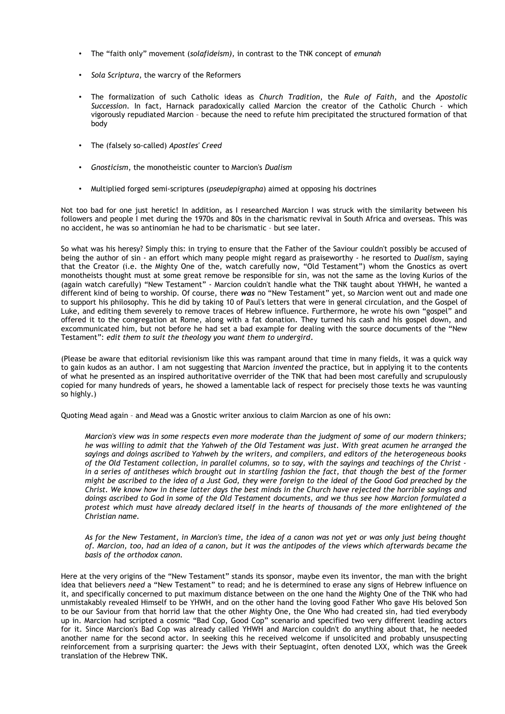- The "faith only" movement (*solafideism),* in contrast to the TNK concept of *emunah*
- *Sola Scriptura*, the warcry of the Reformers
- The formalization of such Catholic ideas as *Church Tradition*, the *Rule of Faith*, and the *Apostolic Succession*. In fact, Harnack paradoxically called Marcion the creator of the Catholic Church - which vigorously repudiated Marcion – because the need to refute him precipitated the structured formation of that body
- The (falsely so-called) *Apostles' Creed*
- *Gnosticism*, the monotheistic counter to Marcion's *Dualism*
- Multiplied forged semi-scriptures (*pseudepigrapha*) aimed at opposing his doctrines

Not too bad for one just heretic! In addition, as I researched Marcion I was struck with the similarity between his followers and people I met during the 1970s and 80s in the charismatic revival in South Africa and overseas. This was no accident, he was so antinomian he had to be charismatic – but see later.

So what was his heresy? Simply this: in trying to ensure that the Father of the Saviour couldn't possibly be accused of being the author of sin - an effort which many people might regard as praiseworthy - he resorted to *Dualism*, saying that the Creator (i.e. the Mighty One of the, watch carefully now, "Old Testament") whom the Gnostics as overt monotheists thought must at some great remove be responsible for sin, was not the same as the loving Kurios of the (again watch carefully) "New Testament" - Marcion couldn't handle what the TNK taught about YHWH, he wanted a different kind of being to worship. Of course, there *was* no "New Testament" yet, so Marcion went out and made one to support his philosophy. This he did by taking 10 of Paul's letters that were in general circulation, and the Gospel of Luke, and editing them severely to remove traces of Hebrew influence. Furthermore, he wrote his own "gospel" and offered it to the congregation at Rome, along with a fat donation. They turned his cash and his gospel down, and excommunicated him, but not before he had set a bad example for dealing with the source documents of the "New Testament": *edit them to suit the theology you want them to undergird*.

(Please be aware that editorial revisionism like this was rampant around that time in many fields, it was a quick way to gain kudos as an author. I am not suggesting that Marcion *invented* the practice, but in applying it to the contents of what he presented as an inspired authoritative overrider of the TNK that had been most carefully and scrupulously copied for many hundreds of years, he showed a lamentable lack of respect for precisely those texts he was vaunting so highly.)

Quoting Mead again – and Mead was a Gnostic writer anxious to claim Marcion as one of his own:

*Marcion's view was in some respects even more moderate than the judgment of some of our modern thinkers; he was willing to admit that the Yahweh of the Old Testament was just. With great acumen he arranged the sayings and doings ascribed to Yahweh by the writers, and compilers, and editors of the heterogeneous books of the Old Testament collection, in parallel columns, so to say, with the sayings and teachings of the Christ in a series of antitheses which brought out in startling fashion the fact, that though the best of the former might be ascribed to the idea of a Just God, they were foreign to the ideal of the Good God preached by the Christ. We know how in these latter days the best minds in the Church have rejected the horrible sayings and doings ascribed to God in some of the Old Testament documents, and we thus see how Marcion formulated a protest which must have already declared itself in the hearts of thousands of the more enlightened of the Christian name.* 

*As for the New Testament, in Marcion's time, the idea of a canon was not yet or was only just being thought of. Marcion, too, had an idea of a canon, but it was the antipodes of the views which afterwards became the basis of the orthodox canon.*

Here at the very origins of the "New Testament" stands its sponsor, maybe even its inventor, the man with the bright idea that believers *need* a "New Testament" to read; and he is determined to erase any signs of Hebrew influence on it, and specifically concerned to put maximum distance between on the one hand the Mighty One of the TNK who had unmistakably revealed Himself to be YHWH, and on the other hand the loving good Father Who gave His beloved Son to be our Saviour from that horrid law that the other Mighty One, the One Who had created sin, had tied everybody up in. Marcion had scripted a cosmic "Bad Cop, Good Cop" scenario and specified two very different leading actors for it. Since Marcion's Bad Cop was already called YHWH and Marcion couldn't do anything about that, he needed another name for the second actor. In seeking this he received welcome if unsolicited and probably unsuspecting reinforcement from a surprising quarter: the Jews with their Septuagint, often denoted LXX, which was the Greek translation of the Hebrew TNK.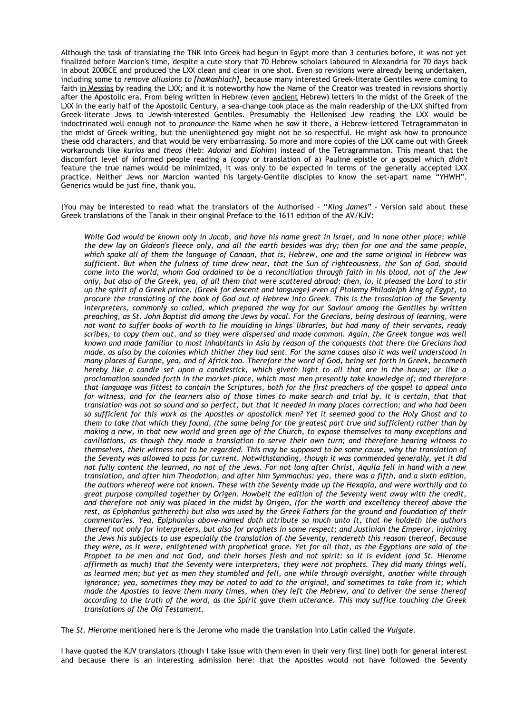Although the task of translating the TNK into Greek had begun in Egypt more than 3 centuries before, it was not yet finalized before Marcion's time, despite a cute story that 70 Hebrew scholars laboured in Alexandria for 70 days back in about 200BCE and produced the LXX clean and clear in one shot. Even so revisions were already being undertaken, including some to *remove allusions to [haMashiach]*, because many interested Greek-literate Gentiles were coming to faith in Messias by reading the LXX; and it is noteworthy how the Name of the Creator was treated in revisions shortly after the Apostolic era. From being written in Hebrew (even ancient Hebrew) letters in the midst of the Greek of the LXX in the early half of the Apostolic Century, a sea-change took place as the main readership of the LXX shifted from Greek-literate Jews to Jewish-interested Gentiles. Presumably the Hellenised Jew reading the LXX would be indoctrinated well enough not to *pronounce* the Name when he *saw* it there, a Hebrew-lettered Tetragrammaton in the midst of Greek writing, but the unenlightened goy might not be so respectful. He might ask how to pronounce these odd characters, and that would be very embarrassing. So more and more copies of the LXX came out with Greek workarounds like *kurios* and *theos* (Heb: *Adonai* and *Elohim*) instead of the Tetragrammaton. This meant that the discomfort level of informed people reading a (copy or translation of a) Pauline epistle or a gospel which *didn't* feature the true names would be minimized, it was only to be expected in terms of the generally accepted LXX practice. Neither Jews nor Marcion wanted his largely-Gentile disciples to know the set-apart name "YHWH". Generics would be just fine, thank you.

(You may be interested to read what the translators of the Authorised - "*King James" -* Version said about these Greek translations of the Tanak in their original Preface to the 1611 edition of the AV/KJV:

*While God would be known only in Jacob, and have his name great in Israel, and in none other place; while the dew lay on Gideon's fleece only, and all the earth besides was dry; then for one and the same people, which spake all of them the language of Canaan, that is, Hebrew, one and the same original in Hebrew was sufficient. But when the fulness of time drew near, that the Sun of righteousness, the Son of God, should come into the world, whom God ordained to be a reconciliation through faith in his blood, not of the Jew only, but also of the Greek, yea, of all them that were scattered abroad; then, lo, it pleased the Lord to stir up the spirit of a Greek prince, (Greek for descent and language) even of Ptolemy Philadelph king of Egypt, to procure the translating of the book of God out of Hebrew into Greek. This is the translation of the Seventy interpreters, commonly so called, which prepared the way for our Saviour among the Gentiles by written preaching, as St. John Baptist did among the Jews by vocal. For the Grecians, being desirous of learning, were not wont to suffer books of worth to lie moulding in kings' libraries, but had many of their servants, ready scribes, to copy them out, and so they were dispersed and made common. Again, the Greek tongue was well known and made familiar to most inhabitants in Asia by reason of the conquests that there the Grecians had made, as also by the colonies which thither they had sent. For the same causes also it was well understood in many places of Europe, yea, and of Africk too. Therefore the word of God, being set forth in Greek, becometh hereby like a candle set upon a candlestick, which giveth light to all that are in the house; or like a proclamation sounded forth in the market-place, which most men presently take knowledge of; and therefore that language was fittest to contain the Scriptures, both for the first preachers of the gospel to appeal unto for witness, and for the learners also of those times to make search and trial by. It is certain, that that translation was not so sound and so perfect, but that it needed in many places correction; and who had been so sufficient for this work as the Apostles or apostolick men? Yet it seemed good to the Holy Ghost and to them to take that which they found, (the same being for the greatest part true and sufficient) rather than by making a new, in that new world and green age of the Church, to expose themselves to many exceptions and cavillations, as though they made a translation to serve their own turn; and therefore bearing witness to themselves, their witness not to be regarded. This may be supposed to be some cause, why the translation of the Seventy was allowed to pass for current. Notwithstanding, though it was commended generally, yet it did not fully content the learned, no not of the Jews. For not long after Christ, Aquila fell in hand with a new translation, and after him Theodotion, and after him Symmachus: yea, there was a fifth, and a sixth edition, the authors whereof were not known. These with the Seventy made up the Hexapla, and were worthily and to great purpose compiled together by Origen. Howbeit the edition of the Seventy went away with the credit, and therefore not only was placed in the midst by Origen, (for the worth and excellency thereof above the rest, as Epiphanius gathereth) but also was used by the Greek Fathers for the ground and foundation of their commentaries. Yea, Epiphanius above-named doth attribute so much unto it, that he holdeth the authors thereof not only for interpreters, but also for prophets in some respect; and Justinian the Emperor, injoining the Jews his subjects to use especially the translation of the Seventy, rendereth this reason thereof, Because they were, as it were, enlightened with prophetical grace. Yet for all that, as the Egyptians are said of the Prophet to be men and not God, and their horses flesh and not spirit: so it is evident (and St. Hierome affirmeth as much) that the Seventy were interpreters, they were not prophets. They did many things well, as learned men; but yet as men they stumbled and fell, one while through oversight, another while through ignorance; yea, sometimes they may be noted to add to the original, and sometimes to take from it; which made the Apostles to leave them many times, when they left the Hebrew, and to deliver the sense thereof according to the truth of the word, as the Spirit gave them utterance. This may suffice touching the Greek translations of the Old Testament.*

The *St. Hierome* mentioned here is the Jerome who made the translation into Latin called the *Vulgate.*

I have quoted the KJV translators (though I take issue with them even in their very first line) both for general interest and because there is an interesting admission here: that the Apostles would not have followed the Seventy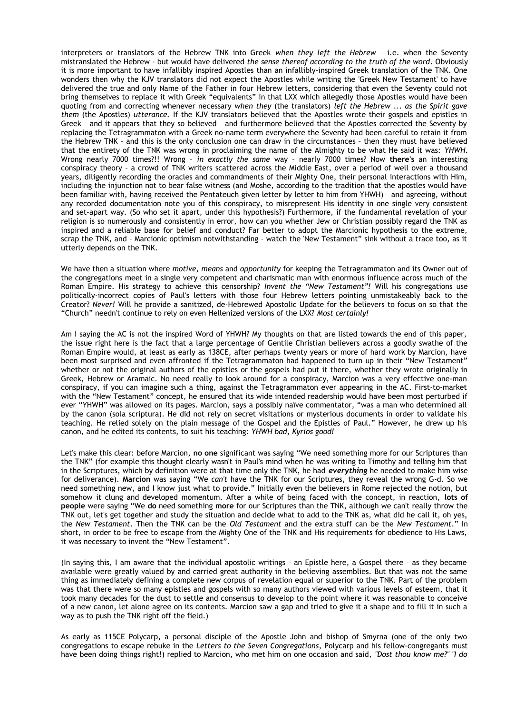interpreters or translators of the Hebrew TNK into Greek *when they left the Hebrew* – i.e. when the Seventy mistranslated the Hebrew - but would have delivered *the sense thereof according to the truth of the word*. Obviously it is more important to have infallibly inspired Apostles than an infallibly-inspired Greek translation of the TNK. One wonders then why the KJV translators did not expect the Apostles while writing the 'Greek New Testament' to have delivered the true and only Name of the Father in four Hebrew letters, considering that even the Seventy could not bring themselves to replace it with Greek "equivalents" in that LXX which allegedly those Apostles would have been quoting from and correcting whenever necessary *when they* (the translators) *left the Hebrew* ... *as the Spirit gave them* (the Apostles) *utterance.* If the KJV translators believed that the Apostles wrote their gospels and epistles in Greek – and it appears that they so believed – and furthermore believed that the Apostles corrected the Seventy by replacing the Tetragrammaton with a Greek no-name term everywhere the Seventy had been careful to retain it from the Hebrew TNK – and this is the only conclusion one can draw in the circumstances – then they must have believed that the entirety of the TNK was wrong in proclaiming the name of the Almighty to be what He said it was: *YHWH*. Wrong nearly 7000 times?!! Wrong – *in exactly the same* way – nearly 7000 times? Now **there's** an interesting conspiracy theory – a crowd of TNK writers scattered across the Middle East, over a period of well over a thousand years, diligently recording the oracles and commandments of their Mighty One, their personal interactions with Him, including the injunction not to bear false witness (and Moshe, according to the tradition that the apostles would have been familiar with, having received the Pentateuch given letter by letter to him from YHWH) – and agreeing, without any recorded documentation note you of this conspiracy, to misrepresent His identity in one single very consistent and set-apart way. (So who set it apart, under this hypothesis?) Furthermore, if the fundamental revelation of your religion is so numerously and consistently in error, how can you whether Jew or Christian possibly regard the TNK as inspired and a reliable base for belief and conduct? Far better to adopt the Marcionic hypothesis to the extreme, scrap the TNK, and – Marcionic optimism notwithstanding – watch the 'New Testament" sink without a trace too, as it utterly depends on the TNK.

We have then a situation where *motive, means* and *opportunity* for keeping the Tetragrammaton and its Owner out of the congregations meet in a single very competent and charismatic man with enormous influence across much of the Roman Empire. His strategy to achieve this censorship? *Invent the "New Testament"!* Will his congregations use politically-incorrect copies of Paul's letters with those four Hebrew letters pointing unmistakeably back to the Creator? *Never!* Will he provide a sanitized, de-Hebrewed Apostolic Update for the believers to focus on so that the "Church" needn't continue to rely on even Hellenized versions of the LXX? *Most certainly!*

Am I saying the AC is not the inspired Word of YHWH? My thoughts on that are listed towards the end of this paper, the issue right here is the fact that a large percentage of Gentile Christian believers across a goodly swathe of the Roman Empire would, at least as early as 138CE, after perhaps twenty years or more of hard work by Marcion, have been most surprised and even affronted if the Tetragrammaton had happened to turn up in their "New Testament" whether or not the original authors of the epistles or the gospels had put it there, whether they wrote originally in Greek, Hebrew or Aramaic. No need really to look around for a conspiracy, Marcion was a very effective one-man conspiracy, if you can imagine such a thing, against the Tetragrammaton ever appearing in the AC. First-to-market with the "New Testament" concept, he ensured that its wide intended readership would have been most perturbed if ever "YHWH" was allowed on its pages. Marcion, says a possibly naïve commentator, "was a man who determined all by the canon (sola scriptura). He did not rely on secret visitations or mysterious documents in order to validate his teaching. He relied solely on the plain message of the Gospel and the Epistles of Paul." However, he drew up his canon, and he edited its contents, to suit his teaching: *YHWH bad, Kyrios good!*

Let's make this clear: before Marcion, **no one** significant was saying "We need something more for our Scriptures than the TNK" (for example this thought clearly wasn't in Paul's mind when he was writing to Timothy and telling him that in the Scriptures, which by definition were at that time only the TNK, he had *everything* he needed to make him wise for deliverance). **Marcion** was saying "We *can't* have the TNK for our Scriptures, they reveal the wrong G-d. So we need something new, and I know just what to provide." Initially even the believers in Rome rejected the notion, but somehow it clung and developed momentum. After a while of being faced with the concept, in reaction, **lots of people** were saying "We **do** need something **more** for our Scriptures than the TNK, although we can't really throw the TNK out, let's get together and study the situation and decide what to add to the TNK as, what did he call it, oh yes, the *New Testament*. Then the TNK can be the *Old Testament* and the extra stuff can be the *New Testament*." In short, in order to be free to escape from the Mighty One of the TNK and His requirements for obedience to His Laws, it was necessary to invent the "New Testament".

(In saying this, I am aware that the individual apostolic writings – an Epistle here, a Gospel there – as they became available were greatly valued by and carried great authority in the believing assemblies. But that was not the same thing as immediately defining a complete new corpus of revelation equal or superior to the TNK. Part of the problem was that there were so many epistles and gospels with so many authors viewed with various levels of esteem, that it took many decades for the dust to settle and consensus to develop to the point where it was reasonable to conceive of a new canon, let alone agree on its contents. Marcion saw a gap and tried to give it a shape and to fill it in such a way as to push the TNK right off the field.)

As early as 115CE Polycarp, a personal disciple of the Apostle John and bishop of Smyrna (one of the only two congregations to escape rebuke in the *Letters to the Seven Congregations*, Polycarp and his fellow-congregants must have been doing things right!) replied to Marcion, who met him on one occasion and said, *"Dost thou know me?" "I do*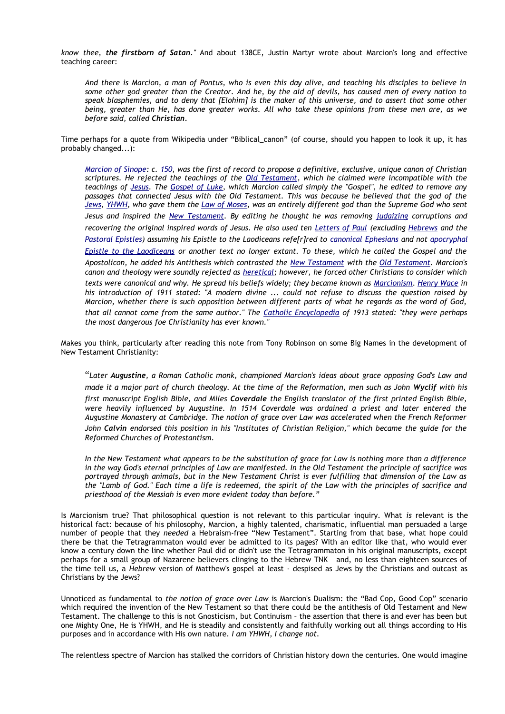*know thee, the firstborn of Satan."* And about 138CE, Justin Martyr wrote about Marcion's long and effective teaching career:

*And there is Marcion, a man of Pontus, who is even this day alive, and teaching his disciples to believe in some other god greater than the Creator. And he, by the aid of devils, has caused men of every nation to speak blasphemies, and to deny that [Elohim] is the maker of this universe, and to assert that some other being, greater than He, has done greater works. All who take these opinions from these men are, as we before said, called Christian.*

Time perhaps for a quote from Wikipedia under "Biblical\_canon" (of course, should you happen to look it up, it has probably changed...):

*[Marcion of Sinope:](http://en.wikipedia.org/wiki/Marcion_of_Sinope) c. [150,](http://en.wikipedia.org/wiki/150) was the first of record to propose a definitive, exclusive, unique canon of Christian scriptures. He rejected the teachings of the [Old Testament,](http://en.wikipedia.org/wiki/Old_Testament) which he claimed were incompatible with the teachings of [Jesus.](http://en.wikipedia.org/wiki/Jesus) The [Gospel of Luke,](http://en.wikipedia.org/wiki/Gospel_of_Luke) which Marcion called simply the "Gospel", he edited to remove any passages that connected Jesus with the Old Testament. This was because he believed that the god of the [Jews,](http://en.wikipedia.org/wiki/Jews) [YHWH,](http://en.wikipedia.org/wiki/YHWH) who gave them the [Law of Moses,](http://en.wikipedia.org/wiki/Law_of_Moses) was an entirely different god than the Supreme God who sent Jesus and inspired the [New Testament.](http://en.wikipedia.org/wiki/New_Testament) By editing he thought he was removing [judaizing](http://en.wikipedia.org/wiki/Judaize) corruptions and recovering the original inspired words of Jesus. He also used ten [Letters of Paul](http://en.wikipedia.org/wiki/Pauline_Epistles) (excluding [Hebrews](http://en.wikipedia.org/wiki/Epistle_to_the_Hebrews) and the [Pastoral Epistles\)](http://en.wikipedia.org/wiki/Pastoral_Epistles) assuming his Epistle to the Laodiceans refe[r]red to [canonical](http://en.wikipedia.org/wiki/Canonical) [Ephesians](http://en.wikipedia.org/wiki/Ephesians) and not [apocryphal](http://en.wikipedia.org/wiki/Apocryphal) [Epistle to the Laodiceans](http://en.wikipedia.org/wiki/Epistle_to_the_Laodiceans) or another text no longer extant. To these, which he called the Gospel and the Apostolicon, he added his Antithesis which contrasted the [New Testament](http://en.wikipedia.org/wiki/New_Testament) with the [Old Testament.](http://en.wikipedia.org/wiki/Old_Testament) Marcion's canon and theology were soundly rejected as [heretical;](http://en.wikipedia.org/wiki/Heresy) however, he forced other Christians to consider which texts were canonical and why. He spread his beliefs widely; they became known as [Marcionism.](http://en.wikipedia.org/wiki/Marcionism) [Henry Wace](http://en.wikipedia.org/wiki/Henry_Wace) in his introduction of 1911 stated: "A modern divine ... could not refuse to discuss the question raised by Marcion, whether there is such opposition between different parts of what he regards as the word of God, that all cannot come from the same author." The [Catholic Encyclopedia](http://en.wikipedia.org/wiki/Catholic_Encyclopedia) of 1913 stated: "they were perhaps the most dangerous foe Christianity has ever known."* 

Makes you think, particularly after reading this note from Tony Robinson on some Big Names in the development of New Testament Christianity:

"*Later Augustine, a Roman Catholic monk, championed Marcion's ideas about grace opposing God's Law and made it a major part of church theology. At the time of the Reformation, men such as John Wyclif with his first manuscript English Bible, and Miles Coverdale the English translator of the first printed English Bible, were heavily influenced by Augustine. In 1514 Coverdale was ordained a priest and later entered the Augustine Monastery at Cambridge. The notion of grace over Law was accelerated when the French Reformer John Calvin endorsed this position in his "Institutes of Christian Religion," which became the guide for the Reformed Churches of Protestantism.*

*In the New Testament what appears to be the substitution of grace for Law is nothing more than a difference in the way God's eternal principles of Law are manifested. In the Old Testament the principle of sacrifice was portrayed through animals, but in the New Testament Christ is ever fulfilling that dimension of the Law as the "Lamb of God." Each time a life is redeemed, the spirit of the Law with the principles of sacrifice and priesthood of the Messiah is even more evident today than before."*

Is Marcionism true? That philosophical question is not relevant to this particular inquiry. What *is* relevant is the historical fact: because of his philosophy, Marcion, a highly talented, charismatic, influential man persuaded a large number of people that they *needed* a Hebraism-free "New Testament". Starting from that base, what hope could there be that the Tetragrammaton would ever be admitted to its pages? With an editor like that, who would ever know a century down the line whether Paul did or didn't use the Tetragrammaton in his original manuscripts, except perhaps for a small group of Nazarene believers clinging to the Hebrew TNK – and, no less than eighteen sources of the time tell us, a *Hebrew* version of Matthew's gospel at least - despised as Jews by the Christians and outcast as Christians by the Jews?

Unnoticed as fundamental to *the notion of grace over Law* is Marcion's Dualism: the "Bad Cop, Good Cop" scenario which required the invention of the New Testament so that there could be the antithesis of Old Testament and New Testament. The challenge to this is not Gnosticism, but Continuism – the assertion that there is and ever has been but one Mighty One, He is YHWH, and He is steadily and consistently and faithfully working out all things according to His purposes and in accordance with His own nature. *I am YHWH, I change not.*

The relentless spectre of Marcion has stalked the corridors of Christian history down the centuries. One would imagine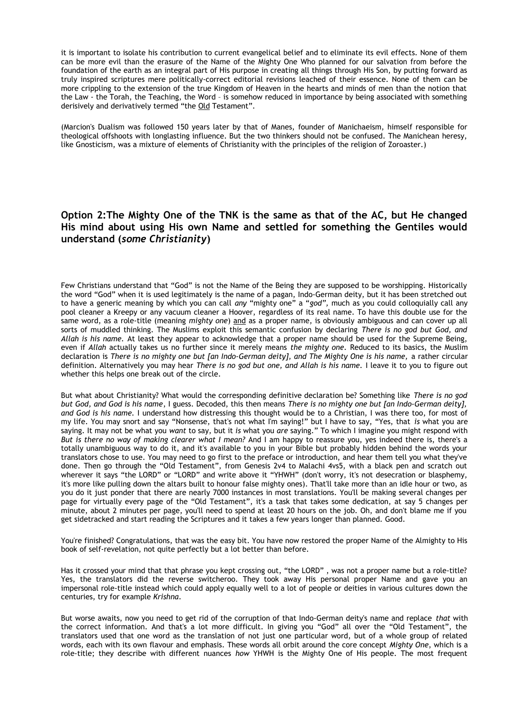it is important to isolate his contribution to current evangelical belief and to eliminate its evil effects. None of them can be more evil than the erasure of the Name of the Mighty One Who planned for our salvation from before the foundation of the earth as an integral part of His purpose in creating all things through His Son, by putting forward as truly inspired scriptures mere politically-correct editorial revisions leached of their essence. None of them can be more crippling to the extension of the true Kingdom of Heaven in the hearts and minds of men than the notion that the Law - the Torah, the Teaching, the Word – is somehow reduced in importance by being associated with something derisively and derivatively termed "the Old Testament".

(Marcion's Dualism was followed 150 years later by that of Manes, founder of Manichaeism, himself responsible for theological offshoots with longlasting influence. But the two thinkers should not be confused. The Manichean heresy, like Gnosticism, was a mixture of elements of Christianity with the principles of the religion of Zoroaster.)

## **Option 2:The Mighty One of the TNK is the same as that of the AC, but He changed His mind about using His own Name and settled for something the Gentiles would understand (***some Christianity***)**

Few Christians understand that "God" is not the Name of the Being they are supposed to be worshipping. Historically the word "God" when it is used legitimately is the name of a pagan, Indo-German deity, but it has been stretched out to have a generic meaning by which you can call *any* "mighty one" a "*god",* much as you could colloquially call any pool cleaner a Kreepy or any vacuum cleaner a Hoover, regardless of its real name. To have this double use for the same word, as a role-title (meaning *mighty one*) and as a proper name, is obviously ambiguous and can cover up all sorts of muddled thinking. The Muslims exploit this semantic confusion by declaring *There is no god but God, and Allah is his name.* At least they appear to acknowledge that a proper name should be used for the Supreme Being, even if *Allah* actually takes us no further since it merely means *the mighty one.* Reduced to its basics, the Muslim declaration is *There is no mighty one but [an Indo-German deity], and The Mighty One is his name,* a rather circular definition. Alternatively you may hear *There is no god but one, and Allah is his name.* I leave it to you to figure out whether this helps one break out of the circle.

But what about Christianity? What would the corresponding definitive declaration be? Something like *There is no god but God, and God is his name*, I guess. Decoded, this then means *There is no mighty one but [an Indo-German deity], and God is his name.* I understand how distressing this thought would be to a Christian, I was there too, for most of my life. You may snort and say "Nonsense, that's not what I'm saying!" but I have to say, "Yes, that *is* what you are saying. It may not be what you *want* to say, but it *is* what you *are* saying." To which I imagine you might respond with *But is there no way of making clearer what I mean?* And I am happy to reassure you, yes indeed there is, there's a totally unambiguous way to do it, and it's available to you in your Bible but probably hidden behind the words your translators chose to use. You may need to go first to the preface or introduction, and hear them tell you what they've done. Then go through the "Old Testament", from Genesis 2v4 to Malachi 4vs5, with a black pen and scratch out wherever it says "the LORD" or "LORD" and write above it "YHWH" (don't worry, it's not desecration or blasphemy, it's more like pulling down the altars built to honour false mighty ones). That'll take more than an idle hour or two, as you do it just ponder that there are nearly 7000 instances in most translations. You'll be making several changes per page for virtually every page of the "Old Testament", it's a task that takes some dedication, at say 5 changes per minute, about 2 minutes per page, you'll need to spend at least 20 hours on the job. Oh, and don't blame me if you get sidetracked and start reading the Scriptures and it takes a few years longer than planned. Good.

You're finished? Congratulations, that was the easy bit. You have now restored the proper Name of the Almighty to His book of self-revelation, not quite perfectly but a lot better than before.

Has it crossed your mind that that phrase you kept crossing out, "the LORD" , was not a proper name but a role-title? Yes, the translators did the reverse switcheroo. They took away His personal proper Name and gave you an impersonal role-title instead which could apply equally well to a lot of people or deities in various cultures down the centuries, try for example *Krishna*.

But worse awaits, now you need to get rid of the corruption of that Indo-German deity's name and replace *that* with the correct information. And that's a lot more difficult. In giving you "God" all over the "Old Testament", the translators used that one word as the translation of not just one particular word, but of a whole group of related words, each with its own flavour and emphasis. These words all orbit around the core concept *Mighty One*, which is a role-title; they describe with different nuances *how* YHWH is the Mighty One of His people. The most frequent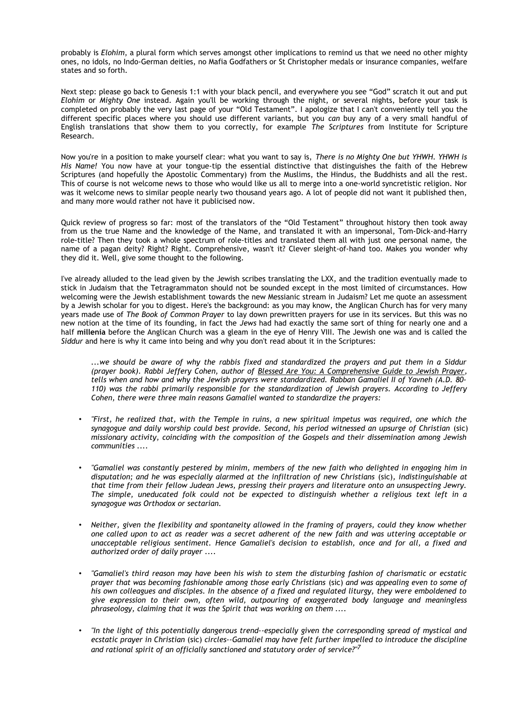probably is *Elohim*, a plural form which serves amongst other implications to remind us that we need no other mighty ones, no idols, no Indo-German deities, no Mafia Godfathers or St Christopher medals or insurance companies, welfare states and so forth.

Next step: please go back to Genesis 1:1 with your black pencil, and everywhere you see "God" scratch it out and put *Elohim* or *Mighty One* instead. Again you'll be working through the night, or several nights, before your task is completed on probably the very last page of your "Old Testament". I apologize that I can't conveniently tell you the different specific places where you should use different variants, but you *can* buy any of a very small handful of English translations that show them to you correctly, for example *The Scriptures* from Institute for Scripture Research.

Now you're in a position to make yourself clear: what you want to say is, *There is no Mighty One but YHWH. YHWH is His Name!* You now have at your tongue-tip the essential distinctive that distinguishes the faith of the Hebrew Scriptures (and hopefully the Apostolic Commentary) from the Muslims, the Hindus, the Buddhists and all the rest. This of course is not welcome news to those who would like us all to merge into a one-world syncretistic religion. Nor was it welcome news to similar people nearly two thousand years ago. A lot of people did not want it published then, and many more would rather not have it publicised now.

Quick review of progress so far: most of the translators of the "Old Testament" throughout history then took away from us the true Name and the knowledge of the Name, and translated it with an impersonal, Tom-Dick-and-Harry role-title? Then they took a whole spectrum of role-titles and translated them all with just one personal name, the name of a pagan deity? Right? Right. Comprehensive, wasn't it? Clever sleight-of-hand too. Makes you wonder why they did it. Well, give some thought to the following.

I've already alluded to the lead given by the Jewish scribes translating the LXX, and the tradition eventually made to stick in Judaism that the Tetragrammaton should not be sounded except in the most limited of circumstances. How welcoming were the Jewish establishment towards the new Messianic stream in Judaism? Let me quote an assessment by a Jewish scholar for you to digest. Here's the background: as you may know, the Anglican Church has for very many years made use of *The Book of Common Prayer* to lay down prewritten prayers for use in its services. But this was no new notion at the time of its founding, in fact the *Jews* had had exactly the same sort of thing for nearly one and a half **millenia** before the Anglican Church was a gleam in the eye of Henry VIII. The Jewish one was and is called the *Siddur* and here is why it came into being and why you don't read about it in the Scriptures:

*...we should be aware of why the rabbis fixed and standardized the prayers and put them in a Siddur (prayer book). Rabbi Jeffery Cohen, author of Blessed Are You: A Comprehensive Guide to Jewish Prayer, tells when and how and why the Jewish prayers were standardized. Rabban Gamaliel II of Yavneh (A.D. 80- 110) was the rabbi primarily responsible for the standardization of Jewish prayers. According to Jeffery Cohen, there were three main reasons Gamaliel wanted to standardize the prayers:*

- *"First, he realized that, with the Temple in ruins, a new spiritual impetus was required, one which the synagogue and daily worship could best provide. Second, his period witnessed an upsurge of Christian* (sic) *missionary activity, coinciding with the composition of the Gospels and their dissemination among Jewish communities ....*
- *"Gamaliel was constantly pestered by minim, members of the new faith who delighted in engaging him in disputation; and he was especially alarmed at the infiltration of new Christians* (sic)*, indistinguishable at that time from their fellow Judean Jews, pressing their prayers and literature onto an unsuspecting Jewry. The simple, uneducated folk could not be expected to distinguish whether a religious text left in a synagogue was Orthodox or sectarian.*
- *Neither, given the flexibility and spontaneity allowed in the framing of prayers, could they know whether one called upon to act as reader was a secret adherent of the new faith and was uttering acceptable or unacceptable religious sentiment. Hence Gamaliel's decision to establish, once and for all, a fixed and authorized order of daily prayer ....*
- *"Gamaliel's third reason may have been his wish to stem the disturbing fashion of charismatic or ecstatic prayer that was becoming fashionable among those early Christians* (sic) *and was appealing even to some of his own colleagues and disciples. In the absence of a fixed and regulated liturgy, they were emboldened to give expression to their own, often wild, outpouring of exaggerated body language and meaningless phraseology, claiming that it was the Spirit that was working on them ....*
- *"In the light of this potentially dangerous trend--especially given the corresponding spread of mystical and ecstatic prayer in Christian* (sic) *circles--Gamaliel may have felt further impelled to introduce the discipline and rational spirit of an officially sanctioned and statutory order of service?"<sup>7</sup>*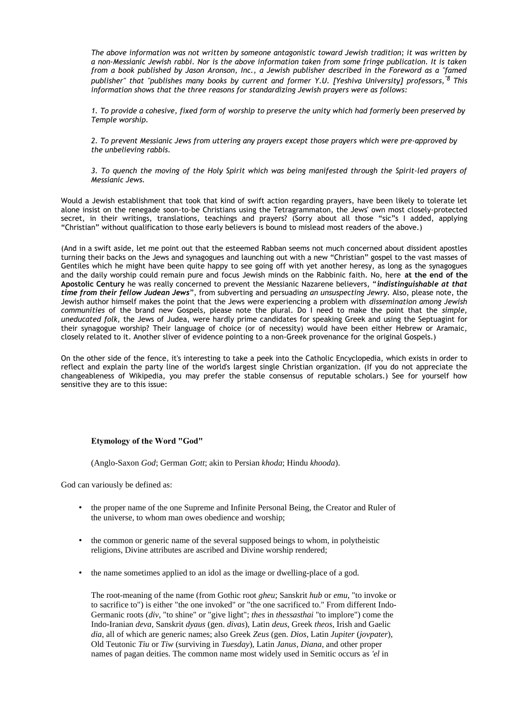*The above information was not written by someone antagonistic toward Jewish tradition; it was written by a non-Messianic Jewish rabbi. Nor is the above information taken from some fringe publication. It is taken from a book published by Jason Aronson, Inc., a Jewish publisher described in the Foreword as a "famed publisher" that "publishes many books by current and former Y.U. [Yeshiva University] professors,''8 This information shows that the three reasons for standardizing Jewish prayers were as follows:*

*1. To provide a cohesive, fixed form of worship to preserve the unity which had formerly been preserved by Temple worship.*

*2. To prevent Messianic Jews from uttering any prayers except those prayers which were pre-approved by the unbelieving rabbis.*

*3. To quench the moving of the Holy Spirit which was being manifested through the Spirit-led prayers of Messianic Jews.*

Would a Jewish establishment that took that kind of swift action regarding prayers, have been likely to tolerate let alone insist on the renegade soon-to-be Christians using the Tetragrammaton, the Jews' own most closely-protected secret, in their writings, translations, teachings and prayers? (Sorry about all those "sic"s I added, applying "Christian" without qualification to those early believers is bound to mislead most readers of the above.)

(And in a swift aside, let me point out that the esteemed Rabban seems not much concerned about dissident apostles turning their backs on the Jews and synagogues and launching out with a new "Christian" gospel to the vast masses of Gentiles which he might have been quite happy to see going off with yet another heresy, as long as the synagogues and the daily worship could remain pure and focus Jewish minds on the Rabbinic faith. No, here **at the end of the Apostolic Century** he was really concerned to prevent the Messianic Nazarene believers, "*indistinguishable at that time from their fellow Judean Jews*", from subverting and persuading *an unsuspecting Jewry.* Also, please note, the Jewish author himself makes the point that the Jews were experiencing a problem with *dissemination among Jewish communities* of the brand new Gospels, please note the plural. Do I need to make the point that the *simple, uneducated folk,* the Jews of Judea, were hardly prime candidates for speaking Greek and using the Septuagint for their synagogue worship? Their language of choice (or of necessity) would have been either Hebrew or Aramaic, closely related to it. Another sliver of evidence pointing to a non-Greek provenance for the original Gospels.)

On the other side of the fence, it's interesting to take a peek into the Catholic Encyclopedia, which exists in order to reflect and explain the party line of the world's largest single Christian organization. (If you do not appreciate the changeableness of Wikipedia, you may prefer the stable consensus of reputable scholars.) See for yourself how sensitive they are to this issue:

### **Etymology of the Word "God"**

(Anglo-Saxon *God*; German *Gott*; akin to Persian *khoda*; Hindu *khooda*).

God can variously be defined as:

- the proper name of the one Supreme and Infinite Personal Being, the Creator and Ruler of the universe, to whom man owes obedience and worship;
- the common or generic name of the several supposed beings to whom, in polytheistic religions, Divine attributes are ascribed and Divine worship rendered;
- the name sometimes applied to an idol as the image or dwelling-place of a god.

The root-meaning of the name (from Gothic root *gheu*; Sanskrit *hub* or *emu*, "to invoke or to sacrifice to") is either "the one invoked" or "the one sacrificed to." From different Indo-Germanic roots (*div*, "to shine" or "give light"; *thes* in *thessasthai* "to implore") come the Indo-Iranian *deva*, Sanskrit *dyaus* (gen. *divas*), Latin *deus*, Greek *theos*, Irish and Gaelic *dia*, all of which are generic names; also Greek *Zeus* (gen. *Dios*, Latin *Jupiter* (*jovpater*), Old Teutonic *Tiu* or *Tiw* (surviving in *Tuesday*), Latin *Janus*, *Diana*, and other proper names of pagan deities. The common name most widely used in Semitic occurs as *'el* in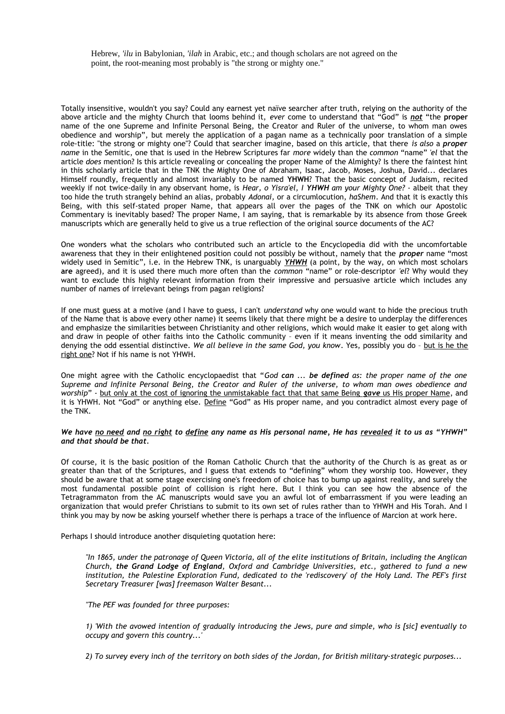Hebrew, *'ilu* in Babylonian, *'ilah* in Arabic, etc.; and though scholars are not agreed on the point, the root-meaning most probably is "the strong or mighty one."

Totally insensitive, wouldn't you say? Could any earnest yet naïve searcher after truth, relying on the authority of the above article and the mighty Church that looms behind it, *ever* come to understand that "God" is *not* "the **proper** name of the one Supreme and Infinite Personal Being, the Creator and Ruler of the universe, to whom man owes obedience and worship", but merely the application of a pagan name as a technically poor translation of a simple role-title: "the strong or mighty one"? Could that searcher imagine, based on this article, that there *is also* a *proper name* in the Semitic, one that is used in the Hebrew Scriptures far *more* widely than the *common* "name" *'el* that the article *does* mention? Is this article revealing or concealing the proper Name of the Almighty? Is there the faintest hint in this scholarly article that in the TNK the Mighty One of Abraham, Isaac, Jacob, Moses, Joshua, David... declares Himself roundly, frequently and almost invariably to be named **YHWH**? That the basic concept of Judaism, recited weekly if not twice-daily in any observant home, is *Hear, o Yisra'el, I YHWH am your Mighty One?* - albeit that they too hide the truth strangely behind an alias, probably *Adonai,* or a circumlocution, *haShem*. And that it is exactly this Being, with this self-stated proper Name, that appears all over the pages of the TNK on which our Apostolic Commentary is inevitably based? The proper Name, I am saying, that is remarkable by its absence from those Greek manuscripts which are generally held to give us a true reflection of the original source documents of the AC?

One wonders what the scholars who contributed such an article to the Encyclopedia did with the uncomfortable awareness that they in their enlightened position could not possibly be without, namely that the *proper* name "most widely used in Semitic", i.e. in the Hebrew TNK, is unarguably YHWH (a point, by the way, on which most scholars **are** agreed), and it is used there much more often than the *common* "name" or role-descriptor *'el*? Why would they want to exclude this highly relevant information from their impressive and persuasive article which includes any number of names of irrelevant beings from pagan religions?

If one must guess at a motive (and I have to guess, I can't *understand* why one would want to hide the precious truth of the Name that is above every other name) it seems likely that there might be a desire to underplay the differences and emphasize the similarities between Christianity and other religions, which would make it easier to get along with and draw in people of other faiths into the Catholic community – even if it means inventing the odd similarity and denying the odd essential distinctive. We all believe in the same God, you know. Yes, possibly you do - but is he the right one? Not if his name is not YHWH.

One might agree with the Catholic encyclopaedist that "*God can ... be defined as: the proper name of the one Supreme and Infinite Personal Being, the Creator and Ruler of the universe, to whom man owes obedience and worship*" - but only at the cost of ignoring the unmistakable fact that that same Being gave us His proper Name, and it is YHWH. Not "God" or anything else. Define "God" as His proper name, and you contradict almost every page of the TNK.

#### *We have no need and no right to define any name as His personal name, He has revealed it to us as "YHWH" and that should be that.*

Of course, it is the basic position of the Roman Catholic Church that the authority of the Church is as great as or greater than that of the Scriptures, and I guess that extends to "defining" whom they worship too. However, they should be aware that at some stage exercising one's freedom of choice has to bump up against reality, and surely the most fundamental possible point of collision is right here. But I think you can see how the absence of the Tetragrammaton from the AC manuscripts would save you an awful lot of embarrassment if you were leading an organization that would prefer Christians to submit to its own set of rules rather than to YHWH and His Torah. And I think you may by now be asking yourself whether there is perhaps a trace of the influence of Marcion at work here.

Perhaps I should introduce another disquieting quotation here:

*"In 1865, under the patronage of Queen Victoria, all of the elite institutions of Britain, including the Anglican Church, the Grand Lodge of England, Oxford and Cambridge Universities, etc., gathered to fund a new institution, the Palestine Exploration Fund, dedicated to the 'rediscovery' of the Holy Land. The PEF's first Secretary Treasurer [was] freemason Walter Besant...* 

*"The PEF was founded for three purposes:* 

*1) 'With the avowed intention of gradually introducing the Jews, pure and simple, who is [sic] eventually to occupy and govern this country...'* 

*2) To survey every inch of the territory on both sides of the Jordan, for British military-strategic purposes...*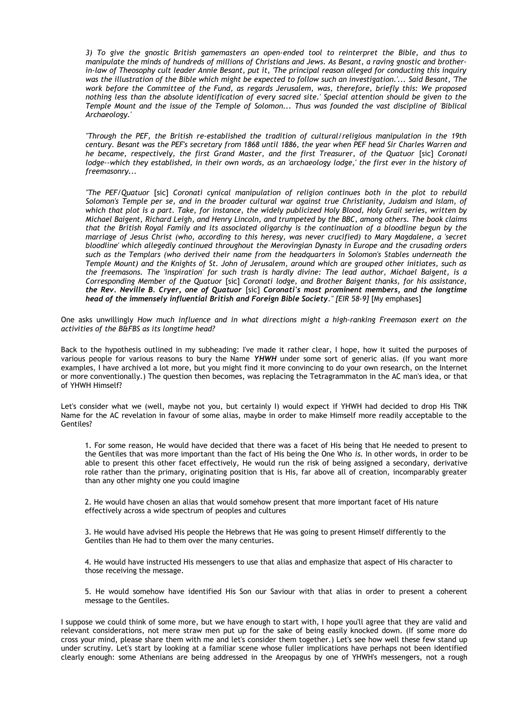*3) To give the gnostic British gamemasters an open-ended tool to reinterpret the Bible, and thus to manipulate the minds of hundreds of millions of Christians and Jews. As Besant, a raving gnostic and brotherin-law of Theosophy cult leader Annie Besant, put it, 'The principal reason alleged for conducting this inquiry was the illustration of the Bible which might be expected to follow such an investigation.'... Said Besant, 'The work before the Committee of the Fund, as regards Jerusalem, was, therefore, briefly this: We proposed nothing less than the absolute identification of every sacred site.' Special attention should be given to the Temple Mount and the issue of the Temple of Solomon... Thus was founded the vast discipline of 'Biblical Archaeology.'* 

*"Through the PEF, the British re-established the tradition of cultural/religious manipulation in the 19th century. Besant was the PEF's secretary from 1868 until 1886, the year when PEF head Sir Charles Warren and he became, respectively, the first Grand Master, and the first Treasurer, of the Quatuor [sic] Coronati lodge--which they established, in their own words, as an 'archaeology lodge,' the first ever in the history of freemasonry...* 

*"The PEF/Quatuor* [sic] *Coronati cynical manipulation of religion continues both in the plot to rebuild Solomon's Temple per se, and in the broader cultural war against true Christianity, Judaism and Islam, of which that plot is a part. Take, for instance, the widely publicized Holy Blood, Holy Grail series, written by Michael Baigent, Richard Leigh, and Henry Lincoln, and trumpeted by the BBC, among others. The book claims that the British Royal Family and its associated oligarchy is the continuation of a bloodline begun by the marriage of Jesus Christ (who, according to this heresy, was never crucified) to Mary Magdalene, a 'secret bloodline' which allegedly continued throughout the Merovingian Dynasty in Europe and the crusading orders such as the Templars (who derived their name from the headquarters in Solomon's Stables underneath the Temple Mount) and the Knights of St. John of Jerusalem, around which are grouped other initiates, such as the freemasons. The 'inspiration' for such trash is hardly divine: The lead author, Michael Baigent, is a Corresponding Member of the Quatuor* [sic] *Coronati lodge, and Brother Baigent thanks, for his assistance, the Rev. Neville B. Cryer, one of Quatuor* [sic] *Coronati's most prominent members, and the longtime head of the immensely influential British and Foreign Bible Society." [EIR 58-9]* [My emphases]

One asks unwillingly *How much influence and in what directions might a high-ranking Freemason exert on the activities of the B&FBS as its longtime head?*

Back to the hypothesis outlined in my subheading: I've made it rather clear, I hope, how it suited the purposes of various people for various reasons to bury the Name *YHWH* under some sort of generic alias. (If you want more examples, I have archived a lot more, but you might find it more convincing to do your own research, on the Internet or more conventionally.) The question then becomes, was replacing the Tetragrammaton in the AC man's idea, or that of YHWH Himself?

Let's consider what we (well, maybe not you, but certainly I) would expect if YHWH had decided to drop His TNK Name for the AC revelation in favour of some alias, maybe in order to make Himself more readily acceptable to the Gentiles?

1. For some reason, He would have decided that there was a facet of His being that He needed to present to the Gentiles that was more important than the fact of His being the One Who *is.* In other words, in order to be able to present this other facet effectively, He would run the risk of being assigned a secondary, derivative role rather than the primary, originating position that is His, far above all of creation, incomparably greater than any other mighty one you could imagine

2. He would have chosen an alias that would somehow present that more important facet of His nature effectively across a wide spectrum of peoples and cultures

3. He would have advised His people the Hebrews that He was going to present Himself differently to the Gentiles than He had to them over the many centuries.

4. He would have instructed His messengers to use that alias and emphasize that aspect of His character to those receiving the message.

5. He would somehow have identified His Son our Saviour with that alias in order to present a coherent message to the Gentiles.

I suppose we could think of some more, but we have enough to start with, I hope you'll agree that they are valid and relevant considerations, not mere straw men put up for the sake of being easily knocked down. (If some more do cross your mind, please share them with me and let's consider them together.) Let's see how well these few stand up under scrutiny. Let's start by looking at a familiar scene whose fuller implications have perhaps not been identified clearly enough: some Athenians are being addressed in the Areopagus by one of YHWH's messengers, not a rough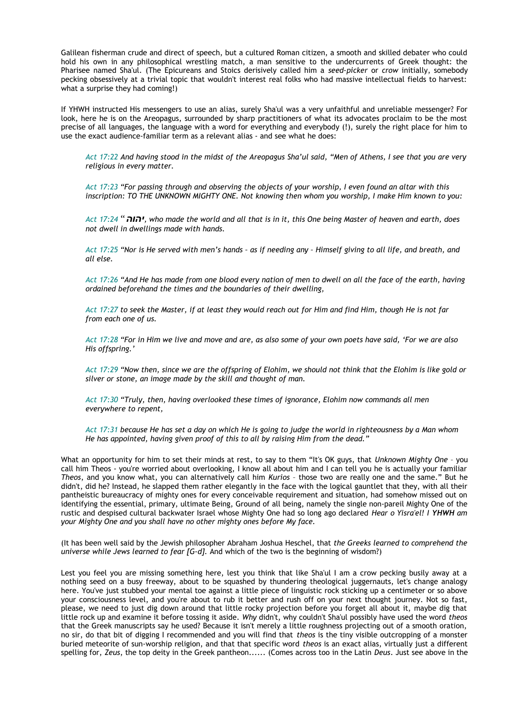Galilean fisherman crude and direct of speech, but a cultured Roman citizen, a smooth and skilled debater who could hold his own in any philosophical wrestling match, a man sensitive to the undercurrents of Greek thought: the Pharisee named Sha'ul. (The Epicureans and Stoics derisively called him a *seed-picker* or *crow* initially, somebody pecking obsessively at a trivial topic that wouldn't interest real folks who had massive intellectual fields to harvest: what a surprise they had coming!)

If YHWH instructed His messengers to use an alias, surely Sha'ul was a very unfaithful and unreliable messenger? For look, here he is on the Areopagus, surrounded by sharp practitioners of what its advocates proclaim to be the most precise of all languages, the language with a word for everything and everybody (!), surely the right place for him to use the exact audience-familiar term as a relevant alias - and see what he does:

*Act 17:22 And having stood in the midst of the Areopagus Sha'ul said, "Men of Athens, I see that you are very religious in every matter.* 

*Act 17:23 "For passing through and observing the objects of your worship, I even found an altar with this inscription: TO THE UNKNOWN MIGHTY ONE. Not knowing then whom you worship, I make Him known to you:* 

*Act 17:24* "*יהוה, who made the world and all that is in it, this One being Master of heaven and earth, does not dwell in dwellings made with hands.* 

*Act 17:25 "Nor is He served with men's hands – as if needing any – Himself giving to all life, and breath, and all else.* 

*Act 17:26 "And He has made from one blood every nation of men to dwell on all the face of the earth, having ordained beforehand the times and the boundaries of their dwelling,* 

*Act 17:27 to seek the Master, if at least they would reach out for Him and find Him, though He is not far from each one of us.* 

*Act 17:28 "For in Him we live and move and are, as also some of your own poets have said, 'For we are also His offspring.'* 

*Act 17:29 "Now then, since we are the offspring of Elohim, we should not think that the Elohim is like gold or silver or stone, an image made by the skill and thought of man.* 

*Act 17:30 "Truly, then, having overlooked these times of ignorance, Elohim now commands all men everywhere to repent,* 

*Act 17:31 because He has set a day on which He is going to judge the world in righteousness by a Man whom He has appointed, having given proof of this to all by raising Him from the dead."* 

What an opportunity for him to set their minds at rest, to say to them "It's OK guys, that *Unknown Mighty One* – you call him Theos - you're worried about overlooking, I know all about him and I can tell you he is actually your familiar *Theos*, and you know what, you can alternatively call him *Kurios* – those two are really one and the same." But he didn't, did he? Instead, he slapped them rather elegantly in the face with the logical gauntlet that they, with all their pantheistic bureaucracy of mighty ones for every conceivable requirement and situation, had somehow missed out on identifying the essential, primary, ultimate Being, Ground of all being, namely the single non-pareil Mighty One of the rustic and despised cultural backwater Israel whose Mighty One had so long ago declared *Hear o Yisra'el! I YHWH am your Mighty One and you shall have no other mighty ones before My face.*

(It has been well said by the Jewish philosopher Abraham Joshua Heschel, that *the Greeks learned to comprehend the universe while Jews learned to fear [G-d].* And which of the two is the beginning of wisdom?)

Lest you feel you are missing something here, lest you think that like Sha'ul I am a crow pecking busily away at a nothing seed on a busy freeway, about to be squashed by thundering theological juggernauts, let's change analogy here. You've just stubbed your mental toe against a little piece of linguistic rock sticking up a centimeter or so above your consciousness level, and you're about to rub it better and rush off on your next thought journey. Not so fast, please, we need to just dig down around that little rocky projection before you forget all about it, maybe dig that little rock up and examine it before tossing it aside. *Why* didn't, why couldn't Sha'ul possibly have used the word *theos* that the Greek manuscripts say he used? Because it isn't merely a little roughness projecting out of a smooth oration, no sir, do that bit of digging I recommended and you will find that *theos* is the tiny visible outcropping of a monster buried meteorite of sun-worship religion, and that that specific word *theos* is an exact alias, virtually just a different spelling for, *Zeus*, the top deity in the Greek pantheon...... (Comes across too in the Latin *Deus*. Just see above in the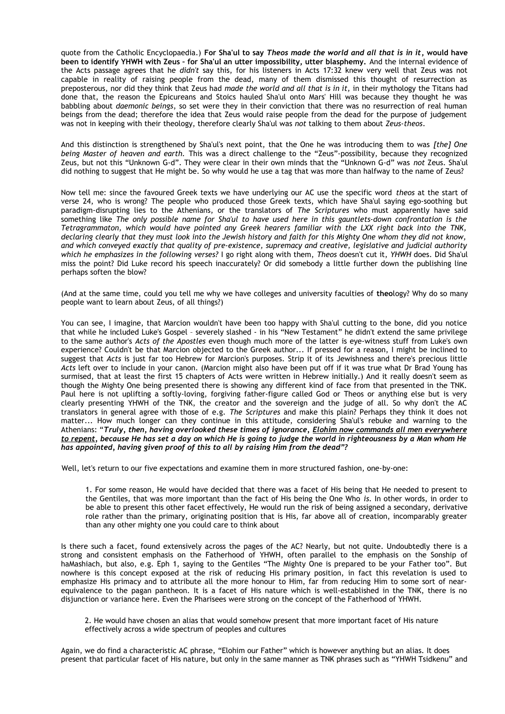quote from the Catholic Encyclopaedia.) **For Sha'ul to say** *Theos made the world and all that is in it***, would have been to identify YHWH with Zeus – for Sha'ul an utter impossibility, utter blasphemy.** And the internal evidence of the Acts passage agrees that he *didn't* say this, for his listeners in Acts 17:32 knew very well that Zeus was not capable in reality of raising people from the dead, many of them dismissed this thought of resurrection as preposterous, nor did they think that Zeus had *made the world and all that is in it,* in their mythology the Titans had done that, the reason the Epicureans and Stoics hauled Sha'ul onto Mars' Hill was because they thought he was babbling about *daemonic beings*, so set were they in their conviction that there was no resurrection of real human beings from the dead; therefore the idea that Zeus would raise people from the dead for the purpose of judgement was not in keeping with their theology, therefore clearly Sha'ul was *not* talking to them about *Zeus-theos*.

And this distinction is strengthened by Sha'ul's next point, that the One he was introducing them to was *[the] One being Master of heaven and earth.* This was a direct challenge to the "Zeus"-possibility, because they recognized Zeus, but not this "Unknown G-d". They were clear in their own minds that the "Unknown G-d" was *not* Zeus. Sha'ul did nothing to suggest that He might be. So why would he use a tag that was more than halfway to the name of Zeus?

Now tell me: since the favoured Greek texts we have underlying our AC use the specific word *theos* at the start of verse 24, who is wrong? The people who produced those Greek texts, which have Sha'ul saying ego-soothing but paradigm-disrupting lies to the Athenians, or the translators of *The Scriptures* who must apparently have said something like *The only possible name for Sha'ul to have used here in this gauntlets-down confrontation is the Tetragrammaton, which would have pointed any Greek hearers familiar with the LXX right back into the TNK, declaring clearly that they must look into the Jewish history and faith for this Mighty One whom they did not know, and which conveyed exactly that quality of pre-existence, supremacy and creative, legislative and judicial authority which he emphasizes in the following verses?* I go right along with them, *Theos* doesn't cut it, *YHWH* does. Did Sha'ul miss the point? Did Luke record his speech inaccurately? Or did somebody a little further down the publishing line perhaps soften the blow?

(And at the same time, could you tell me why we have colleges and university faculties of **theo**logy? Why do so many people want to learn about Zeus, of all things?)

You can see, I imagine, that Marcion wouldn't have been too happy with Sha'ul cutting to the bone, did you notice that while he included Luke's Gospel – severely slashed - in his "New Testament" he didn't extend the same privilege to the same author's *Acts of the Apostles* even though much more of the latter is eye-witness stuff from Luke's own experience? Couldn't be that Marcion objected to the Greek author... If pressed for a reason, I might be inclined to suggest that *Acts* is just far too Hebrew for Marcion's purposes. Strip it of its Jewishness and there's precious little *Acts* left over to include in your canon. (Marcion might also have been put off if it was true what Dr Brad Young has surmised, that at least the first 15 chapters of Acts were written in Hebrew initially.) And it really doesn't seem as though the Mighty One being presented there is showing any different kind of face from that presented in the TNK. Paul here is not uplifting a softly-loving, forgiving father-figure called God or Theos or anything else but is very clearly presenting YHWH of the TNK, the creator and the sovereign and the judge of all. So why don't the AC translators in general agree with those of e.g. *The Scriptures* and make this plain? Perhaps they think it does not matter... How much longer can they continue in this attitude, considering Sha'ul's rebuke and warning to the Athenians: "*Truly, then, having overlooked these times of ignorance, Elohim now commands all men everywhere to repent, because He has set a day on which He is going to judge the world in righteousness by a Man whom He has appointed, having given proof of this to all by raising Him from the dead"?* 

Well, let's return to our five expectations and examine them in more structured fashion, one-by-one:

1. For some reason, He would have decided that there was a facet of His being that He needed to present to the Gentiles, that was more important than the fact of His being the One Who *is.* In other words, in order to be able to present this other facet effectively, He would run the risk of being assigned a secondary, derivative role rather than the primary, originating position that is His, far above all of creation, incomparably greater than any other mighty one you could care to think about

Is there such a facet, found extensively across the pages of the AC? Nearly, but not quite. Undoubtedly there is a strong and consistent emphasis on the Fatherhood of YHWH, often parallel to the emphasis on the Sonship of haMashiach, but also, e.g. Eph 1, saying to the Gentiles "The Mighty One is prepared to be your Father too". But nowhere is this concept exposed at the risk of reducing His primary position, in fact this revelation is used to emphasize His primacy and to attribute all the more honour to Him, far from reducing Him to some sort of nearequivalence to the pagan pantheon. It is a facet of His nature which is well-established in the TNK, there is no disjunction or variance here. Even the Pharisees were strong on the concept of the Fatherhood of YHWH.

2. He would have chosen an alias that would somehow present that more important facet of His nature effectively across a wide spectrum of peoples and cultures

Again, we do find a characteristic AC phrase, "Elohim our Father" which is however anything but an alias. It does present that particular facet of His nature, but only in the same manner as TNK phrases such as "YHWH Tsidkenu" and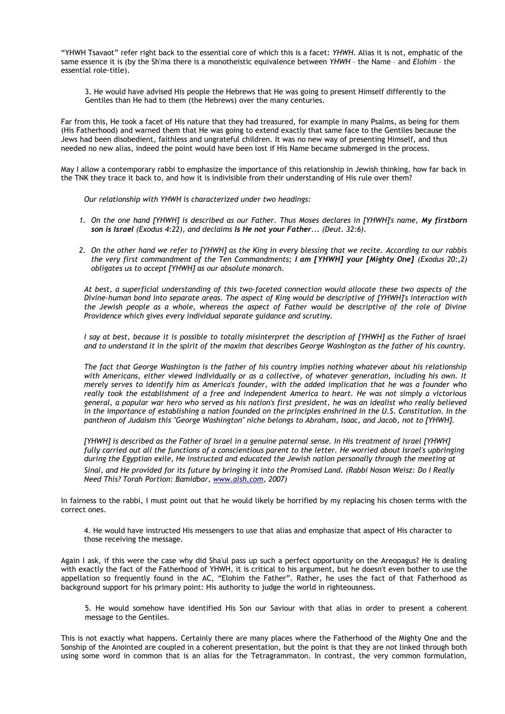"YHWH Tsavaot" refer right back to the essential core of which this is a facet: *YHWH.* Alias it is not, emphatic of the same essence it is (by the Sh'ma there is a monotheistic equivalence between *YHWH* – the Name – and *Elohim* – the essential role-title).

3. He would have advised His people the Hebrews that He was going to present Himself differently to the Gentiles than He had to them (the Hebrews) over the many centuries.

Far from this, He took a facet of His nature that they had treasured, for example in many Psalms, as being for them (His Fatherhood) and warned them that He was going to extend exactly that same face to the Gentiles because the Jews had been disobedient, faithless and ungrateful children. It was no new way of presenting Himself, and thus needed no new alias, indeed the point would have been lost if His Name became submerged in the process.

May I allow a contemporary rabbi to emphasize the importance of this relationship in Jewish thinking, how far back in the TNK they trace it back to, and how it is indivisible from their understanding of His rule over them?

*Our relationship with YHWH is characterized under two headings:*

- *1. On the one hand [YHWH] is described as our Father. Thus Moses declares in [YHWH]'s name, My firstborn son is Israel (Exodus 4:22), and declaims Is He not your Father... (Deut. 32:6).*
- *2. On the other hand we refer to [YHWH] as the King in every blessing that we recite. According to our rabbis the very first commandment of the Ten Commandments; I am [YHWH] your [Mighty One] (Exodus 20:,2) obligates us to accept [YHWH] as our absolute monarch.*

*At best, a superficial understanding of this two-faceted connection would allocate these two aspects of the Divine-human bond into separate areas. The aspect of King would be descriptive of [YHWH]'s interaction with the Jewish people as a whole, whereas the aspect of Father would be descriptive of the role of Divine Providence which gives every individual separate guidance and scrutiny.*

*I say at best, because it is possible to totally misinterpret the description of [YHWH] as the Father of Israel and to understand it in the spirit of the maxim that describes George Washington as the father of his country.*

*The fact that George Washington is the father of his country implies nothing whatever about his relationship with Americans, either viewed individually or as a collective, of whatever generation, including his own. It merely serves to identify him as America's founder, with the added implication that he was a founder who really took the establishment of a free and independent America to heart. He was not simply a victorious general, a popular war hero who served as his nation's first president, he was an idealist who really believed in the importance of establishing a nation founded on the principles enshrined in the U.S. Constitution. In the pantheon of Judaism this "George Washington" niche belongs to Abraham, Isaac, and Jacob, not to [YHWH].*

*[YHWH] is described as the Father of Israel in a genuine paternal sense. In His treatment of Israel [YHWH] fully carried out all the functions of a conscientious parent to the letter. He worried about Israel's upbringing during the Egyptian exile, He instructed and educated the Jewish nation personally through the meeting at*

*Sinai, and He provided for its future by bringing it into the Promised Land. (Rabbi Noson Weisz: Do I Really Need This? Torah Portion: Bamidbar, [www.aish.com,](http://www.aish.com/) 2007)*

In fairness to the rabbi, I must point out that he would likely be horrified by my replacing his chosen terms with the correct ones.

4. He would have instructed His messengers to use that alias and emphasize that aspect of His character to those receiving the message.

Again I ask, if this were the case why did Sha'ul pass up such a perfect opportunity on the Areopagus? He is dealing with exactly the fact of the Fatherhood of YHWH, it is critical to his argument, but he doesn't even bother to use the appellation so frequently found in the AC, "Elohim the Father". Rather, he uses the fact of that Fatherhood as background support for his primary point: His authority to judge the world in righteousness.

5. He would somehow have identified His Son our Saviour with that alias in order to present a coherent message to the Gentiles.

This is not exactly what happens. Certainly there are many places where the Fatherhood of the Mighty One and the Sonship of the Anointed are coupled in a coherent presentation, but the point is that they are not linked through both using some word in common that is an alias for the Tetragrammaton. In contrast, the very common formulation,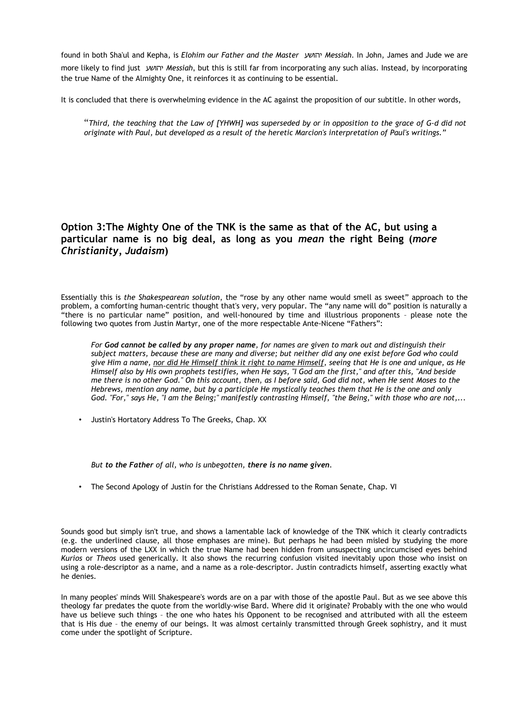found in both Sha'ul and Kepha, is *Elohim our Father and the Master* יהושע *Messiah*. In John, James and Jude we are more likely to find just יהושע *Messiah*, but this is still far from incorporating any such alias. Instead, by incorporating the true Name of the Almighty One, it reinforces it as continuing to be essential.

It is concluded that there is overwhelming evidence in the AC against the proposition of our subtitle. In other words,

"*Third, the teaching that the Law of [YHWH] was superseded by or in opposition to the grace of G-d did not originate with Paul, but developed as a result of the heretic Marcion's interpretation of Paul's writings."*

### **Option 3:The Mighty One of the TNK is the same as that of the AC, but using a particular name is no big deal, as long as you** *mean* **the right Being (***more Christianity, Judaism***)**

Essentially this is *the Shakespearean solution*, the "rose by any other name would smell as sweet" approach to the problem, a comforting human-centric thought that's very, very popular. The "any name will do" position is naturally a "there is no particular name" position, and well-honoured by time and illustrious proponents – please note the following two quotes from Justin Martyr, one of the more respectable Ante-Nicene "Fathers":

*For God cannot be called by any proper name, for names are given to mark out and distinguish their subject matters, because these are many and diverse; but neither did any one exist before God who could give Him a name, nor did He Himself think it right to name Himself, seeing that He is one and unique, as He Himself also by His own prophets testifies, when He says, "I God am the first," and after this, "And beside me there is no other God." On this account, then, as I before said, God did not, when He sent Moses to the Hebrews, mention any name, but by a participle He mystically teaches them that He is the one and only God. "For," says He, "I am the Being;" manifestly contrasting Himself, "the Being," with those who are not,...*

• Justin's Hortatory Address To The Greeks, Chap. XX

*But to the Father of all, who is unbegotten, there is no name given.*

• The Second Apology of Justin for the Christians Addressed to the Roman Senate, Chap. VI

Sounds good but simply isn't true, and shows a lamentable lack of knowledge of the TNK which it clearly contradicts (e.g. the underlined clause, all those emphases are mine). But perhaps he had been misled by studying the more modern versions of the LXX in which the true Name had been hidden from unsuspecting uncircumcised eyes behind *Kurios* or *Theos* used generically. It also shows the recurring confusion visited inevitably upon those who insist on using a role-descriptor as a name, and a name as a role-descriptor. Justin contradicts himself, asserting exactly what he denies.

In many peoples' minds Will Shakespeare's words are on a par with those of the apostle Paul. But as we see above this theology far predates the quote from the worldly-wise Bard. Where did it originate? Probably with the one who would have us believe such things – the one who hates his Opponent to be recognised and attributed with all the esteem that is His due – the enemy of our beings. It was almost certainly transmitted through Greek sophistry, and it must come under the spotlight of Scripture.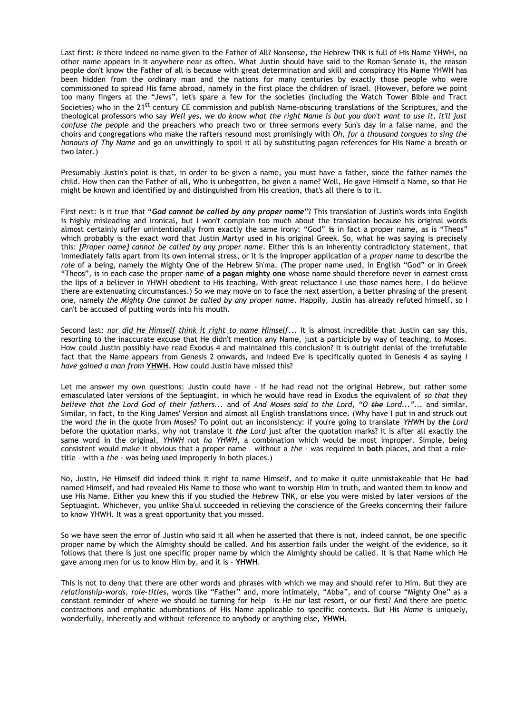Last first: *Is* there indeed no name given to the Father of All? Nonsense, the Hebrew TNK is full of His Name YHWH, no other name appears in it anywhere near as often. What Justin should have said to the Roman Senate is, the reason people don't know the Father of all is because with great determination and skill and conspiracy His Name YHWH has been hidden from the ordinary man and the nations for many centuries by exactly those people who were commissioned to spread His fame abroad, namely in the first place the children of Israel. (However, before we point too many fingers at the "Jews", let's spare a few for the societies (including the Watch Tower Bible and Tract Societies) who in the 21<sup>st</sup> century CE commission and publish Name-obscuring translations of the Scriptures, and the theological professors who say *Well yes, we do know what the right Name is but you don't want to use it, it'll just confuse the people* and the preachers who preach two or three sermons every Sun's day in a false name, and the choirs and congregations who make the rafters resound most promisingly with *Oh, for a thousand tongues to sing the honours of Thy Name* and go on unwittingly to spoil it all by substituting pagan references for His Name a breath or two later.)

Presumably Justin's point is that, in order to be given a name, you must have a father, since the father names the child. How then can the Father of all, Who is unbegotten, be given a name? Well, He gave Himself a Name, so that He might be known and identified by and distinguished from His creation, that's all there is to it.

First next: Is it true that "*God cannot be called by any proper name*"? This translation of Justin's words into English is highly misleading and ironical, but I won't complain too much about the translation because his original words almost certainly suffer unintentionally from exactly the same irony: "God" **is** in fact a proper name, as is "Theos" which probably is the exact word that Justin Martyr used in his original Greek. So, what he was saying is precisely this: *[Proper name] cannot be called by any proper name*. Either this is an inherently contradictory statement, that immediately falls apart from its own internal stress, or it is the improper application of a *proper name* to describe the *role* of a being, namely the Mighty One of the Hebrew Sh'ma. (The proper name used, in English "God" or in Greek "Theos", is in each case the proper name **of a pagan mighty one** whose name should therefore never in earnest cross the lips of a believer in YHWH obedient to His teaching. With great reluctance I use those names here, I do believe there are extenuating circumstances.) So we may move on to face the next assertion, a better phrasing of the present one, namely *the Mighty One cannot be called by any proper name*. Happily, Justin has already refuted himself, so I can't be accused of putting words into his mouth.

Second last: *nor did He Himself think it right to name Himself...* It is almost incredible that Justin can say this, resorting to the inaccurate excuse that He didn't mention any Name, just a participle by way of teaching, to Moses. How could Justin possibly have read Exodus 4 and maintained this conclusion? It is outright denial of the irrefutable fact that the Name appears from Genesis 2 onwards, and indeed Eve is specifically quoted in Genesis 4 as saying *I have gained a man from* **YHWH**. How could Justin have missed this?

Let me answer my own questions: Justin could have - if he had read not the original Hebrew, but rather some emasculated later versions of the Septuagint, in which he would have read in Exodus the equivalent of *so that they believe that the Lord God of their fathers...* and of *And Moses said to the Lord, "O the Lord..."...* and similar. Similar, in fact, to the King James' Version and almost all English translations since. (Why have I put in and struck out the word *the* in the quote from Moses? To point out an inconsistency: if you're going to translate *YHWH* by *the Lord* before the quotation marks, why not translate it *the Lord* just after the quotation marks? It is after all exactly the same word in the original, *YHWH* not *ha YHWH*, a combination which would be most improper. Simple, being consistent would make it obvious that a proper name – without a *the* - was required in **both** places, and that a roletitle – with a *the* - was being used improperly in both places.)

No, Justin, He Himself did indeed think it right to name Himself, and to make it quite unmistakeable that He **had** named Himself, and had revealed His Name to those who want to worship Him in truth, and wanted them to know and use His Name. Either you knew this if you studied the *Hebrew* TNK, or else you were misled by later versions of the Septuagint. Whichever, you unlike Sha'ul succeeded in relieving the conscience of the Greeks concerning their failure to know YHWH. It was a great opportunity that you missed.

So we have seen the error of Justin who said it all when he asserted that there is not, indeed cannot, be one specific proper name by which the Almighty should be called. And his assertion fails under the weight of the evidence, so it follows that there is just one specific proper name by which the Almighty should be called. It is that Name which He gave among men for us to know Him by, and it is – **YHWH**.

This is not to deny that there are other words and phrases with which we may and should refer to Him. But they are *relationship-words, role-titles*, words like "Father" and, more intimately, "Abba", and of course "Mighty One" as a constant reminder of where we should be turning for help – is He our last resort, or our first? And there are poetic contractions and emphatic adumbrations of His Name applicable to specific contexts. But His *Name* is uniquely, wonderfully, inherently and without reference to anybody or anything else, **YHWH.**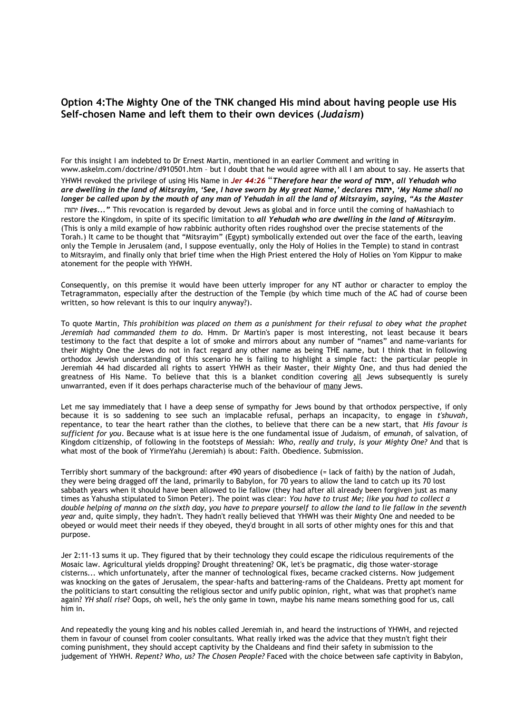### **Option 4:The Mighty One of the TNK changed His mind about having people use His Self-chosen Name and left them to their own devices (***Judaism***)**

For this insight I am indebted to Dr Ernest Martin, mentioned in an earlier Comment and writing in www.askelm.com/doctrine/d910501.htm – but I doubt that he would agree with all I am about to say. He asserts that YHWH revoked the privilege of using His Name in *Jer 44:26* "*Therefore hear the word of* **יהוה***, all Yehudah who are dwelling in the land of Mitsrayim, 'See, I have sworn by My great Name,' declares* **יהוה***,' My Name shall no longer be called upon by the mouth of any man of Yehudah in all the land of Mitsrayim, saying, "As the Master* יהוה *lives..."* This revocation is regarded by devout Jews as global and in force until the coming of haMashiach to restore the Kingdom, in spite of its specific limitation to *all Yehudah who are dwelling in the land of Mitsrayim*. (This is only a mild example of how rabbinic authority often rides roughshod over the precise statements of the Torah.) It came to be thought that "Mitsrayim" (Egypt) symbolically extended out over the face of the earth, leaving only the Temple in Jerusalem (and, I suppose eventually, only the Holy of Holies in the Temple) to stand in contrast to Mitsrayim, and finally only that brief time when the High Priest entered the Holy of Holies on Yom Kippur to make atonement for the people with YHWH.

Consequently, on this premise it would have been utterly improper for any NT author or character to employ the Tetragrammaton, especially after the destruction of the Temple (by which time much of the AC had of course been written, so how relevant is this to our inquiry anyway?).

To quote Martin, *This prohibition was placed on them as a punishment for their refusal to obey what the prophet Jeremiah had commanded them to do.* Hmm. Dr Martin's paper is most interesting, not least because it bears testimony to the fact that despite a lot of smoke and mirrors about any number of "names" and name-variants for their Mighty One the Jews do not in fact regard any other name as being THE name, but I think that in following orthodox Jewish understanding of this scenario he is failing to highlight a simple fact: the particular people in Jeremiah 44 had discarded all rights to assert YHWH as their Master, their Mighty One, and thus had denied the greatness of His Name. To believe that this is a blanket condition covering all Jews subsequently is surely unwarranted, even if it does perhaps characterise much of the behaviour of many Jews.

Let me say immediately that I have a deep sense of sympathy for Jews bound by that orthodox perspective, if only because it is so saddening to see such an implacable refusal, perhaps an incapacity, to engage in *t'shuvah*, repentance, to tear the heart rather than the clothes, to believe that there can be a new start, that *His favour is sufficient for you*. Because what is at issue here is the one fundamental issue of Judaism, of *emunah*, of salvation, of Kingdom citizenship, of following in the footsteps of Messiah: *Who, really and truly, is your Mighty One?* And that is what most of the book of YirmeYahu (Jeremiah) is about: Faith. Obedience. Submission.

Terribly short summary of the background: after 490 years of disobedience (= lack of faith) by the nation of Judah, they were being dragged off the land, primarily to Babylon, for 70 years to allow the land to catch up its 70 lost sabbath years when it should have been allowed to lie fallow (they had after all already been forgiven just as many times as Yahusha stipulated to Simon Peter). The point was clear: *You have to trust Me; like you had to collect a double helping of manna on the sixth day, you have to prepare yourself to allow the land to lie fallow in the seventh year* and, quite simply, they hadn't. They hadn't really believed that YHWH was their Mighty One and needed to be obeyed or would meet their needs if they obeyed, they'd brought in all sorts of other mighty ones for this and that purpose.

Jer 2:11-13 sums it up. They figured that by their technology they could escape the ridiculous requirements of the Mosaic law. Agricultural yields dropping? Drought threatening? OK, let's be pragmatic, dig those water-storage cisterns... which unfortunately, after the manner of technological fixes, became cracked cisterns. Now judgement was knocking on the gates of Jerusalem, the spear-hafts and battering-rams of the Chaldeans. Pretty apt moment for the politicians to start consulting the religious sector and unify public opinion, right, what was that prophet's name again? *YH shall rise*? Oops, oh well, he's the only game in town, maybe his name means something good for us, call him in.

And repeatedly the young king and his nobles called Jeremiah in, and heard the instructions of YHWH, and rejected them in favour of counsel from cooler consultants. What really irked was the advice that they mustn't fight their coming punishment, they should accept captivity by the Chaldeans and find their safety in submission to the judgement of YHWH. *Repent? Who, us? The Chosen People?* Faced with the choice between safe captivity in Babylon,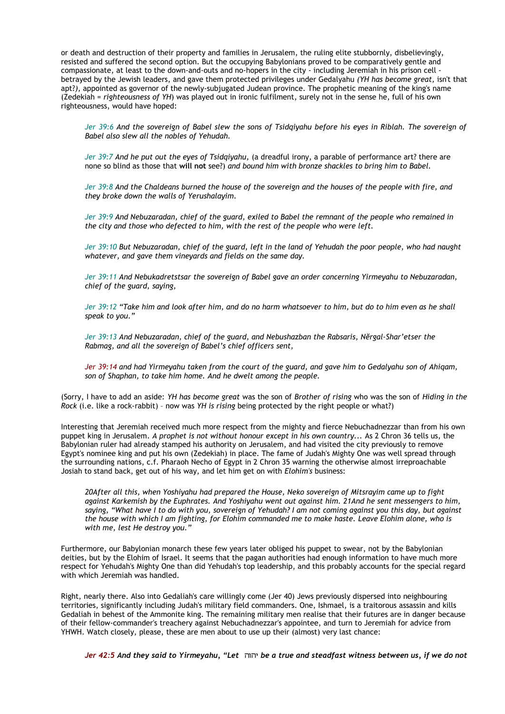or death and destruction of their property and families in Jerusalem, the ruling elite stubbornly, disbelievingly, resisted and suffered the second option. But the occupying Babylonians proved to be comparatively gentle and compassionate, at least to the down-and-outs and no-hopers in the city - including Jeremiah in his prison cell betrayed by the Jewish leaders, and gave them protected privileges under Gedalyahu *(YH has become great,* isn't that apt?*),* appointed as governor of the newly-subjugated Judean province. The prophetic meaning of the king's name (Zedekiah = *righteousness of YH*) was played out in ironic fulfilment, surely not in the sense he, full of his own righteousness, would have hoped:

*Jer 39:6 And the sovereign of Babel slew the sons of Tsidqiyahu before his eyes in Riblah. The sovereign of Babel also slew all the nobles of Yehudah.* 

*Jer 39:7 And he put out the eyes of Tsidqiyahu,* (a dreadful irony, a parable of performance art? there are none so blind as those that **will not** see?) *and bound him with bronze shackles to bring him to Babel.* 

*Jer 39:8 And the Chaldeans burned the house of the sovereign and the houses of the people with fire, and they broke down the walls of Yerushalayim.* 

*Jer 39:9 And Nebuzaradan, chief of the guard, exiled to Babel the remnant of the people who remained in the city and those who defected to him, with the rest of the people who were left.* 

*Jer 39:10 But Nebuzaradan, chief of the guard, left in the land of Yehudah the poor people, who had naught whatever, and gave them vineyards and fields on the same day.* 

*Jer 39:11 And Nebukadretstsar the sovereign of Babel gave an order concerning Yirmeyahu to Nebuzaradan, chief of the guard, saying,* 

*Jer 39:12 "Take him and look after him, and do no harm whatsoever to him, but do to him even as he shall speak to you."* 

*Jer 39:13 And Nebuzaradan, chief of the guard, and Nebushazban the Rabsaris, Nĕrgal-Shar'etser the Rabmag, and all the sovereign of Babel's chief officers sent,* 

*Jer 39:14 and had Yirmeyahu taken from the court of the guard, and gave him to Gedalyahu son of Ahiqam, son of Shaphan, to take him home. And he dwelt among the people.* 

(Sorry, I have to add an aside: *YH has become great* was the son of *Brother of rising* who was the son of *Hiding in the Rock* (i.e. like a rock-rabbit) – now was *YH is rising* being protected by the right people or what?)

Interesting that Jeremiah received much more respect from the mighty and fierce Nebuchadnezzar than from his own puppet king in Jerusalem. *A prophet is not without honour except in his own country...* As 2 Chron 36 tells us, the Babylonian ruler had already stamped his authority on Jerusalem, and had visited the city previously to remove Egypt's nominee king and put his own (Zedekiah) in place. The fame of Judah's Mighty One was well spread through the surrounding nations, c.f. Pharaoh Necho of Egypt in 2 Chron 35 warning the otherwise almost irreproachable Josiah to stand back, get out of his way, and let him get on with *Elohim's* business:

*20After all this, when Yoshiyahu had prepared the House, Neko sovereign of Mitsrayim came up to fight against Karkemish by the Euphrates. And Yoshiyahu went out against him. 21And he sent messengers to him, saying, "What have I to do with you, sovereign of Yehudah? I am not coming against you this day, but against the house with which I am fighting, for Elohim commanded me to make haste. Leave Elohim alone, who is with me, lest He destroy you."*

Furthermore, our Babylonian monarch these few years later obliged his puppet to swear, not by the Babylonian deities, but by the Elohim of Israel. It seems that the pagan authorities had enough information to have much more respect for Yehudah's Mighty One than did Yehudah's top leadership, and this probably accounts for the special regard with which Jeremiah was handled.

Right, nearly there. Also into Gedaliah's care willingly come (Jer 40) Jews previously dispersed into neighbouring territories, significantly including Judah's military field commanders. One, Ishmael, is a traitorous assassin and kills Gedaliah in behest of the Ammonite king. The remaining military men realise that their futures are in danger because of their fellow-commander's treachery against Nebuchadnezzar's appointee, and turn to Jeremiah for advice from YHWH. Watch closely, please, these are men about to use up their (almost) very last chance:

*Jer 42:5 And they said to Yirmeyahu, "Let* יהוה *be a true and steadfast witness between us, if we do not*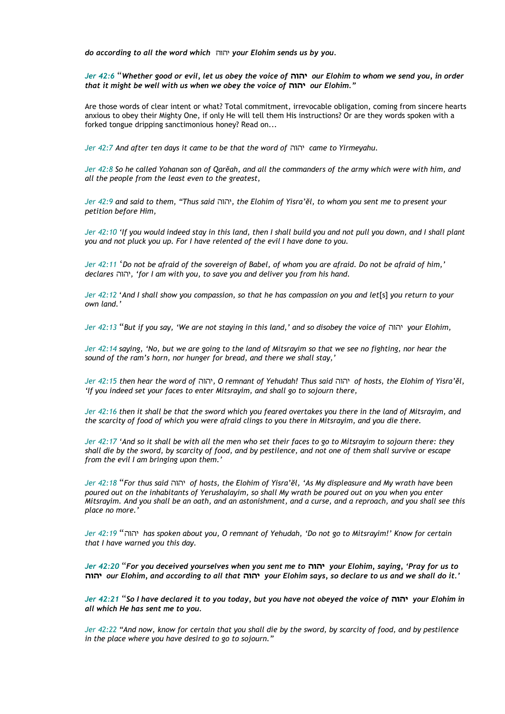*do according to all the word which* יהוה *your Elohim sends us by you.* 

*Jer 42:6* "*Whether good or evil, let us obey the voice of* **יהוה** *our Elohim to whom we send you, in order that it might be well with us when we obey the voice of* **יהוה** *our Elohim."* 

Are those words of clear intent or what? Total commitment, irrevocable obligation, coming from sincere hearts anxious to obey their Mighty One, if only He will tell them His instructions? Or are they words spoken with a forked tongue dripping sanctimonious honey? Read on...

*Jer 42:7 And after ten days it came to be that the word of* יהוה *came to Yirmeyahu.* 

*Jer 42:8 So he called Yohanan son of Qarĕah, and all the commanders of the army which were with him, and all the people from the least even to the greatest,* 

*Jer 42:9 and said to them, "Thus said* יהוה*, the Elohim of Yisra'ĕl, to whom you sent me to present your petition before Him,* 

*Jer 42:10 'If you would indeed stay in this land, then I shall build you and not pull you down, and I shall plant you and not pluck you up. For I have relented of the evil I have done to you.* 

*Jer 42:11* '*Do not be afraid of the sovereign of Babel, of whom you are afraid. Do not be afraid of him,' declares* יהוה*,' for I am with you, to save you and deliver you from his hand.* 

*Jer 42:12* '*And I shall show you compassion, so that he has compassion on you and let*[s] *you return to your own land.'* 

*Jer 42:13* "*But if you say, 'We are not staying in this land,' and so disobey the voice of* יהוה *your Elohim,* 

*Jer 42:14 saying, 'No, but we are going to the land of Mitsrayim so that we see no fighting, nor hear the sound of the ram's horn, nor hunger for bread, and there we shall stay,'* 

*Jer 42:15 then hear the word of* יהוה*, O remnant of Yehudah! Thus said* יהוה *of hosts, the Elohim of Yisra'ĕl, 'If you indeed set your faces to enter Mitsrayim, and shall go to sojourn there,* 

*Jer 42:16 then it shall be that the sword which you feared overtakes you there in the land of Mitsrayim, and the scarcity of food of which you were afraid clings to you there in Mitsrayim, and you die there.* 

*Jer 42:17 'And so it shall be with all the men who set their faces to go to Mitsrayim to sojourn there: they shall die by the sword, by scarcity of food, and by pestilence, and not one of them shall survive or escape from the evil I am bringing upon them.'* 

*Jer 42:18* "*For thus said* יהוה *of hosts, the Elohim of Yisra'ĕl, 'As My displeasure and My wrath have been poured out on the inhabitants of Yerushalayim, so shall My wrath be poured out on you when you enter Mitsrayim. And you shall be an oath, and an astonishment, and a curse, and a reproach, and you shall see this place no more.'* 

*Jer 42:19* "יהוה *has spoken about you, O remnant of Yehudah, 'Do not go to Mitsrayim!' Know for certain that I have warned you this day.* 

*Jer 42:20* "*For you deceived yourselves when you sent me to* **יהוה** *your Elohim, saying, 'Pray for us to* **יהוה** *our Elohim, and according to all that* **יהוה** *your Elohim says, so declare to us and we shall do it.'* 

*Jer 42:21* "*So I have declared it to you today, but you have not obeyed the voice of* **יהוה** *your Elohim in all which He has sent me to you.* 

*Jer 42:22 "And now, know for certain that you shall die by the sword, by scarcity of food, and by pestilence in the place where you have desired to go to sojourn."*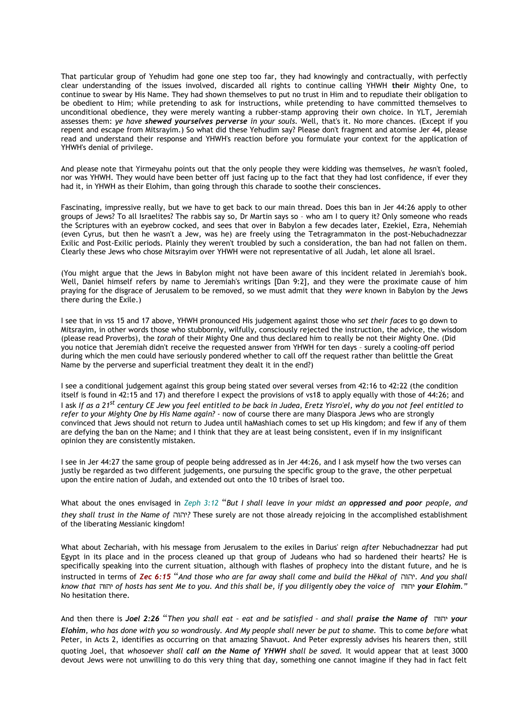That particular group of Yehudim had gone one step too far, they had knowingly and contractually, with perfectly clear understanding of the issues involved, discarded all rights to continue calling YHWH **their** Mighty One, to continue to swear by His Name. They had shown themselves to put no trust in Him and to repudiate their obligation to be obedient to Him; while pretending to ask for instructions, while pretending to have committed themselves to unconditional obedience, they were merely wanting a rubber-stamp approving their own choice. In YLT, Jeremiah assesses them: *ye have shewed yourselves perverse in your souls.* Well, that's it. No more chances. (Except if you repent and escape from Mitsrayim.) So what did these Yehudim say? Please don't fragment and atomise Jer 44, please read and understand their response and YHWH's reaction before you formulate your context for the application of YHWH's denial of privilege.

And please note that Yirmeyahu points out that the only people they were kidding was themselves, *he* wasn't fooled, nor was YHWH. They would have been better off just facing up to the fact that they had lost confidence, if ever they had it, in YHWH as their Elohim, than going through this charade to soothe their consciences.

Fascinating, impressive really, but we have to get back to our main thread. Does this ban in Jer 44:26 apply to other groups of Jews? To all Israelites? The rabbis say so, Dr Martin says so – who am I to query it? Only someone who reads the Scriptures with an eyebrow cocked, and sees that over in Babylon a few decades later, Ezekiel, Ezra, Nehemiah (even Cyrus, but then he wasn't a Jew, was he) are freely using the Tetragrammaton in the post-Nebuchadnezzar Exilic and Post-Exilic periods. Plainly they weren't troubled by such a consideration, the ban had not fallen on them. Clearly these Jews who chose Mitsrayim over YHWH were not representative of all Judah, let alone all Israel.

(You might argue that the Jews in Babylon might not have been aware of this incident related in Jeremiah's book. Well, Daniel himself refers by name to Jeremiah's writings [Dan 9:2], and they were the proximate cause of him praying for the disgrace of Jerusalem to be removed, so we must admit that they *were* known in Babylon by the Jews there during the Exile.)

I see that in vss 15 and 17 above, YHWH pronounced His judgement against those who *set their faces* to go down to Mitsrayim, in other words those who stubbornly, wilfully, consciously rejected the instruction, the advice, the wisdom (please read Proverbs), the *torah* of their Mighty One and thus declared him to really be not their Mighty One. (Did you notice that Jeremiah didn't receive the requested answer from YHWH for ten days – surely a cooling-off period during which the men could have seriously pondered whether to call off the request rather than belittle the Great Name by the perverse and superficial treatment they dealt it in the end?)

I see a conditional judgement against this group being stated over several verses from 42:16 to 42:22 (the condition itself is found in 42:15 and 17) and therefore I expect the provisions of vs18 to apply equally with those of 44:26; and I ask *If as a 21st century CE Jew you feel entitled to be back in Judea, Eretz Yisro'el, why do you not feel entitled to refer to your Mighty One by His Name again?* - now of course there are many Diaspora Jews who are strongly convinced that Jews should not return to Judea until haMashiach comes to set up His kingdom; and few if any of them are defying the ban on the Name; and I think that they are at least being consistent, even if in my insignificant opinion they are consistently mistaken.

I see in Jer 44:27 the same group of people being addressed as in Jer 44:26, and I ask myself how the two verses can justly be regarded as two different judgements, one pursuing the specific group to the grave, the other perpetual upon the entire nation of Judah, and extended out onto the 10 tribes of Israel too.

What about the ones envisaged in *Zeph 3:12* "*But I shall leave in your midst an oppressed and poor people, and they shall trust in the Name of* יהוה *?*These surely are not those already rejoicing in the accomplished establishment of the liberating Messianic kingdom!

What about Zechariah, with his message from Jerusalem to the exiles in Darius' reign *after* Nebuchadnezzar had put Egypt in its place and in the process cleaned up that group of Judeans who had so hardened their hearts? He is specifically speaking into the current situation, although with flashes of prophecy into the distant future, and he is instructed in terms of *Zec 6:15* "*And those who are far away shall come and build the Hĕkal of* יהוה*. And you shall know that* יהוה *of hosts has sent Me to you. And this shall be, if you diligently obey the voice of* יהוה *your Elohim."* No hesitation there.

And then there is *Joel 2:26* "*Then you shall eat – eat and be satisfied – and shall praise the Name of* יהוה *your Elohim, who has done with you so wondrously. And My people shall never be put to shame.* This to come *before* what Peter, in Acts 2, identifies as occurring on that amazing Shavuot. And Peter expressly advises his hearers then, still quoting Joel, that *whosoever shall call on the Name of YHWH shall be saved.* It would appear that at least 3000 devout Jews were not unwilling to do this very thing that day, something one cannot imagine if they had in fact felt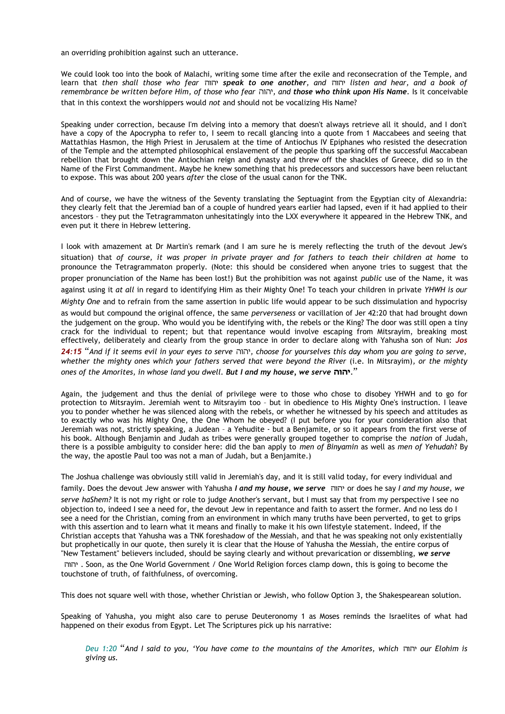an overriding prohibition against such an utterance.

We could look too into the book of Malachi, writing some time after the exile and reconsecration of the Temple, and learn that *then shall those who fear* יהוה *speak to one another, and* יהוה *listen and hear, and a book of remembrance be written before Him, of those who fear* יהוה*, and those who think upon His Name.* Is it conceivable that in this context the worshippers would *not* and should not be vocalizing His Name?

Speaking under correction, because I'm delving into a memory that doesn't always retrieve all it should, and I don't have a copy of the Apocrypha to refer to, I seem to recall glancing into a quote from 1 Maccabees and seeing that Mattathias Hasmon, the High Priest in Jerusalem at the time of Antiochus IV Epiphanes who resisted the desecration of the Temple and the attempted philosophical enslavement of the people thus sparking off the successful Maccabean rebellion that brought down the Antiochian reign and dynasty and threw off the shackles of Greece, did so in the Name of the First Commandment. Maybe he knew something that his predecessors and successors have been reluctant to expose. This was about 200 years *after* the close of the usual canon for the TNK.

And of course, we have the witness of the Seventy translating the Septuagint from the Egyptian city of Alexandria: they clearly felt that the Jeremiad ban of a couple of hundred years earlier had lapsed, even if it had applied to their ancestors – they put the Tetragrammaton unhesitatingly into the LXX everywhere it appeared in the Hebrew TNK, and even put it there in Hebrew lettering.

I look with amazement at Dr Martin's remark (and I am sure he is merely reflecting the truth of the devout Jew's situation) that *of course, it was proper in private prayer and for fathers to teach their children at home* to pronounce the Tetragrammaton properly. (Note: this should be considered when anyone tries to suggest that the proper pronunciation of the Name has been lost!) But the prohibition was not against *public* use of the Name, it was against using it *at all* in regard to identifying Him as their Mighty One! To teach your children in private *YHWH is our Mighty One* and to refrain from the same assertion in public life would appear to be such dissimulation and hypocrisy as would but compound the original offence, the same *perverseness* or vacillation of Jer 42:20 that had brought down the judgement on the group. Who would you be identifying with, the rebels or the King? The door was still open a tiny crack for the individual to repent; but that repentance would involve escaping from Mitsrayim, breaking most effectively, deliberately and clearly from the group stance in order to declare along with Yahusha son of Nun: *Jos 24:15* "*And if it seems evil in your eyes to serve* יהוה*, choose for yourselves this day whom you are going to serve, whether the mighty ones which your fathers served that were beyond the River* (i.e. In Mitsrayim)*, or the mighty ones of the Amorites, in whose land you dwell. But I and my house, we serve* **יהוה***.* "

Again, the judgement and thus the denial of privilege were to those who chose to disobey YHWH and to go for protection to Mitsrayim. Jeremiah went to Mitsrayim too – but in obedience to His Mighty One's instruction. I leave you to ponder whether he was silenced along with the rebels, or whether he witnessed by his speech and attitudes as to exactly who was his Mighty One, the One Whom he obeyed? (I put before you for your consideration also that Jeremiah was not, strictly speaking, a Judean – a Yehudite - but a Benjamite, or so it appears from the first verse of his book. Although Benjamin and Judah as tribes were generally grouped together to comprise the *nation* of Judah, there is a possible ambiguity to consider here: did the ban apply to *men of Binyamin* as well as *men of Yehudah*? By the way, the apostle Paul too was not a man of Judah, but a Benjamite.)

The Joshua challenge was obviously still valid in Jeremiah's day, and it is still valid today, for every individual and family. Does the devout Jew answer with Yahusha *I and my house, we serve* יהוה or does he say *I and my house, we serve haShem?* It is not my right or role to judge Another's servant, but I must say that from my perspective I see no objection to, indeed I see a need for, the devout Jew in repentance and faith to assert the former. And no less do I see a need for the Christian, coming from an environment in which many truths have been perverted, to get to grips with this assertion and to learn what it means and finally to make it his own lifestyle statement. Indeed, if the Christian accepts that Yahusha was a TNK foreshadow of the Messiah, and that he was speaking not only existentially but prophetically in our quote, then surely it is clear that the House of Yahusha the Messiah, the entire corpus of "New Testament" believers included, should be saying clearly and without prevarication or dissembling, *we serve* יהוה . Soon, as the One World Government / One World Religion forces clamp down, this is going to become the touchstone of truth, of faithfulness, of overcoming.

This does not square well with those, whether Christian or Jewish, who follow Option 3, the Shakespearean solution.

Speaking of Yahusha, you might also care to peruse Deuteronomy 1 as Moses reminds the Israelites of what had happened on their exodus from Egypt. Let The Scriptures pick up his narrative:

*Deu 1:20* "*And I said to you, 'You have come to the mountains of the Amorites, which* יהוה *our Elohim is giving us.*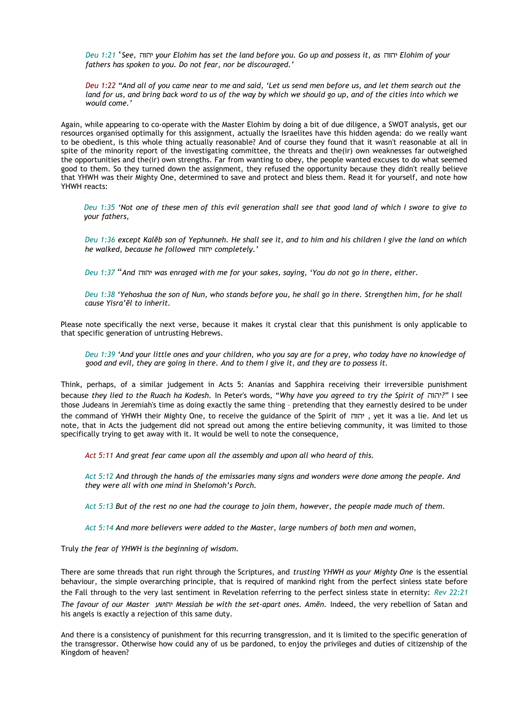*Deu 1:21* '*See,* יהוה *your Elohim has set the land before you. Go up and possess it, as* יהוה *Elohim of your fathers has spoken to you. Do not fear, nor be discouraged.'* 

*Deu 1:22 "And all of you came near to me and said, 'Let us send men before us, and let them search out the land for us, and bring back word to us of the way by which we should go up, and of the cities into which we would come.'* 

Again, while appearing to co-operate with the Master Elohim by doing a bit of due diligence, a SWOT analysis, get our resources organised optimally for this assignment, actually the Israelites have this hidden agenda: do we really want to be obedient, is this whole thing actually reasonable? And of course they found that it wasn't reasonable at all in spite of the minority report of the investigating committee, the threats and the(ir) own weaknesses far outweighed the opportunities and the(ir) own strengths. Far from wanting to obey, the people wanted excuses to do what seemed good to them. So they turned down the assignment, they refused the opportunity because they didn't really believe that YHWH was their Mighty One, determined to save and protect and bless them. Read it for yourself, and note how YHWH reacts:

*Deu 1:35 'Not one of these men of this evil generation shall see that good land of which I swore to give to your fathers,* 

*Deu 1:36 except Kalĕb son of Yephunneh. He shall see it, and to him and his children I give the land on which he walked, because he followed* יהוה *completely.'* 

*Deu 1:37* "*And* יהוה *was enraged with me for your sakes, saying, 'You do not go in there, either.* 

*Deu 1:38 'Yehoshua the son of Nun, who stands before you, he shall go in there. Strengthen him, for he shall cause Yisra'ĕl to inherit.* 

Please note specifically the next verse, because it makes it crystal clear that this punishment is only applicable to that specific generation of untrusting Hebrews.

*Deu 1:39 'And your little ones and your children, who you say are for a prey, who today have no knowledge of good and evil, they are going in there. And to them I give it, and they are to possess it.* 

Think, perhaps, of a similar judgement in Acts 5: Ananias and Sapphira receiving their irreversible punishment because *they lied to the Ruach ha Kodesh.* In Peter's words, "*Why have you agreed to try the Spirit of* יהוה *"?*I see those Judeans in Jeremiah's time as doing exactly the same thing – pretending that they earnestly desired to be under the command of YHWH their Mighty One, to receive the guidance of the Spirit of יהוה , yet it was a lie. And let us note, that in Acts the judgement did not spread out among the entire believing community, it was limited to those specifically trying to get away with it. It would be well to note the consequence,

*Act 5:11 And great fear came upon all the assembly and upon all who heard of this.* 

*Act 5:12 And through the hands of the emissaries many signs and wonders were done among the people. And they were all with one mind in Shelomoh's Porch.* 

*Act 5:13 But of the rest no one had the courage to join them, however, the people made much of them.* 

*Act 5:14 And more believers were added to the Master, large numbers of both men and women,* 

Truly *the fear of YHWH is the beginning of wisdom.*

There are some threads that run right through the Scriptures, and *trusting YHWH as your Mighty One* is the essential behaviour, the simple overarching principle, that is required of mankind right from the perfect sinless state before the Fall through to the very last sentiment in Revelation referring to the perfect sinless state in eternity: *Rev 22:21 The favour of our Master* יהושע *Messiah be with the set-apart ones. Amĕn.* Indeed, the very rebellion of Satan and his angels is exactly a rejection of this same duty.

And there is a consistency of punishment for this recurring transgression, and it is limited to the specific generation of the transgressor. Otherwise how could any of us be pardoned, to enjoy the privileges and duties of citizenship of the Kingdom of heaven?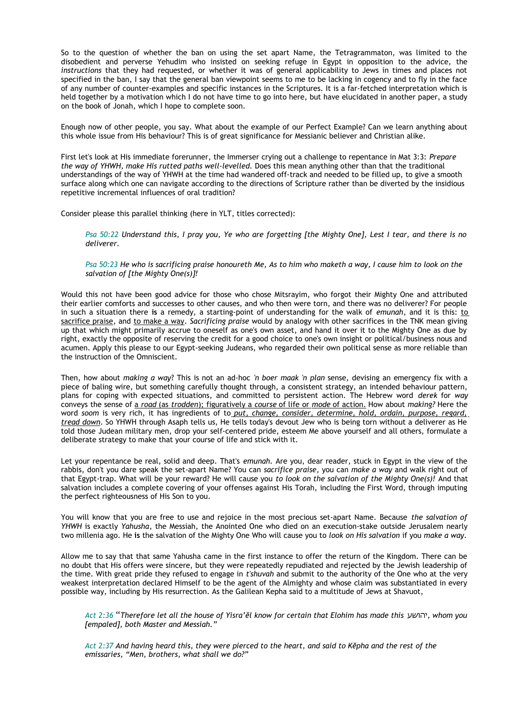So to the question of whether the ban on using the set apart Name, the Tetragrammaton, was limited to the disobedient and perverse Yehudim who insisted on seeking refuge in Egypt in opposition to the advice, the *instructions* that they had requested, or whether it was of general applicability to Jews in times and places not specified in the ban, I say that the general ban viewpoint seems to me to be lacking in cogency and to fly in the face of any number of counter-examples and specific instances in the Scriptures. It is a far-fetched interpretation which is held together by a motivation which I do not have time to go into here, but have elucidated in another paper, a study on the book of Jonah, which I hope to complete soon.

Enough now of other people, you say. What about the example of our Perfect Example? Can we learn anything about this whole issue from His behaviour? This is of great significance for Messianic believer and Christian alike.

First let's look at His immediate forerunner, the Immerser crying out a challenge to repentance in Mat 3:3: *Prepare the way of YHWH, make His rutted paths well-levelled.* Does this mean anything other than that the traditional understandings of the way of YHWH at the time had wandered off-track and needed to be filled up, to give a smooth surface along which one can navigate according to the directions of Scripture rather than be diverted by the insidious repetitive incremental influences of oral tradition?

Consider please this parallel thinking (here in YLT, titles corrected):

*Psa 50:22 Understand this, I pray you, Ye who are forgetting [the Mighty One], Lest I tear, and there is no deliverer.* 

*Psa 50:23 He who is sacrificing praise honoureth Me, As to him who maketh a way, I cause him to look on the salvation of [the Mighty One(s)]!*

Would this not have been good advice for those who chose Mitsrayim, who forgot their Mighty One and attributed their earlier comforts and successes to other causes, and who then were torn, and there was no deliverer? For people in such a situation there **is** a remedy, a starting-point of understanding for the walk of *emunah*, and it is this: to sacrifice praise, and to make a way. *Sacrificing praise* would by analogy with other sacrifices in the TNK mean giving up that which might primarily accrue to oneself as one's own asset, and hand it over it to the Mighty One as due by right, exactly the opposite of reserving the credit for a good choice to one's own insight or political/business nous and acumen. Apply this please to our Egypt-seeking Judeans, who regarded their own political sense as more reliable than the instruction of the Omniscient.

Then, how about *making a way*? This is not an ad-hoc *'n boer maak 'n plan* sense, devising an emergency fix with a piece of baling wire, but something carefully thought through, a consistent strategy, an intended behaviour pattern, plans for coping with expected situations, and committed to persistent action. The Hebrew word *derek* for *way* conveys the sense of a *road* (as *trodden* ); figuratively a *course* of life or *mode* of action. How about *making?* Here the word *soom* is very rich, it has ingredients of to *put, change, consider, determine, hold, ordain, purpose, regard, tread down.* So YHWH through Asaph tells us, He tells today's devout Jew who is being torn without a deliverer as He told those Judean military men, drop your self-centered pride, esteem Me above yourself and all others, formulate a deliberate strategy to make that your course of life and stick with it.

Let your repentance be real, solid and deep. That's *emunah.* Are you, dear reader, stuck in Egypt in the view of the rabbis, don't you dare speak the set-apart Name? You can *sacrifice praise*, you can *make a way* and walk right out of that Egypt-trap. What will be your reward? He will cause you *to look on the salvation of the Mighty One(s)!* And that salvation includes a complete covering of your offenses against His Torah, including the First Word, through imputing the perfect righteousness of His Son to you.

You will know that you are free to use and rejoice in the most precious set-apart Name. Because *the salvation of YHWH* is exactly *Yahusha*, the Messiah, the Anointed One who died on an execution-stake outside Jerusalem nearly two millenia ago. He **is** the salvation of the Mighty One Who will cause you to *look on His salvation* if you *make a way.*

Allow me to say that that same Yahusha came in the first instance to offer the return of the Kingdom. There can be no doubt that His offers were sincere, but they were repeatedly repudiated and rejected by the Jewish leadership of the time. With great pride they refused to engage in *t'shuvah* and submit to the authority of the One who at the very weakest interpretation declared Himself to be the agent of the Almighty and whose claim was substantiated in every possible way, including by His resurrection. As the Galilean Kepha said to a multitude of Jews at Shavuot,

*Act 2:36* "*Therefore let all the house of Yisra'ĕl know for certain that Elohim has made this* יהושע*, whom you [empaled], both Master and Messiah."* 

*Act 2:37 And having heard this, they were pierced to the heart, and said to Kĕpha and the rest of the emissaries, "Men, brothers, what shall we do?"*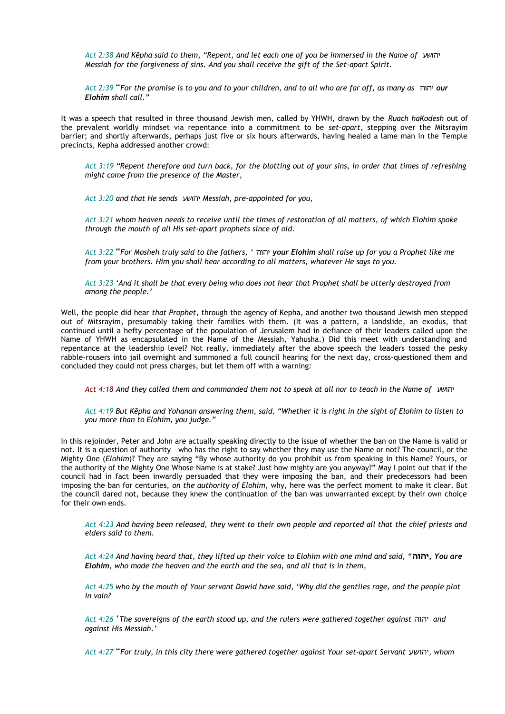*Act 2:38 And Kĕpha said to them, "Repent, and let each one of you be immersed in the Name of* יהושע *Messiah for the forgiveness of sins. And you shall receive the gift of the Set-apart Spirit.* 

*Act 2:39* "*For the promise is to you and to your children, and to all who are far off, as many as* יהוה *our Elohim shall call."* 

It was a speech that resulted in three thousand Jewish men, called by YHWH, drawn by the *Ruach haKodesh* out of the prevalent worldly mindset via repentance into a commitment to be *set-apart*, stepping over the Mitsrayim barrier; and shortly afterwards, perhaps just five or six hours afterwards, having healed a lame man in the Temple precincts, Kepha addressed another crowd:

*Act 3:19 "Repent therefore and turn back, for the blotting out of your sins, in order that times of refreshing might come from the presence of the Master,*

*Act 3:20 and that He sends* יהושע *Messiah, pre-appointed for you,* 

*Act 3:21 whom heaven needs to receive until the times of restoration of all matters, of which Elohim spoke through the mouth of all His set-apart prophets since of old.* 

*Act 3:22* "*For Mosheh truly said to the fathers, '* יהוה *your Elohim shall raise up for you a Prophet like me from your brothers. Him you shall hear according to all matters, whatever He says to you.* 

*Act 3:23 'And it shall be that every being who does not hear that Prophet shall be utterly destroyed from among the people.'* 

Well, the people did hear *that Prophet*, through the agency of Kepha, and another two thousand Jewish men stepped out of Mitsrayim, presumably taking their families with them. (It was a pattern, a landslide, an exodus, that continued until a hefty percentage of the population of Jerusalem had in defiance of their leaders called upon the Name of YHWH as encapsulated in the Name of the Messiah, Yahusha.) Did this meet with understanding and repentance at the leadership level? Not really, immediately after the above speech the leaders tossed the pesky rabble-rousers into jail overnight and summoned a full council hearing for the next day, cross-questioned them and concluded they could not press charges, but let them off with a warning:

*Act 4:18 And they called them and commanded them not to speak at all nor to teach in the Name of* יהושע

*Act 4:19 But Kĕpha and Yohanan answering them, said, "Whether it is right in the sight of Elohim to listen to you more than to Elohim, you judge."*

In this rejoinder, Peter and John are actually speaking directly to the issue of whether the ban on the Name is valid or not. It is a question of authority – who has the right to say whether they may use the Name or not? The council, or the Mighty One (*Elohim*)? They are saying "By whose authority do you prohibit us from speaking in this Name? Yours, or the authority of the Mighty One Whose Name is at stake? Just how mighty are you anyway?" May I point out that if the council had in fact been inwardly persuaded that they were imposing the ban, and their predecessors had been imposing the ban for centuries, *on the authority of Elohim*, why, here was the perfect moment to make it clear. But the council dared not, because they knew the continuation of the ban was unwarranted except by their own choice for their own ends.

*Act 4:23 And having been released, they went to their own people and reported all that the chief priests and elders said to them.* 

*Act 4:24 And having heard that, they lifted up their voice to Elohim with one mind and said, "***יהוה***, You are Elohim, who made the heaven and the earth and the sea, and all that is in them,* 

*Act 4:25 who by the mouth of Your servant Dawid have said, 'Why did the gentiles rage, and the people plot in vain?* 

*Act 4:26* '*The sovereigns of the earth stood up, and the rulers were gathered together against* יהוה *and against His Messiah.'*

*Act 4:27* "*For truly, in this city there were gathered together against Your set-apart Servant* יהושע*, whom*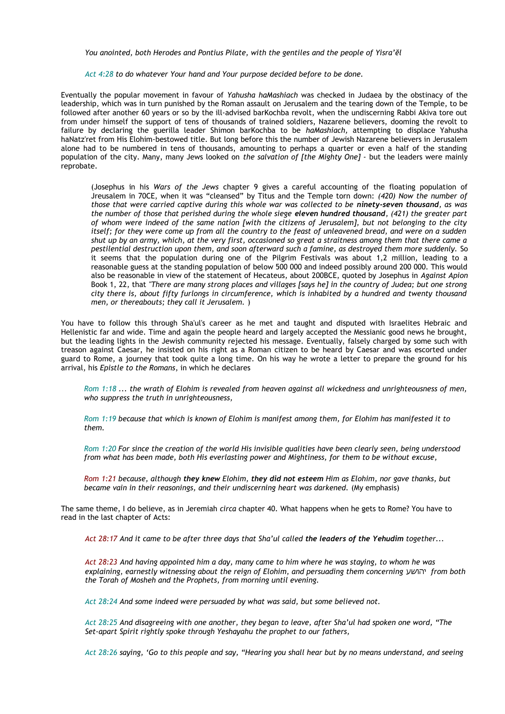*You anointed, both Herodes and Pontius Pilate, with the gentiles and the people of Yisra'ĕl* 

*Act 4:28 to do whatever Your hand and Your purpose decided before to be done.* 

Eventually the popular movement in favour of *Yahusha haMashiach* was checked in Judaea by the obstinacy of the leadership, which was in turn punished by the Roman assault on Jerusalem and the tearing down of the Temple, to be followed after another 60 years or so by the ill-advised barKochba revolt, when the undiscerning Rabbi Akiva tore out from under himself the support of tens of thousands of trained soldiers, Nazarene believers, dooming the revolt to failure by declaring the guerilla leader Shimon barKochba to be *haMashiach,* attempting to displace Yahusha haNatz'ret from His Elohim-bestowed title. But long before this the number of Jewish Nazarene believers in Jerusalem alone had to be numbered in tens of thousands, amounting to perhaps a quarter or even a half of the standing population of the city. Many, many Jews looked on *the salvation of [the Mighty One] -* but the leaders were mainly reprobate.

(Josephus in his *Wars of the Jews* chapter 9 gives a careful accounting of the floating population of Jreusalem in 70CE, when it was "cleansed" by Titus and the Temple torn down: *(420) Now the number of those that were carried captive during this whole war was collected to be ninety-seven thousand, as was the number of those that perished during the whole siege eleven hundred thousand, (421) the greater part of whom were indeed of the same nation [with the citizens of Jerusalem], but not belonging to the city itself; for they were come up from all the country to the feast of unleavened bread, and were on a sudden shut up by an army, which, at the very first, occasioned so great a straitness among them that there came a pestilential destruction upon them, and soon afterward such a famine, as destroyed them more suddenly.* So it seems that the population during one of the Pilgrim Festivals was about 1,2 million, leading to a reasonable guess at the standing population of below 500 000 and indeed possibly around 200 000. This would also be reasonable in view of the statement of Hecateus, about 200BCE, quoted by Josephus in *Against Apion* Book 1, 22, that *"There are many strong places and villages [says he] in the country of Judea; but one strong city there is, about fifty furlongs in circumference, which is inhabited by a hundred and twenty thousand men, or thereabouts; they call it Jerusalem.* )

You have to follow this through Sha'ul's career as he met and taught and disputed with Israelites Hebraic and Hellenistic far and wide. Time and again the people heard and largely accepted the Messianic good news he brought, but the leading lights in the Jewish community rejected his message. Eventually, falsely charged by some such with treason against Caesar, he insisted on his right as a Roman citizen to be heard by Caesar and was escorted under guard to Rome, a journey that took quite a long time. On his way he wrote a letter to prepare the ground for his arrival, his *Epistle to the Romans*, in which he declares

*Rom 1:18 ... the wrath of Elohim is revealed from heaven against all wickedness and unrighteousness of men, who suppress the truth in unrighteousness,* 

*Rom 1:19 because that which is known of Elohim is manifest among them, for Elohim has manifested it to them.* 

*Rom 1:20 For since the creation of the world His invisible qualities have been clearly seen, being understood from what has been made, both His everlasting power and Mightiness, for them to be without excuse,* 

*Rom 1:21 because, although they knew Elohim, they did not esteem Him as Elohim, nor gave thanks, but became vain in their reasonings, and their undiscerning heart was darkened.* (My emphasis)

The same theme, I do believe, as in Jeremiah *circa* chapter 40. What happens when he gets to Rome? You have to read in the last chapter of Acts:

*Act 28:17 And it came to be after three days that Sha'ul called the leaders of the Yehudim together...*

*Act 28:23 And having appointed him a day, many came to him where he was staying, to whom he was explaining, earnestly witnessing about the reign of Elohim, and persuading them concerning* יהושע *from both the Torah of Mosheh and the Prophets, from morning until evening.* 

*Act 28:24 And some indeed were persuaded by what was said, but some believed not.* 

*Act 28:25 And disagreeing with one another, they began to leave, after Sha'ul had spoken one word, "The Set-apart Spirit rightly spoke through Yeshayahu the prophet to our fathers,* 

*Act 28:26 saying, 'Go to this people and say, "Hearing you shall hear but by no means understand, and seeing*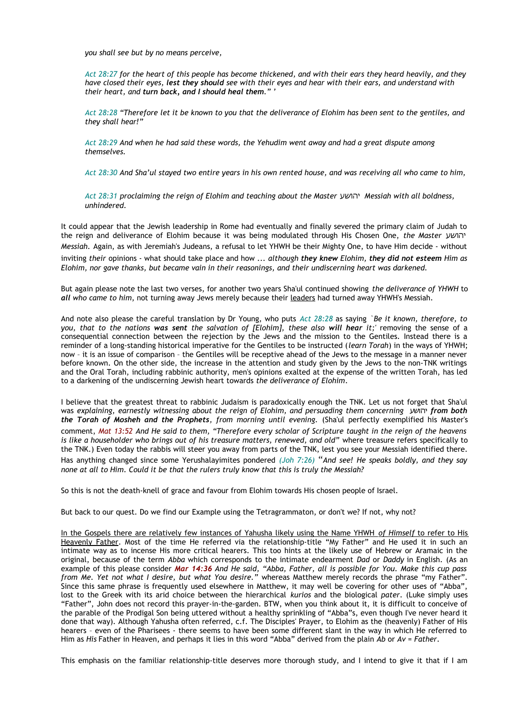*you shall see but by no means perceive,* 

*Act 28:27 for the heart of this people has become thickened, and with their ears they heard heavily, and they have closed their eyes, lest they should see with their eyes and hear with their ears, and understand with their heart, and turn back, and I should heal them." '* 

*Act 28:28 "Therefore let it be known to you that the deliverance of Elohim has been sent to the gentiles, and they shall hear!"*

*Act 28:29 And when he had said these words, the Yehudim went away and had a great dispute among themselves.*

*Act 28:30 And Sha'ul stayed two entire years in his own rented house, and was receiving all who came to him,*

*Act 28:31 proclaiming the reign of Elohim and teaching about the Master* יהושע *Messiah with all boldness, unhindered.*

It could appear that the Jewish leadership in Rome had eventually and finally severed the primary claim of Judah to the reign and deliverance of Elohim because it was being modulated through His Chosen One, *the Master* יהושע *Messiah.* Again, as with Jeremiah's Judeans, a refusal to let YHWH be their Mighty One, to have Him decide - without

inviting *their* opinions - what should take place and how ... *although they knew Elohim, they did not esteem Him as Elohim, nor gave thanks, but became vain in their reasonings, and their undiscerning heart was darkened.*

But again please note the last two verses, for another two years Sha'ul continued showing *the deliverance of YHWH* to *all who came to him*, not turning away Jews merely because their leaders had turned away YHWH's Messiah.

And note also please the careful translation by Dr Young, who puts *Act 28:28* as saying *`Be it known, therefore, to you, that to the nations was sent the salvation of [Elohim], these also will hear it;'* removing the sense of a consequential connection between the rejection by the Jews and the mission to the Gentiles. Instead there is a reminder of a long-standing historical imperative for the Gentiles to be instructed (*learn Torah*) in the ways of YHWH; now – it is an issue of comparison – the Gentiles will be receptive ahead of the Jews to the message in a manner never before known. On the other side, the increase in the attention and study given by the Jews to the non-TNK writings and the Oral Torah, including rabbinic authority, men's opinions exalted at the expense of the written Torah, has led to a darkening of the undiscerning Jewish heart towards *the deliverance of Elohim*.

I believe that the greatest threat to rabbinic Judaism is paradoxically enough the TNK. Let us not forget that Sha'ul was *explaining, earnestly witnessing about the reign of Elohim, and persuading them concerning* יהושע *from both the Torah of Mosheh and the Prophets, from morning until evening.* (Sha'ul perfectly exemplified his Master's comment, *Mat 13:52 And He said to them, "Therefore every scholar of Scripture taught in the reign of the heavens* is like a householder who brings out of his treasure matters, renewed, and old" where treasure refers specifically to the TNK.) Even today the rabbis will steer you away from parts of the TNK, lest you see your Messiah identified there. Has anything changed since some Yerushalayimites pondered *(Joh 7:26)* "*And see! He speaks boldly, and they say none at all to Him. Could it be that the rulers truly know that this is truly the Messiah?* 

So this is not the death-knell of grace and favour from Elohim towards His chosen people of Israel.

But back to our quest. Do we find our Example using the Tetragrammaton, or don't we? If not, why not?

 In the Gospels there are relatively few instances of Yahusha likely using the Name YHWH *of Himself* to refer to His Heavenly Father. Most of the time He referred via the relationship-title "My Father" and He used it in such an intimate way as to incense His more critical hearers. This too hints at the likely use of Hebrew or Aramaic in the original, because of the term *Abba* which corresponds to the intimate endearment *Dad* or *Daddy* in English. (As an example of this please consider *Mar 14:36 And He said, "Abba, Father, all is possible for You. Make this cup pass from Me. Yet not what I desire, but what You desire."* whereas Matthew merely records the phrase "my Father". Since this same phrase is frequently used elsewhere in Matthew, it may well be covering for other uses of "Abba", lost to the Greek with its arid choice between the hierarchical *kurios* and the biological *pater*. (Luke simply uses "Father", John does not record this prayer-in-the-garden. BTW, when you think about it, it is difficult to conceive of the parable of the Prodigal Son being uttered without a healthy sprinkling of "Abba"s, even though I've never heard it done that way). Although Yahusha often referred, c.f. The Disciples' Prayer, to Elohim as the (heavenly) Father of His hearers – even of the Pharisees - there seems to have been some different slant in the way in which He referred to Him as *His* Father in Heaven, and perhaps it lies in this word "Abba" derived from the plain *Ab* or *Av* = *Father*.

This emphasis on the familiar relationship-title deserves more thorough study, and I intend to give it that if I am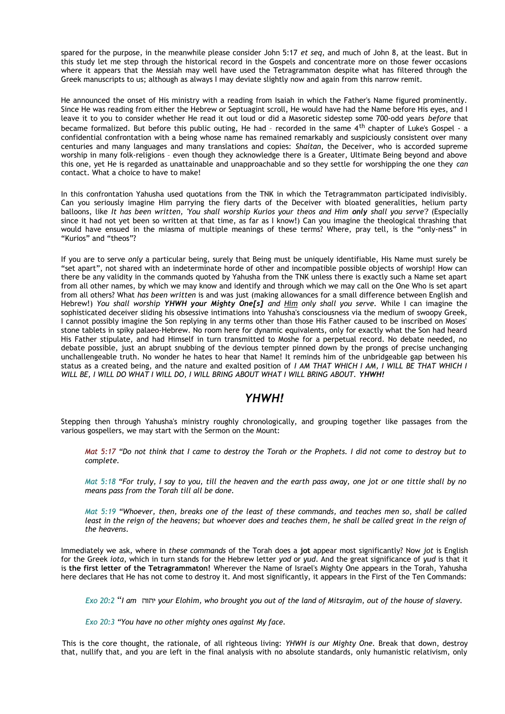spared for the purpose, in the meanwhile please consider John 5:17 *et seq*, and much of John 8, at the least. But in this study let me step through the historical record in the Gospels and concentrate more on those fewer occasions where it appears that the Messiah may well have used the Tetragrammaton despite what has filtered through the Greek manuscripts to us; although as always I may deviate slightly now and again from this narrow remit.

He announced the onset of His ministry with a reading from Isaiah in which the Father's Name figured prominently. Since He was reading from either the Hebrew or Septuagint scroll, He would have had the Name before His eyes, and I leave it to you to consider whether He read it out loud or did a Masoretic sidestep some 700-odd years *before* that became formalized. But before this public outing, He had - recorded in the same 4<sup>th</sup> chapter of Luke's Gospel - a confidential confrontation with a being whose name has remained remarkably and suspiciously consistent over many centuries and many languages and many translations and copies: *Shaitan*, the Deceiver, who is accorded supreme worship in many folk-religions – even though they acknowledge there is a Greater, Ultimate Being beyond and above this one, yet He is regarded as unattainable and unapproachable and so they settle for worshipping the one they *can* contact. What a choice to have to make!

In this confrontation Yahusha used quotations from the TNK in which the Tetragrammaton participated indivisibly. Can you seriously imagine Him parrying the fiery darts of the Deceiver with bloated generalities, helium party balloons, like *It has been written, 'You shall worship Kurios your theos and Him only shall you serve'?* (Especially since it had not yet been so written at that time, as far as I know!) Can you imagine the theological thrashing that would have ensued in the miasma of multiple meanings of these terms? Where, pray tell, is the "only-ness" in "Kurios" and "theos"?

If you are to serve *only* a particular being, surely that Being must be uniquely identifiable, His Name must surely be "set apart", not shared with an indeterminate horde of other and incompatible possible objects of worship! How can there be any validity in the commands quoted by Yahusha from the TNK unless there is exactly such a Name set apart from all other names, by which we may know and identify and through which we may call on the One Who is set apart from all others? What *has been written* is and was just (making allowances for a small difference between English and Hebrew!) *You shall worship YHWH your Mighty One[s] and Him only shall you serve.* While I can imagine the sophisticated deceiver sliding his obsessive intimations into Yahusha's consciousness via the medium of swoopy Greek, I cannot possibly imagine the Son replying in any terms other than those His Father caused to be inscribed on Moses' stone tablets in spiky palaeo-Hebrew. No room here for dynamic equivalents, only for exactly what the Son had heard His Father stipulate, and had Himself in turn transmitted to Moshe for a perpetual record. No debate needed, no debate possible, just an abrupt snubbing of the devious tempter pinned down by the prongs of precise unchanging unchallengeable truth. No wonder he hates to hear that Name! It reminds him of the unbridgeable gap between his status as a created being, and the nature and exalted position of *I AM THAT WHICH I AM, I WILL BE THAT WHICH I WILL BE, I WILL DO WHAT I WILL DO, I WILL BRING ABOUT WHAT I WILL BRING ABOUT. YHWH!*

# *YHWH!*

Stepping then through Yahusha's ministry roughly chronologically, and grouping together like passages from the various gospellers, we may start with the Sermon on the Mount:

*Mat 5:17 "Do not think that I came to destroy the Torah or the Prophets. I did not come to destroy but to complete.* 

*Mat 5:18 "For truly, I say to you, till the heaven and the earth pass away, one jot or one tittle shall by no means pass from the Torah till all be done.* 

*Mat 5:19 "Whoever, then, breaks one of the least of these commands, and teaches men so, shall be called least in the reign of the heavens; but whoever does and teaches them, he shall be called great in the reign of the heavens.* 

Immediately we ask, where in *these commands* of the Torah does a **jot** appear most significantly? Now *jot* is English for the Greek *iota*, which in turn stands for the Hebrew letter *yod* or *yud*. And the great significance of *yud* is that it is **the first letter of the Tetragrammaton!** Wherever the Name of Israel's Mighty One appears in the Torah, Yahusha here declares that He has not come to destroy it. And most significantly, it appears in the First of the Ten Commands:

*Exo 20:2* "*I am* יהוה *your Elohim, who brought you out of the land of Mitsrayim, out of the house of slavery.* 

*Exo 20:3 "You have no other mighty ones against My face.* 

This is the core thought, the rationale, of all righteous living: *YHWH is our Mighty One.* Break that down, destroy that, nullify that, and you are left in the final analysis with no absolute standards, only humanistic relativism, only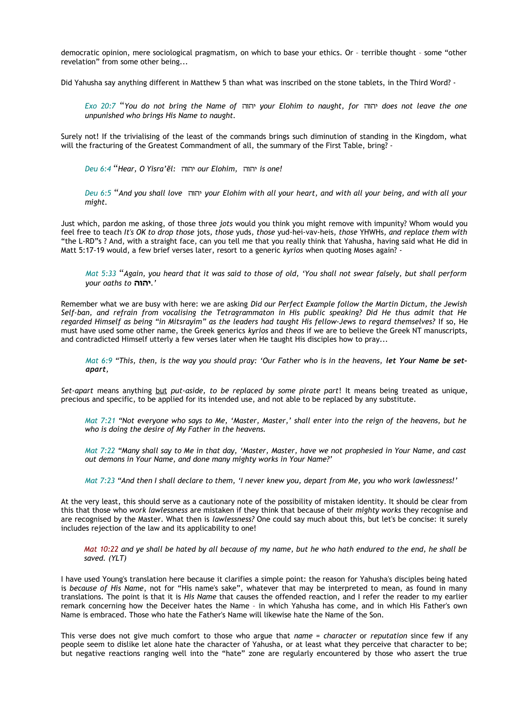democratic opinion, mere sociological pragmatism, on which to base your ethics. Or – terrible thought – some "other revelation" from some other being...

Did Yahusha say anything different in Matthew 5 than what was inscribed on the stone tablets, in the Third Word? -

*Exo 20:7* "*You do not bring the Name of* יהוה *your Elohim to naught, for* יהוה *does not leave the one unpunished who brings His Name to naught.* 

Surely not! If the trivialising of the least of the commands brings such diminution of standing in the Kingdom, what will the fracturing of the Greatest Commandment of all, the summary of the First Table, bring? -

*Deu 6:4* "*Hear, O Yisra'ĕl:* יהוה *our Elohim,* יהוה *is one!* 

*Deu 6:5* "*And you shall love* יהוה *your Elohim with all your heart, and with all your being, and with all your might.* 

Just which, pardon me asking, of those three *jots* would you think you might remove with impunity? Whom would you feel free to teach *It's OK to drop those* jots*, those* yuds*, those* yud-hei-vav-heis*, those* YHWHs*, and replace them with* "the L-RD"s ? And, with a straight face, can you tell me that you really think that Yahusha, having said what He did in Matt 5:17-19 would, a few brief verses later, resort to a generic *kyrios* when quoting Moses again? -

*Mat 5:33* "*Again, you heard that it was said to those of old, 'You shall not swear falsely, but shall perform your oaths to* **יהוה***. '*

Remember what we are busy with here: we are asking *Did our Perfect Example follow the Martin Dictum, the Jewish Self-ban, and refrain from vocalising the Tetragrammaton in His public speaking? Did He thus admit that He regarded Himself as being "in Mitsrayim" as the leaders had taught His fellow-Jews to regard themselves?* If so, He must have used some other name, the Greek generics *kyrios* and *theos* if we are to believe the Greek NT manuscripts, and contradicted Himself utterly a few verses later when He taught His disciples how to pray...

Mat 6:9 "This, then, is the way you should pray: 'Our Father who is in the heavens, let Your Name be set*apart,* 

*Set-apart* means anything but *put-aside, to be replaced by some pirate part*! It means being treated as unique, precious and specific, to be applied for its intended use, and not able to be replaced by any substitute.

*Mat 7:21 "Not everyone who says to Me, 'Master, Master,' shall enter into the reign of the heavens, but he who is doing the desire of My Father in the heavens.* 

*Mat 7:22 "Many shall say to Me in that day, 'Master, Master, have we not prophesied in Your Name, and cast out demons in Your Name, and done many mighty works in Your Name?'* 

*Mat 7:23 "And then I shall declare to them, 'I never knew you, depart from Me, you who work lawlessness!'* 

At the very least, this should serve as a cautionary note of the possibility of mistaken identity. It should be clear from this that those who *work lawlessness* are mistaken if they think that because of their *mighty works* they recognise and are recognised by the Master. What then is *lawlessness?* One could say much about this, but let's be concise: it surely includes rejection of the law and its applicability to one!

*Mat 10:22 and ye shall be hated by all because of my name, but he who hath endured to the end, he shall be saved. (YLT)*

I have used Young's translation here because it clarifies a simple point: the reason for Yahusha's disciples being hated is *because of His Name*, not for "His name's sake", whatever that may be interpreted to mean, as found in many translations. The point is that it is *His Name* that causes the offended reaction, and I refer the reader to my earlier remark concerning how the Deceiver hates the Name – in which Yahusha has come, and in which His Father's own Name is embraced. Those who hate the Father's Name will likewise hate the Name of the Son.

This verse does not give much comfort to those who argue that *name = character* or *reputation* since few if any people seem to dislike let alone hate the character of Yahusha, or at least what they perceive that character to be; but negative reactions ranging well into the "hate" zone are regularly encountered by those who assert the true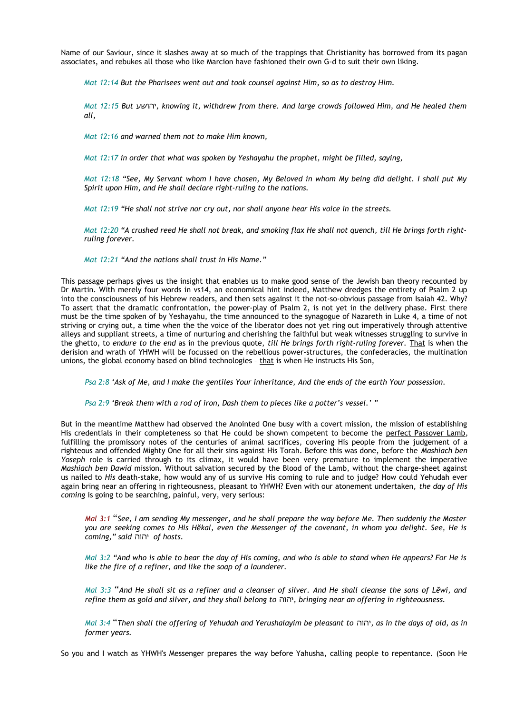Name of our Saviour, since it slashes away at so much of the trappings that Christianity has borrowed from its pagan associates, and rebukes all those who like Marcion have fashioned their own G-d to suit their own liking.

*Mat 12:14 But the Pharisees went out and took counsel against Him, so as to destroy Him.* 

*Mat 12:15 But* יהושע*, knowing it, withdrew from there. And large crowds followed Him, and He healed them all,* 

*Mat 12:16 and warned them not to make Him known,* 

*Mat 12:17 in order that what was spoken by Yeshayahu the prophet, might be filled, saying,* 

*Mat 12:18 "See, My Servant whom I have chosen, My Beloved in whom My being did delight. I shall put My Spirit upon Him, and He shall declare right-ruling to the nations.* 

*Mat 12:19 "He shall not strive nor cry out, nor shall anyone hear His voice in the streets.* 

*Mat 12:20 "A crushed reed He shall not break, and smoking flax He shall not quench, till He brings forth rightruling forever.* 

*Mat 12:21 "And the nations shall trust in His Name."* 

This passage perhaps gives us the insight that enables us to make good sense of the Jewish ban theory recounted by Dr Martin. With merely four words in vs14, an economical hint indeed, Matthew dredges the entirety of Psalm 2 up into the consciousness of his Hebrew readers, and then sets against it the not-so-obvious passage from Isaiah 42. Why? To assert that the dramatic confrontation, the power-play of Psalm 2, is not yet in the delivery phase. First there must be the time spoken of by Yeshayahu, the time announced to the synagogue of Nazareth in Luke 4, a time of not striving or crying out, a time when the the voice of the liberator does not yet ring out imperatively through attentive alleys and suppliant streets, a time of nurturing and cherishing the faithful but weak witnesses struggling to survive in the ghetto, to *endure to the end* as in the previous quote, *till He brings forth right-ruling forever.* That is when the derision and wrath of YHWH will be focussed on the rebellious power-structures, the confederacies, the multination unions, the global economy based on blind technologies - that is when He instructs His Son,

*Psa 2:8 'Ask of Me, and I make the gentiles Your inheritance, And the ends of the earth Your possession.*

*Psa 2:9 'Break them with a rod of iron, Dash them to pieces like a potter's vessel.' "*

But in the meantime Matthew had observed the Anointed One busy with a covert mission, the mission of establishing His credentials in their completeness so that He could be shown competent to become the perfect Passover Lamb, fulfilling the promissory notes of the centuries of animal sacrifices, covering His people from the judgement of a righteous and offended Mighty One for all their sins against His Torah. Before this was done, before the *Mashiach ben Yoseph* role is carried through to its climax, it would have been very premature to implement the imperative *Mashiach ben Dawid* mission. Without salvation secured by the Blood of the Lamb, without the charge-sheet against us nailed to *His* death-stake, how would any of us survive His coming to rule and to judge? How could Yehudah ever again bring near an offering in righteousness, pleasant to YHWH? Even with our atonement undertaken, *the day of His coming* is going to be searching, painful, very, very serious:

*Mal 3:1* "*See, I am sending My messenger, and he shall prepare the way before Me. Then suddenly the Master you are seeking comes to His Hĕkal, even the Messenger of the covenant, in whom you delight. See, He is coming," said* יהוה *of hosts.*

*Mal 3:2 "And who is able to bear the day of His coming, and who is able to stand when He appears? For He is like the fire of a refiner, and like the soap of a launderer.* 

*Mal 3:3* "*And He shall sit as a refiner and a cleanser of silver. And He shall cleanse the sons of Lĕwi, and refine them as gold and silver, and they shall belong to* יהוה*, bringing near an offering in righteousness.* 

*Mal 3:4* "*Then shall the offering of Yehudah and Yerushalayim be pleasant to* יהוה*, as in the days of old, as in former years.* 

So you and I watch as YHWH's Messenger prepares the way before Yahusha, calling people to repentance. (Soon He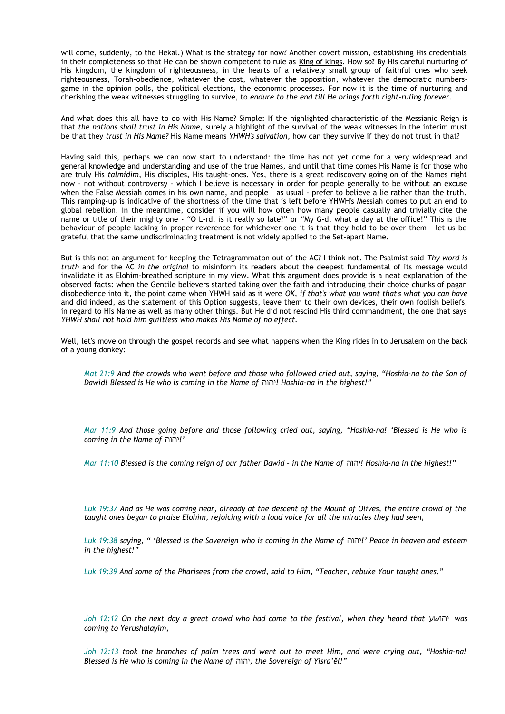will come, suddenly, to the Hekal.) What is the strategy for now? Another covert mission, establishing His credentials in their completeness so that He can be shown competent to rule as King of kings. How so? By His careful nurturing of His kingdom, the kingdom of righteousness, in the hearts of a relatively small group of faithful ones who seek righteousness, Torah-obedience, whatever the cost, whatever the opposition, whatever the democratic numbersgame in the opinion polls, the political elections, the economic processes. For now it is the time of nurturing and cherishing the weak witnesses struggling to survive, to *endure to the end till He brings forth right-ruling forever.*

And what does this all have to do with His Name? Simple: If the highlighted characteristic of the Messianic Reign is that *the nations shall trust in His Name,* surely a highlight of the survival of the weak witnesses in the interim must be that they *trust in His Name?* His Name means *YHWH's salvation*, how can they survive if they do not trust in that?

Having said this, perhaps we can now start to understand: the time has not yet come for a very widespread and general knowledge and understanding and use of the true Names, and until that time comes His Name is for those who are truly His *talmidim*, His disciples, His taught-ones. Yes, there is a great rediscovery going on of the Names right now - not without controversy - which I believe is necessary in order for people generally to be without an excuse when the False Messiah comes in his own name, and people – as usual - prefer to believe a lie rather than the truth. This ramping-up is indicative of the shortness of the time that is left before YHWH's Messiah comes to put an end to global rebellion. In the meantime, consider if you will how often how many people casually and trivially cite the name or title of their mighty one - "O L-rd, is it really so late?" or "My G-d, what a day at the office!" This is the behaviour of people lacking in proper reverence for whichever one it is that they hold to be over them – let us be grateful that the same undiscriminating treatment is not widely applied to the Set-apart Name.

But is this not an argument for keeping the Tetragrammaton out of the AC? I think not. The Psalmist said *Thy word is truth* and for the AC *in the original* to misinform its readers about the deepest fundamental of its message would invalidate it as Elohim-breathed scripture in my view. What this argument does provide is a neat explanation of the observed facts: when the Gentile believers started taking over the faith and introducing their choice chunks of pagan disobedience into it, the point came when YHWH said as it were *OK, if that's what you want that's what you can have* and did indeed, as the statement of this Option suggests, leave them to their own devices, their own foolish beliefs, in regard to His Name as well as many other things. But He did not rescind His third commandment, the one that says *YHWH shall not hold him guiltless who makes His Name of no effect.*

Well, let's move on through the gospel records and see what happens when the King rides in to Jerusalem on the back of a young donkey:

*Mat 21:9 And the crowds who went before and those who followed cried out, saying, "Hoshia-na to the Son of Dawid! Blessed is He who is coming in the Name of* יהוה *!Hoshia-na in the highest!"* 

*Mar 11:9 And those going before and those following cried out, saying, "Hoshia-na! 'Blessed is He who is coming in the Name of* יהוה *'!*

*Mar 11:10 Blessed is the coming reign of our father Dawid – in the Name of* יהוה *!Hoshia-na in the highest!"* 

*Luk 19:37 And as He was coming near, already at the descent of the Mount of Olives, the entire crowd of the taught ones began to praise Elohim, rejoicing with a loud voice for all the miracles they had seen,* 

*Luk 19:38 saying, " 'Blessed is the Sovereign who is coming in the Name of* יהוה *'!Peace in heaven and esteem in the highest!"* 

*Luk 19:39 And some of the Pharisees from the crowd, said to Him, "Teacher, rebuke Your taught ones."* 

*Joh 12:12 On the next day a great crowd who had come to the festival, when they heard that* יהושע *was coming to Yerushalayim,* 

*Joh 12:13 took the branches of palm trees and went out to meet Him, and were crying out, "Hoshia-na! Blessed is He who is coming in the Name of* יהוה*, the Sovereign of Yisra'ĕl!"*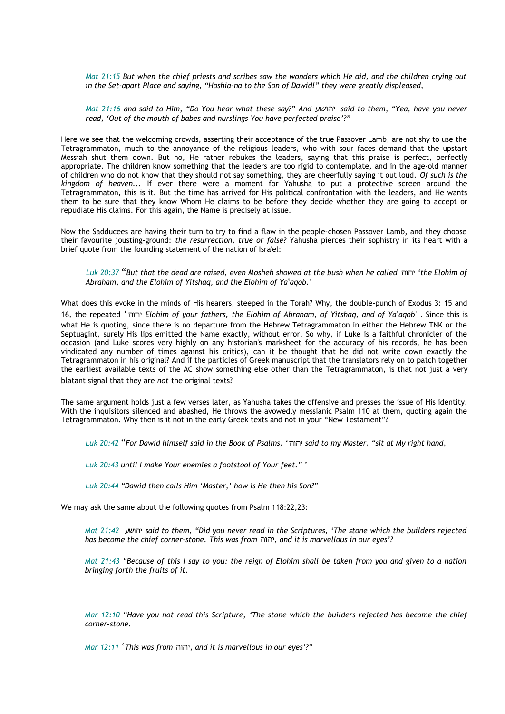*Mat 21:15 But when the chief priests and scribes saw the wonders which He did, and the children crying out in the Set-apart Place and saying, "Hoshia-na to the Son of Dawid!" they were greatly displeased,* 

*Mat 21:16 and said to Him, "Do You hear what these say?" And* יהושע *said to them, "Yea, have you never read, 'Out of the mouth of babes and nurslings You have perfected praise'?"* 

Here we see that the welcoming crowds, asserting their acceptance of the true Passover Lamb, are not shy to use the Tetragrammaton, much to the annoyance of the religious leaders, who with sour faces demand that the upstart Messiah shut them down. But no, He rather rebukes the leaders, saying that this praise is perfect, perfectly appropriate. The children know something that the leaders are too rigid to contemplate, and in the age-old manner of children who do not know that they should not say something, they are cheerfully saying it out loud. *Of such is the kingdom of heaven...* If ever there were a moment for Yahusha to put a protective screen around the Tetragrammaton, this is it. But the time has arrived for His political confrontation with the leaders, and He wants them to be sure that they know Whom He claims to be before they decide whether they are going to accept or repudiate His claims. For this again, the Name is precisely at issue.

Now the Sadducees are having their turn to try to find a flaw in the people-chosen Passover Lamb, and they choose their favourite jousting-ground: *the resurrection, true or false?* Yahusha pierces their sophistry in its heart with a brief quote from the founding statement of the nation of Isra'el:

*Luk 20:37* "*But that the dead are raised, even Mosheh showed at the bush when he called* יהוה*' the Elohim of* Abraham, and the Elohim of Yitshaq, and the Elohim of Ya'aqob.'

What does this evoke in the minds of His hearers, steeped in the Torah? Why, the double-punch of Exodus 3: 15 and 16, the repeated 'יהוה *Elohim of your fathers, the Elohim of Abraham, of Yitshaq, and of Ya aqob'* ʽ . Since this is what He is quoting, since there is no departure from the Hebrew Tetragrammaton in either the Hebrew TNK or the Septuagint, surely His lips emitted the Name exactly, without error. So why, if Luke is a faithful chronicler of the occasion (and Luke scores very highly on any historian's marksheet for the accuracy of his records, he has been vindicated any number of times against his critics), can it be thought that he did not write down exactly the Tetragrammaton in his original? And if the particles of Greek manuscript that the translators rely on to patch together the earliest available texts of the AC show something else other than the Tetragrammaton, is that not just a very blatant signal that they are *not* the original texts?

The same argument holds just a few verses later, as Yahusha takes the offensive and presses the issue of His identity. With the inquisitors silenced and abashed, He throws the avowedly messianic Psalm 110 at them, quoting again the Tetragrammaton. Why then is it not in the early Greek texts and not in your "New Testament"?

*Luk 20:42* "*For Dawid himself said in the Book of Psalms, '*יהוה *said to my Master, "sit at My right hand,* 

*Luk 20:43 until I make Your enemies a footstool of Your feet." '* 

*Luk 20:44 "Dawid then calls Him 'Master,' how is He then his Son?"* 

We may ask the same about the following quotes from Psalm 118:22,23:

*Mat 21:42* יהושע *said to them, "Did you never read in the Scriptures, 'The stone which the builders rejected has become the chief corner-stone. This was from* יהוה*, and it is marvellous in our eyes'?* 

*Mat 21:43 "Because of this I say to you: the reign of Elohim shall be taken from you and given to a nation bringing forth the fruits of it.* 

*Mar 12:10 "Have you not read this Scripture, 'The stone which the builders rejected has become the chief corner-stone.* 

*Mar 12:11* '*This was from* יהוה*, and it is marvellous in our eyes'?"*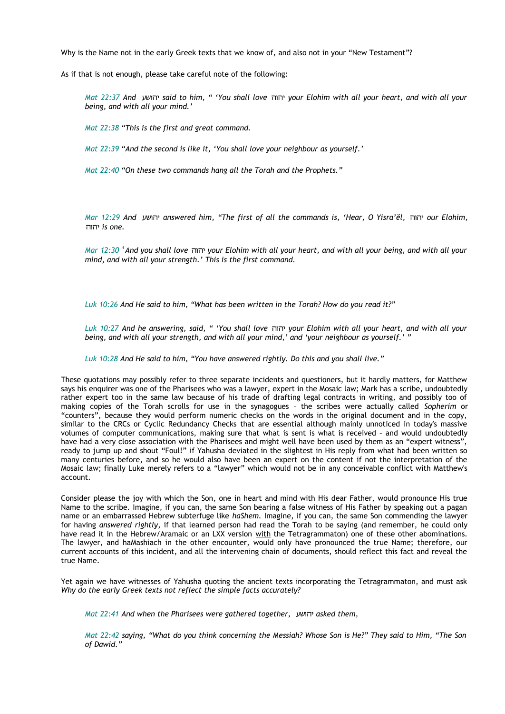Why is the Name not in the early Greek texts that we know of, and also not in your "New Testament"?

As if that is not enough, please take careful note of the following:

*Mat 22:37 And* יהושע *said to him, " 'You shall love* יהוה *your Elohim with all your heart, and with all your being, and with all your mind.'* 

*Mat 22:38 "This is the first and great command.* 

*Mat 22:39 "And the second is like it, 'You shall love your neighbour as yourself.'* 

*Mat 22:40 "On these two commands hang all the Torah and the Prophets."* 

*Mar 12:29 And* יהושע *answered him, "The first of all the commands is, 'Hear, O Yisra'ĕl,* יהוה *our Elohim,* יהוה *is one.* 

*Mar 12:30* '*And you shall love* יהוה *your Elohim with all your heart, and with all your being, and with all your mind, and with all your strength.' This is the first command.* 

*Luk 10:26 And He said to him, "What has been written in the Torah? How do you read it?"* 

*Luk 10:27 And he answering, said, " 'You shall love* יהוה *your Elohim with all your heart, and with all your being, and with all your strength, and with all your mind,' and 'your neighbour as yourself.' "* 

*Luk 10:28 And He said to him, "You have answered rightly. Do this and you shall live."* 

These quotations may possibly refer to three separate incidents and questioners, but it hardly matters, for Matthew says his enquirer was one of the Pharisees who was a lawyer, expert in the Mosaic law; Mark has a scribe, undoubtedly rather expert too in the same law because of his trade of drafting legal contracts in writing, and possibly too of making copies of the Torah scrolls for use in the synagogues – the scribes were actually called *Sopherim* or "counters", because they would perform numeric checks on the words in the original document and in the copy, similar to the CRCs or Cyclic Redundancy Checks that are essential although mainly unnoticed in today's massive volumes of computer communications, making sure that what is sent is what is received – and would undoubtedly have had a very close association with the Pharisees and might well have been used by them as an "expert witness", ready to jump up and shout "Foul!" if Yahusha deviated in the slightest in His reply from what had been written so many centuries before, and so he would also have been an expert on the content if not the interpretation of the Mosaic law; finally Luke merely refers to a "lawyer" which would not be in any conceivable conflict with Matthew's account.

Consider please the joy with which the Son, one in heart and mind with His dear Father, would pronounce His true Name to the scribe. Imagine, if you can, the same Son bearing a false witness of His Father by speaking out a pagan name or an embarrassed Hebrew subterfuge like *haShem.* Imagine, if you can, the same Son commending the lawyer for having *answered rightly*, if that learned person had read the Torah to be saying (and remember, he could only have read it in the Hebrew/Aramaic or an LXX version with the Tetragrammaton) one of these other abominations. The lawyer, and haMashiach in the other encounter, would only have pronounced the true Name; therefore, our current accounts of this incident, and all the intervening chain of documents, should reflect this fact and reveal the true Name.

Yet again we have witnesses of Yahusha quoting the ancient texts incorporating the Tetragrammaton, and must ask *Why do the early Greek texts not reflect the simple facts accurately?*

*Mat 22:41 And when the Pharisees were gathered together,* יהושע *asked them,* 

*Mat 22:42 saying, "What do you think concerning the Messiah? Whose Son is He?" They said to Him, "The Son of Dawid."*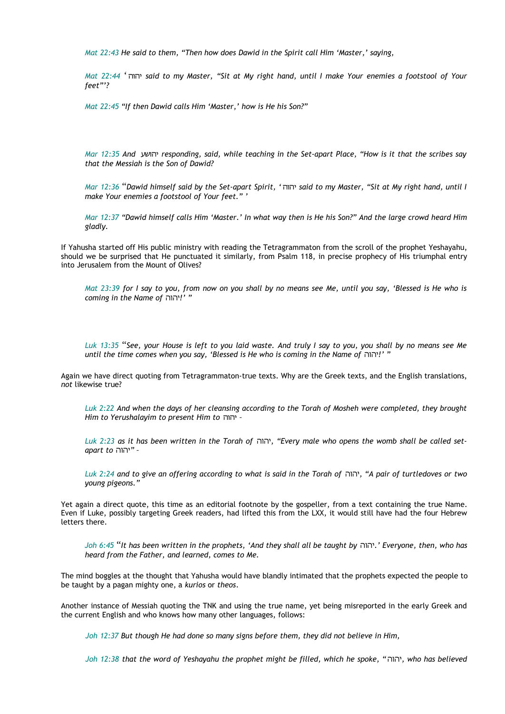*Mat 22:43 He said to them, "Then how does Dawid in the Spirit call Him 'Master,' saying,* 

*Mat 22:44* 'יהוה *said to my Master, "Sit at My right hand, until I make Your enemies a footstool of Your feet"'?* 

*Mat 22:45 "If then Dawid calls Him 'Master,' how is He his Son?"* 

*Mar 12:35 And* יהושע *responding, said, while teaching in the Set-apart Place, "How is it that the scribes say that the Messiah is the Son of Dawid?* 

*Mar 12:36* "*Dawid himself said by the Set-apart Spirit, '* יהוה *said to my Master, "Sit at My right hand, until I make Your enemies a footstool of Your feet." '* 

*Mar 12:37 "Dawid himself calls Him 'Master.' In what way then is He his Son?" And the large crowd heard Him gladly.*

If Yahusha started off His public ministry with reading the Tetragrammaton from the scroll of the prophet Yeshayahu, should we be surprised that He punctuated it similarly, from Psalm 118, in precise prophecy of His triumphal entry into Jerusalem from the Mount of Olives?

*Mat 23:39 for I say to you, from now on you shall by no means see Me, until you say, 'Blessed is He who is coming in the Name of* יהוה *" '!*

*Luk 13:35* "*See, your House is left to you laid waste. And truly I say to you, you shall by no means see Me until the time comes when you say, 'Blessed is He who is coming in the Name of* יהוה *" '!*

Again we have direct quoting from Tetragrammaton-true texts. Why are the Greek texts, and the English translations, *not* likewise true?

*Luk 2:22 And when the days of her cleansing according to the Torah of Mosheh were completed, they brought Him to Yerushalayim to present Him to* יהוה *–* 

*Luk 2:23 as it has been written in the Torah of* יהוה*," Every male who opens the womb shall be called setapart to* יהוה *– "*

*Luk 2:24 and to give an offering according to what is said in the Torah of* יהוה*," A pair of turtledoves or two young pigeons."* 

Yet again a direct quote, this time as an editorial footnote by the gospeller, from a text containing the true Name. Even if Luke, possibly targeting Greek readers, had lifted this from the LXX, it would still have had the four Hebrew letters there.

*Joh 6:45* "*It has been written in the prophets, 'And they shall all be taught by* יהוה*. 'Everyone, then, who has heard from the Father, and learned, comes to Me.* 

The mind boggles at the thought that Yahusha would have blandly intimated that the prophets expected the people to be taught by a pagan mighty one, a *kurios* or *theos*.

Another instance of Messiah quoting the TNK and using the true name, yet being misreported in the early Greek and the current English and who knows how many other languages, follows:

*Joh 12:37 But though He had done so many signs before them, they did not believe in Him,* 

*Joh 12:38 that the word of Yeshayahu the prophet might be filled, which he spoke, "*יהוה*, who has believed*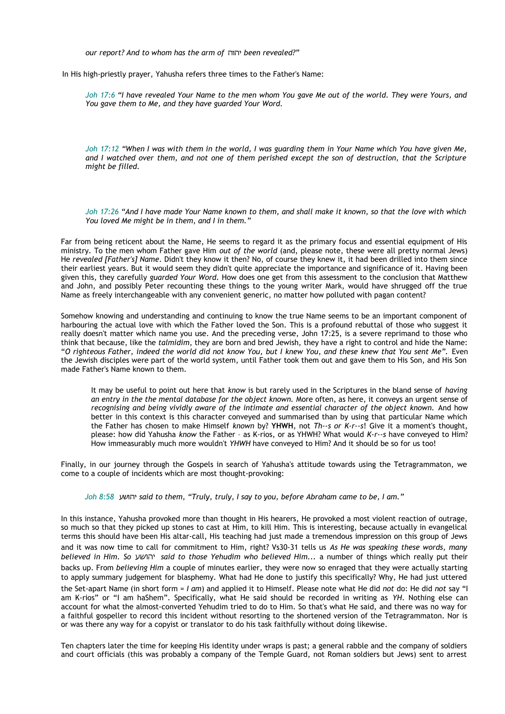*our report? And to whom has the arm of* יהוה *been revealed?"* 

In His high-priestly prayer, Yahusha refers three times to the Father's Name:

*Joh 17:6 "I have revealed Your Name to the men whom You gave Me out of the world. They were Yours, and You gave them to Me, and they have guarded Your Word.* 

*Joh 17:12 "When I was with them in the world, I was guarding them in Your Name which You have given Me, and I watched over them, and not one of them perished except the son of destruction, that the Scripture might be filled.* 

*Joh 17:26 "And I have made Your Name known to them, and shall make it known, so that the love with which You loved Me might be in them, and I in them."* 

Far from being reticent about the Name, He seems to regard it as the primary focus and essential equipment of His ministry. To the men whom Father gave Him *out of the world* (and, please note, these were all pretty normal Jews) He *revealed [Father's] Name*. Didn't they know it then? No, of course they knew it, it had been drilled into them since their earliest years. But it would seem they didn't quite appreciate the importance and significance of it. Having been given this, they carefully *guarded Your Word.* How does one get from this assessment to the conclusion that Matthew and John, and possibly Peter recounting these things to the young writer Mark, would have shrugged off the true Name as freely interchangeable with any convenient generic, no matter how polluted with pagan content?

Somehow knowing and understanding and continuing to know the true Name seems to be an important component of harbouring the actual love with which the Father loved the Son. This is a profound rebuttal of those who suggest it really doesn't matter which name you use. And the preceding verse, John 17:25, is a severe reprimand to those who think that because, like the *talmidim*, they are born and bred Jewish, they have a right to control and hide the Name: "*O righteous Father, indeed the world did not know You, but I knew You, and these knew that You sent Me".* Even the Jewish disciples were part of the world system, until Father took them out and gave them to His Son, and His Son made Father's Name known to them.

It may be useful to point out here that *know* is but rarely used in the Scriptures in the bland sense of *having an entry in the the mental database for the object known.* More often, as here, it conveys an urgent sense of *recognising and being vividly aware of the intimate and essential character of the object known.* And how better in this context is this character conveyed and summarised than by using that particular Name which the Father has chosen to make Himself *known* by? **YHWH**, not *Th--s or K-r--s*! Give it a moment's thought, please: how did Yahusha *know* the Father – as K-rios, or as YHWH? What would *K-r--s* have conveyed to Him? How immeasurably much more wouldn't *YHWH* have conveyed to Him? And it should be so for us too!

Finally, in our journey through the Gospels in search of Yahusha's attitude towards using the Tetragrammaton, we come to a couple of incidents which are most thought-provoking:

*Joh 8:58* יהושע *said to them, "Truly, truly, I say to you, before Abraham came to be, I am."* 

In this instance, Yahusha provoked more than thought in His hearers, He provoked a most violent reaction of outrage, so much so that they picked up stones to cast at Him, to kill Him. This is interesting, because actually in evangelical terms this should have been His altar-call, His teaching had just made a tremendous impression on this group of Jews and it was now time to call for commitment to Him, right? Vs30-31 tells us *As He was speaking these words, many believed in Him. So* יהושע *said to those Yehudim who believed Him...* a number of things which really put their backs up. From *believing Him* a couple of minutes earlier, they were now so enraged that they were actually starting to apply summary judgement for blasphemy. What had He done to justify this specifically? Why, He had just uttered the Set-apart Name (in short form = *I am*) and applied it to Himself. Please note what He did *not* do: He did *not* say "I am K-rios" or "I am haShem". Specifically, what He said should be recorded in writing as *YH*. Nothing else can account for what the almost-converted Yehudim tried to do to Him. So that's what He said, and there was no way for a faithful gospeller to record this incident without resorting to the shortened version of the Tetragrammaton. Nor is or was there any way for a copyist or translator to do his task faithfully without doing likewise.

Ten chapters later the time for keeping His identity under wraps is past; a general rabble and the company of soldiers and court officials (this was probably a company of the Temple Guard, not Roman soldiers but Jews) sent to arrest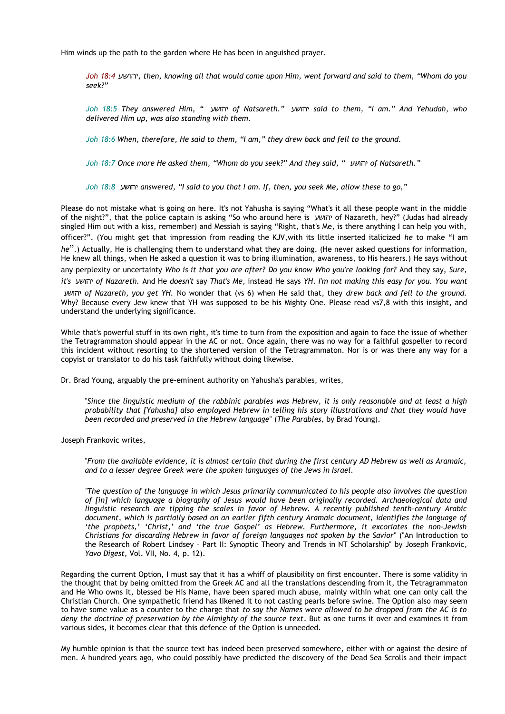Him winds up the path to the garden where He has been in anguished prayer.

*Joh 18:4* יהושע*, then, knowing all that would come upon Him, went forward and said to them, "Whom do you seek?"* 

*Joh 18:5 They answered Him, "* יהושע *of Natsareth."* יהושע *said to them, "I am." And Yehudah, who delivered Him up, was also standing with them.* 

*Joh 18:6 When, therefore, He said to them, "I am," they drew back and fell to the ground.* 

*Joh 18:7 Once more He asked them, "Whom do you seek?" And they said, "* יהושע *of Natsareth."* 

*Joh 18:8* יהושע *answered, "I said to you that I am. If, then, you seek Me, allow these to go,"* 

Please do not mistake what is going on here. It's not Yahusha is saying "What's it all these people want in the middle of the night?", that the police captain is asking "So who around here is יהושע of Nazareth, hey?" (Judas had already singled Him out with a kiss, remember) and Messiah is saying "Right, that's Me, is there anything I can help you with, officer?". (You might get that impression from reading the KJV,with its little inserted italicized *he* to make "I am *he*".) Actually, He is challenging them to understand what they are doing. (He never asked questions for information, He knew all things, when He asked a question it was to bring illumination, awareness, to His hearers.) He says without any perplexity or uncertainty *Who is it that you are after? Do you know Who you're looking for?* And they say, *Sure, it's* יהושע *of Nazareth.* And He *doesn't* say *That's Me*, instead He says *YH*. *I'm not making this easy for you. You want* יהושע *of Nazareth, you get YH.* No wonder that (vs 6) when He said that, they *drew back and fell to the ground.* Why? Because every Jew knew that YH was supposed to be his Mighty One. Please read vs7,8 with this insight, and understand the underlying significance.

While that's powerful stuff in its own right, it's time to turn from the exposition and again to face the issue of whether the Tetragrammaton should appear in the AC or not. Once again, there was no way for a faithful gospeller to record this incident without resorting to the shortened version of the Tetragrammaton. Nor is or was there any way for a copyist or translator to do his task faithfully without doing likewise.

Dr. Brad Young, arguably the pre-eminent authority on Yahusha's parables, writes,

"*Since the linguistic medium of the rabbinic parables was Hebrew, it is only reasonable and at least a high probability that [Yahusha] also employed Hebrew in telling his story illustrations and that they would have been recorded and preserved in the Hebrew language*" (*The Parables,* by Brad Young).

Joseph Frankovic writes,

"*From the available evidence, it is almost certain that during the first century AD Hebrew as well as Aramaic, and to a lesser degree Greek were the spoken languages of the Jews in Israel.*

*"The question of the language in which Jesus primarily communicated to his people also involves the question of [in] which language a biography of Jesus would have been originally recorded. Archaeological data and linguistic research are tipping the scales in favor of Hebrew. A recently published tenth-century Arabic document, which is partially based on an earlier fifth century Aramaic document, identifies the language of 'the prophets,' 'Christ,' and 'the true Gospel' as Hebrew. Furthermore, it excoriates the non-Jewish Christians for discarding Hebrew in favor of foreign languages not spoken by the Savior*" ("An Introduction to the Research of Robert Lindsey – Part II: Synoptic Theory and Trends in NT Scholarship" by Joseph Frankovic, *Yavo Digest,* Vol. VII, No. 4, p. 12).

Regarding the current Option, I must say that it has a whiff of plausibility on first encounter. There is some validity in the thought that by being omitted from the Greek AC and all the translations descending from it, the Tetragrammaton and He Who owns it, blessed be His Name, have been spared much abuse, mainly within what one can only call the Christian Church. One sympathetic friend has likened it to not casting pearls before swine. The Option also may seem to have some value as a counter to the charge that *to say the Names were allowed to be dropped from the AC is to deny the doctrine of preservation by the Almighty of the source text*. But as one turns it over and examines it from various sides, it becomes clear that this defence of the Option is unneeded.

My humble opinion is that the source text has indeed been preserved somewhere, either with or against the desire of men. A hundred years ago, who could possibly have predicted the discovery of the Dead Sea Scrolls and their impact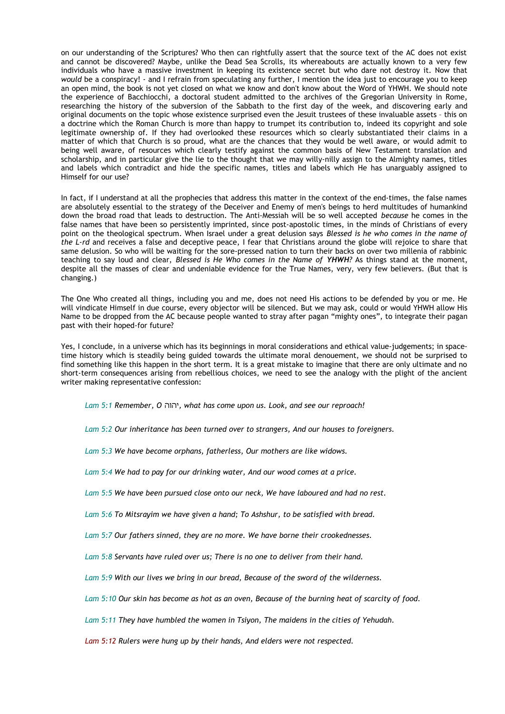on our understanding of the Scriptures? Who then can rightfully assert that the source text of the AC does not exist and cannot be discovered? Maybe, unlike the Dead Sea Scrolls, its whereabouts are actually known to a very few individuals who have a massive investment in keeping its existence secret but who dare not destroy it. Now that *would* be a conspiracy! - and I refrain from speculating any further, I mention the idea just to encourage you to keep an open mind, the book is not yet closed on what we know and don't know about the Word of YHWH. We should note the experience of Bacchiocchi, a doctoral student admitted to the archives of the Gregorian University in Rome, researching the history of the subversion of the Sabbath to the first day of the week, and discovering early and original documents on the topic whose existence surprised even the Jesuit trustees of these invaluable assets – this on a doctrine which the Roman Church is more than happy to trumpet its contribution to, indeed its copyright and sole legitimate ownership of. If they had overlooked these resources which so clearly substantiated their claims in a matter of which that Church is so proud, what are the chances that they would be well aware, or would admit to being well aware, of resources which clearly testify against the common basis of New Testament translation and scholarship, and in particular give the lie to the thought that we may willy-nilly assign to the Almighty names, titles and labels which contradict and hide the specific names, titles and labels which He has unarguably assigned to Himself for our use?

In fact, if I understand at all the prophecies that address this matter in the context of the end-times, the false names are absolutely essential to the strategy of the Deceiver and Enemy of men's beings to herd multitudes of humankind down the broad road that leads to destruction. The Anti-Messiah will be so well accepted *because* he comes in the false names that have been so persistently imprinted, since post-apostolic times, in the minds of Christians of every point on the theological spectrum. When Israel under a great delusion says *Blessed is he who comes in the name of the L-rd* and receives a false and deceptive peace, I fear that Christians around the globe will rejoice to share that same delusion. So who will be waiting for the sore-pressed nation to turn their backs on over two millenia of rabbinic teaching to say loud and clear, *Blessed is He Who comes in the Name of YHWH?* As things stand at the moment, despite all the masses of clear and undeniable evidence for the True Names, very, very few believers. (But that is changing.)

The One Who created all things, including you and me, does not need His actions to be defended by you or me. He will vindicate Himself in due course, every objector will be silenced. But we may ask, could or would YHWH allow His Name to be dropped from the AC because people wanted to stray after pagan "mighty ones", to integrate their pagan past with their hoped-for future?

Yes, I conclude, in a universe which has its beginnings in moral considerations and ethical value-judgements; in spacetime history which is steadily being guided towards the ultimate moral denouement, we should not be surprised to find something like this happen in the short term. It is a great mistake to imagine that there are only ultimate and no short-term consequences arising from rebellious choices, we need to see the analogy with the plight of the ancient writer making representative confession:

*Lam 5:1 Remember, O* יהוה*, what has come upon us. Look, and see our reproach!*

*Lam 5:2 Our inheritance has been turned over to strangers, And our houses to foreigners.*

*Lam 5:3 We have become orphans, fatherless, Our mothers are like widows.*

*Lam 5:4 We had to pay for our drinking water, And our wood comes at a price.*

*Lam 5:5 We have been pursued close onto our neck, We have laboured and had no rest.*

*Lam 5:6 To Mitsrayim we have given a hand; To Ashshur, to be satisfied with bread.*

*Lam 5:7 Our fathers sinned, they are no more. We have borne their crookednesses.*

*Lam 5:8 Servants have ruled over us; There is no one to deliver from their hand.*

*Lam 5:9 With our lives we bring in our bread, Because of the sword of the wilderness.*

*Lam 5:10 Our skin has become as hot as an oven, Because of the burning heat of scarcity of food.*

*Lam 5:11 They have humbled the women in Tsiyon, The maidens in the cities of Yehudah.*

*Lam 5:12 Rulers were hung up by their hands, And elders were not respected.*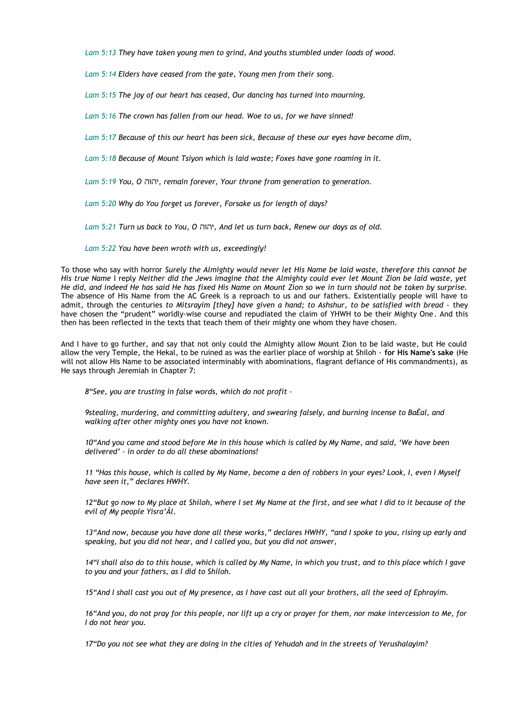*Lam 5:13 They have taken young men to grind, And youths stumbled under loads of wood.*

*Lam 5:14 Elders have ceased from the gate, Young men from their song.*

*Lam 5:15 The joy of our heart has ceased, Our dancing has turned into mourning.*

*Lam 5:16 The crown has fallen from our head. Woe to us, for we have sinned!*

*Lam 5:17 Because of this our heart has been sick, Because of these our eyes have become dim,*

*Lam 5:18 Because of Mount Tsiyon which is laid waste; Foxes have gone roaming in it.*

*Lam 5:19 You, O* יהוה*, remain forever, Your throne from generation to generation.*

*Lam 5:20 Why do You forget us forever, Forsake us for length of days?*

*Lam 5:21 Turn us back to You, O* יהוה*, And let us turn back, Renew our days as of old.*

*Lam 5:22 You have been wroth with us, exceedingly!*

To those who say with horror *Surely the Almighty would never let His Name be laid waste, therefore this cannot be His true Name* I reply *Neither did the Jews imagine that the Almighty could ever let Mount Zion be laid waste, yet He did, and indeed He has said He has fixed His Name on Mount Zion so we in turn should not be taken by surprise.* The absence of His Name from the AC Greek is a reproach to us and our fathers. Existentially people will have to admit, through the centuries to Mitsrayim [they] have given a hand; to Ashshur, to be satisfied with bread - they have chosen the "prudent" worldly-wise course and repudiated the claim of YHWH to be their Mighty One*.* And this then has been reflected in the texts that teach them of their mighty one whom they have chosen.

And I have to go further, and say that not only could the Almighty allow Mount Zion to be laid waste, but He could allow the very Temple, the Hekal, to be ruined as was the earlier place of worship at Shiloh - **for His Name's sake** (He will not allow His Name to be associated interminably with abominations, flagrant defiance of His commandments), as He says through Jeremiah in Chapter 7:

*8"See, you are trusting in false words, which do not profit –* 

*9stealing, murdering, and committing adultery, and swearing falsely, and burning incense to BaÈal, and walking after other mighty ones you have not known.*

*10"And you came and stood before Me in this house which is called by My Name, and said, 'We have been delivered' – in order to do all these abominations!*

*11 "Has this house, which is called by My Name, become a den of robbers in your eyes? Look, I, even I Myself have seen it," declares HWHY.* 

*12"But go now to My place at Shiloh, where I set My Name at the first, and see what I did to it because of the evil of My people Yisra'Ãl.* 

*13"And now, because you have done all these works," declares HWHY, "and I spoke to you, rising up early and speaking, but you did not hear, and I called you, but you did not answer,*

*14"I shall also do to this house, which is called by My Name, in which you trust, and to this place which I gave to you and your fathers, as I did to Shiloh.* 

*15"And I shall cast you out of My presence, as I have cast out all your brothers, all the seed of Ephrayim.*

*16"And you, do not pray for this people, nor lift up a cry or prayer for them, nor make intercession to Me, for I do not hear you.*

*17"Do you not see what they are doing in the cities of Yehudah and in the streets of Yerushalayim?*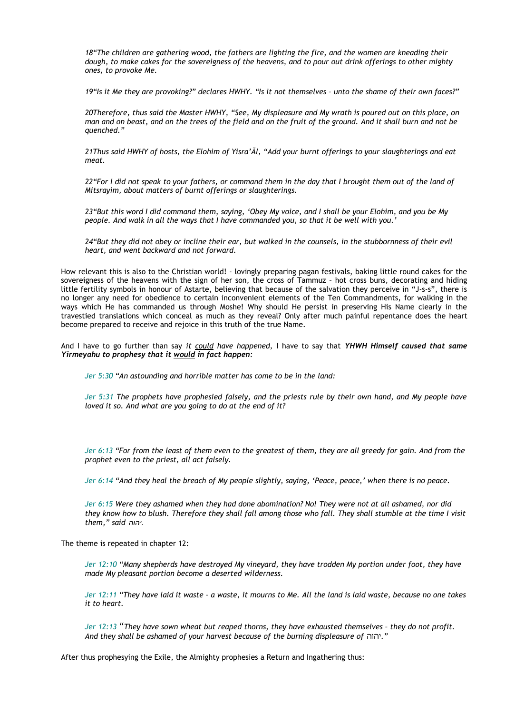*18"The children are gathering wood, the fathers are lighting the fire, and the women are kneading their dough, to make cakes for the sovereigness of the heavens, and to pour out drink offerings to other mighty ones, to provoke Me.*

*19"Is it Me they are provoking?" declares HWHY. "Is it not themselves – unto the shame of their own faces?"*

*20Therefore, thus said the Master HWHY, "See, My displeasure and My wrath is poured out on this place, on man and on beast, and on the trees of the field and on the fruit of the ground. And it shall burn and not be quenched."*

*21Thus said HWHY of hosts, the Elohim of Yisra'Ãl, "Add your burnt offerings to your slaughterings and eat meat.*

*22"For I did not speak to your fathers, or command them in the day that I brought them out of the land of Mitsrayim, about matters of burnt offerings or slaughterings.*

*23"But this word I did command them, saying, 'Obey My voice, and I shall be your Elohim, and you be My people. And walk in all the ways that I have commanded you, so that it be well with you.'*

*24"But they did not obey or incline their ear, but walked in the counsels, in the stubbornness of their evil heart, and went backward and not forward.*

How relevant this is also to the Christian world! - lovingly preparing pagan festivals, baking little round cakes for the sovereigness of the heavens with the sign of her son, the cross of Tammuz – hot cross buns, decorating and hiding little fertility symbols in honour of Astarte, believing that because of the salvation they perceive in "J-s-s", there is no longer any need for obedience to certain inconvenient elements of the Ten Commandments, for walking in the ways which He has commanded us through Moshe! Why should He persist in preserving His Name clearly in the travestied translations which conceal as much as they reveal? Only after much painful repentance does the heart become prepared to receive and rejoice in this truth of the true Name.

And I have to go further than say *it could have happened,* I have to say that *YHWH Himself caused that same Yirmeyahu to prophesy that it would in fact happen:*

*Jer 5:30 "An astounding and horrible matter has come to be in the land:* 

*Jer 5:31 The prophets have prophesied falsely, and the priests rule by their own hand, and My people have loved it so. And what are you going to do at the end of it?* 

*Jer 6:13 "For from the least of them even to the greatest of them, they are all greedy for gain. And from the prophet even to the priest, all act falsely.* 

*Jer 6:14 "And they heal the breach of My people slightly, saying, 'Peace, peace,' when there is no peace.* 

*Jer 6:15 Were they ashamed when they had done abomination? No! They were not at all ashamed, nor did they know how to blush. Therefore they shall fall among those who fall. They shall stumble at the time I visit them," said יהוה.*

The theme is repeated in chapter 12:

*Jer 12:10 "Many shepherds have destroyed My vineyard, they have trodden My portion under foot, they have made My pleasant portion become a deserted wilderness.* 

*Jer 12:11 "They have laid it waste – a waste, it mourns to Me. All the land is laid waste, because no one takes it to heart.* 

*Jer 12:13* "*They have sown wheat but reaped thorns, they have exhausted themselves – they do not profit. And they shall be ashamed of your harvest because of the burning displeasure of* יהוה*. "*

After thus prophesying the Exile, the Almighty prophesies a Return and Ingathering thus: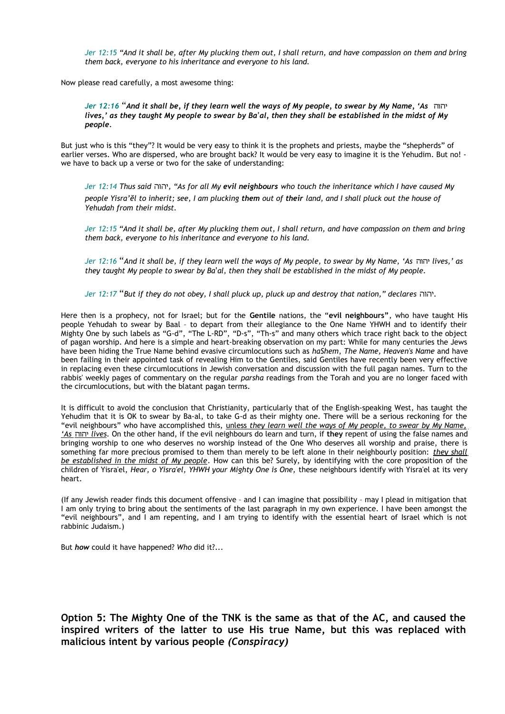*Jer 12:15 "And it shall be, after My plucking them out, I shall return, and have compassion on them and bring them back, everyone to his inheritance and everyone to his land.* 

Now please read carefully, a most awesome thing:

*Jer 12:16* "*And it shall be, if they learn well the ways of My people, to swear by My Name, 'As* יהוה *lives,' as they taught My people to swear by Ba'al, then they shall be established in the midst of My people.* 

But just who is this "they"? It would be very easy to think it is the prophets and priests, maybe the "shepherds" of earlier verses. Who are dispersed, who are brought back? It would be very easy to imagine it is the Yehudim. But no! we have to back up a verse or two for the sake of understanding:

*Jer 12:14 Thus said* יהוה*," As for all My evil neighbours who touch the inheritance which I have caused My people Yisra'ĕl to inherit; see, I am plucking them out of their land, and I shall pluck out the house of Yehudah from their midst.* 

*Jer 12:15 "And it shall be, after My plucking them out, I shall return, and have compassion on them and bring them back, everyone to his inheritance and everyone to his land.* 

*Jer 12:16* "*And it shall be, if they learn well the ways of My people, to swear by My Name, 'As* יהוה *lives,' as they taught My people to swear by Ba'al, then they shall be established in the midst of My people.* 

*Jer 12:17* "*But if they do not obey, I shall pluck up, pluck up and destroy that nation," declares* יהוה*.* 

Here then is a prophecy, not for Israel; but for the **Gentile** nations, the "**evil neighbours"**, who have taught His people Yehudah to swear by Baal – to depart from their allegiance to the One Name YHWH and to identify their Mighty One by such labels as "G-d", "The L-RD", "D-s", "Th-s" and many others which trace right back to the object of pagan worship. And here is a simple and heart-breaking observation on my part: While for many centuries the Jews have been hiding the True Name behind evasive circumlocutions such as *haShem*, *The Name, Heaven's Name* and have been failing in their appointed task of revealing Him to the Gentiles, said Gentiles have recently been very effective in replacing even these circumlocutions in Jewish conversation and discussion with the full pagan names. Turn to the rabbis' weekly pages of commentary on the regular *parsha* readings from the Torah and you are no longer faced with the circumlocutions, but with the blatant pagan terms.

It is difficult to avoid the conclusion that Christianity, particularly that of the English-speaking West, has taught the Yehudim that it is OK to swear by Ba-al, to take G-d as their mighty one. There will be a serious reckoning for the "evil neighbours" who have accomplished this, unless *they learn well the ways of My people, to swear by My Name, 'As* יהוה *lives.* On the other hand, if the evil neighbours do learn and turn, if **they** repent of using the false names and bringing worship to one who deserves no worship instead of the One Who deserves all worship and praise, there is something far more precious promised to them than merely to be left alone in their neighbourly position: *they shall be established in the midst of My people.* How can this be? Surely, by identifying with the core proposition of the children of Yisra'el, *Hear, o Yisra'el, YHWH your Mighty One is One,* these neighbours identify with Yisra'el at its very heart.

(If any Jewish reader finds this document offensive – and I can imagine that possibility – may I plead in mitigation that I am only trying to bring about the sentiments of the last paragraph in my own experience. I have been amongst the "evil neighbours", and I am repenting, and I am trying to identify with the essential heart of Israel which is not rabbinic Judaism.)

But *how* could it have happened? *Who* did it?...

**Option 5: The Mighty One of the TNK is the same as that of the AC, and caused the inspired writers of the latter to use His true Name, but this was replaced with malicious intent by various people** *(Conspiracy)*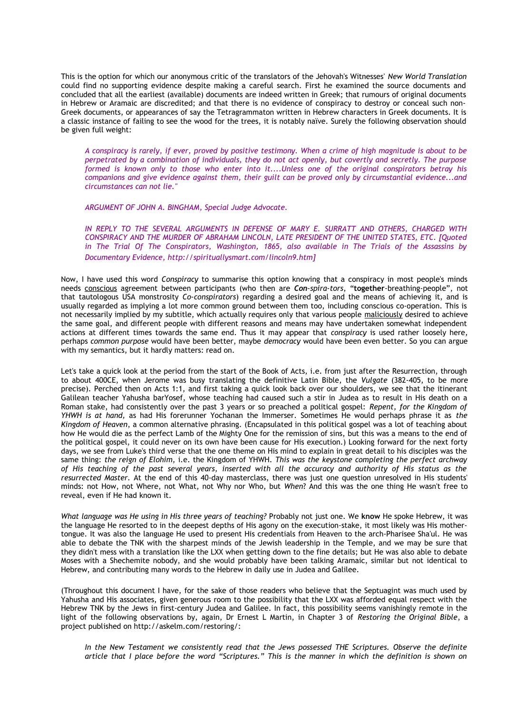This is the option for which our anonymous critic of the translators of the Jehovah's Witnesses' *New World Translation* could find no supporting evidence despite making a careful search. First he examined the source documents and concluded that all the earliest (available) documents are indeed written in Greek; that rumours of original documents in Hebrew or Aramaic are discredited; and that there is no evidence of conspiracy to destroy or conceal such non-Greek documents, or appearances of say the Tetragrammaton written in Hebrew characters in Greek documents. It is a classic instance of failing to see the wood for the trees, it is notably naïve. Surely the following observation should be given full weight:

*A conspiracy is rarely, if ever, proved by positive testimony. When a crime of high magnitude is about to be perpetrated by a combination of individuals, they do not act openly, but covertly and secretly. The purpose formed is known only to those who enter into it....Unless one of the original conspirators betray his companions and give evidence against them, their guilt can be proved only by circumstantial evidence...and circumstances can not lie."*

*ARGUMENT OF JOHN A. BINGHAM, Special Judge Advocate.*

*IN REPLY TO THE SEVERAL ARGUMENTS IN DEFENSE OF MARY E. SURRATT AND OTHERS, CHARGED WITH CONSPIRACY AND THE MURDER OF ABRAHAM LINCOLN, LATE PRESIDENT OF THE UNITED STATES, ETC. [Quoted in The Trial Of The Conspirators, Washington, 1865, also available in The Trials of the Assassins by Documentary Evidence, http://spirituallysmart.com/lincoln9.htm]*

Now, I have used this word *Conspiracy* to summarise this option knowing that a conspiracy in most people's minds needs conscious agreement between participants (who then are *Con-spira-tors*, "**together**-breathing-people", not that tautologous USA monstrosity *Co-conspirators*) regarding a desired goal and the means of achieving it, and is usually regarded as implying a lot more common ground between them too, including conscious co-operation. This is not necessarily implied by my subtitle, which actually requires only that various people maliciously desired to achieve the same goal, and different people with different reasons and means may have undertaken somewhat independent actions at different times towards the same end. Thus it may appear that *conspiracy* is used rather loosely here, perhaps *common purpose* would have been better, maybe *democracy* would have been even better. So you can argue with my semantics, but it hardly matters: read on.

Let's take a quick look at the period from the start of the Book of Acts, i.e. from just after the Resurrection, through to about 400CE, when Jerome was busy translating the definitive Latin Bible, the *Vulgate* (382-405, to be more precise). Perched then on Acts 1:1, and first taking a quick look back over our shoulders, we see that the itinerant Galilean teacher Yahusha barYosef, whose teaching had caused such a stir in Judea as to result in His death on a Roman stake, had consistently over the past 3 years or so preached a political gospel: *Repent, for the Kingdom of YHWH is at hand,* as had His forerunner Yochanan the Immerser. Sometimes He would perhaps phrase it as *the Kingdom of Heaven*, a common alternative phrasing. (Encapsulated in this political gospel was a lot of teaching about how He would die as the perfect Lamb of the Mighty One for the remission of sins, but this was a means to the end of the political gospel, it could never on its own have been cause for His execution.) Looking forward for the next forty days, we see from Luke's third verse that the one theme on His mind to explain in great detail to his disciples was the same thing: *the reign of Elohim,* i.e. the Kingdom of YHWH*. This was the keystone completing the perfect archway of His teaching of the past several years, inserted with all the accuracy and authority of His status as the resurrected Master.* At the end of this 40-day masterclass, there was just one question unresolved in His students' minds: not How, not Where, not What, not Why nor Who, but *When*? And this was the one thing He wasn't free to reveal, even if He had known it.

*What language was He using in His three years of teaching?* Probably not just one. We **know** He spoke Hebrew, it was the language He resorted to in the deepest depths of His agony on the execution-stake, it most likely was His mothertongue. It was also the language He used to present His credentials from Heaven to the arch-Pharisee Sha'ul. He was able to debate the TNK with the sharpest minds of the Jewish leadership in the Temple, and we may be sure that they didn't mess with a translation like the LXX when getting down to the fine details; but He was also able to debate Moses with a Shechemite nobody, and she would probably have been talking Aramaic, similar but not identical to Hebrew, and contributing many words to the Hebrew in daily use in Judea and Galilee.

(Throughout this document I have, for the sake of those readers who believe that the Septuagint was much used by Yahusha and His associates, given generous room to the possibility that the LXX was afforded equal respect with the Hebrew TNK by the Jews in first-century Judea and Galilee. In fact, this possibility seems vanishingly remote in the light of the following observations by, again, Dr Ernest L Martin, in Chapter 3 of *Restoring the Original Bible*, a project published on http://askelm.com/restoring/:

*In the New Testament we consistently read that the Jews possessed THE Scriptures. Observe the definite article that I place before the word "Scriptures." This is the manner in which the definition is shown on*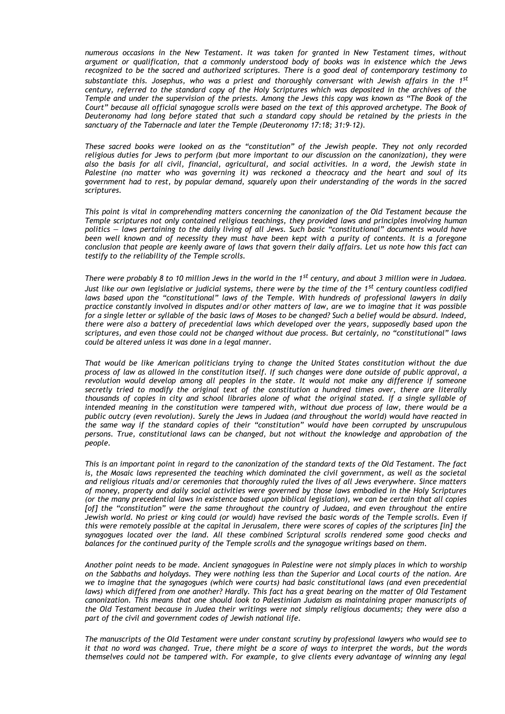*numerous occasions in the New Testament. It was taken for granted in New Testament times, without argument or qualification, that a commonly understood body of books was in existence which the Jews recognized to be the sacred and authorized scriptures. There is a good deal of contemporary testimony to substantiate this. Josephus, who was a priest and thoroughly conversant with Jewish affairs in the 1st century, referred to the standard copy of the Holy Scriptures which was deposited in the archives of the Temple and under the supervision of the priests. Among the Jews this copy was known as "The Book of the Court" because all official synagogue scrolls were based on the text of this approved archetype. The Book of Deuteronomy had long before stated that such a standard copy should be retained by the priests in the sanctuary of the Tabernacle and later the Temple (Deuteronomy 17:18; 31:9–12).*

*These sacred books were looked on as the "constitution" of the Jewish people. They not only recorded religious duties for Jews to perform (but more important to our discussion on the canonization), they were also the basis for all civil, financial, agricultural, and social activities. In a word, the Jewish state in Palestine (no matter who was governing it) was reckoned a theocracy and the heart and soul of its government had to rest, by popular demand, squarely upon their understanding of the words in the sacred scriptures.*

*This point is vital in comprehending matters concerning the canonization of the Old Testament because the Temple scriptures not only contained religious teachings, they provided laws and principles involving human politics — laws pertaining to the daily living of all Jews. Such basic "constitutional" documents would have been well known and of necessity they must have been kept with a purity of contents. It is a foregone conclusion that people are keenly aware of laws that govern their daily affairs. Let us note how this fact can testify to the reliability of the Temple scrolls.*

*There were probably 8 to 10 million Jews in the world in the 1st century, and about 3 million were in Judaea. Just like our own legislative or judicial systems, there were by the time of the 1st century countless codified laws based upon the "constitutional" laws of the Temple. With hundreds of professional lawyers in daily practice constantly involved in disputes and/or other matters of law, are we to imagine that it was possible for a single letter or syllable of the basic laws of Moses to be changed? Such a belief would be absurd. Indeed, there were also a battery of precedential laws which developed over the years, supposedly based upon the scriptures, and even those could not be changed without due process. But certainly, no "constitutional" laws could be altered unless it was done in a legal manner.* 

*That would be like American politicians trying to change the United States constitution without the due process of law as allowed in the constitution itself. If such changes were done outside of public approval, a revolution would develop among all peoples in the state. It would not make any difference if someone secretly tried to modify the original text of the constitution a hundred times over, there are literally thousands of copies in city and school libraries alone of what the original stated. If a single syllable of intended meaning in the constitution were tampered with, without due process of law, there would be a public outcry (even revolution). Surely the Jews in Judaea (and throughout the world) would have reacted in the same way if the standard copies of their "constitution" would have been corrupted by unscrupulous persons. True, constitutional laws can be changed, but not without the knowledge and approbation of the people.*

*This is an important point in regard to the canonization of the standard texts of the Old Testament. The fact is, the Mosaic laws represented the teaching which dominated the civil government, as well as the societal and religious rituals and/or ceremonies that thoroughly ruled the lives of all Jews everywhere. Since matters of money, property and daily social activities were governed by those laws embodied in the Holy Scriptures (or the many precedential laws in existence based upon biblical legislation), we can be certain that all copies [of] the "constitution" were the same throughout the country of Judaea, and even throughout the entire Jewish world. No priest or king could (or would) have revised the basic words of the Temple scrolls. Even if this were remotely possible at the capital in Jerusalem, there were scores of copies of the scriptures [in] the synagogues located over the land. All these combined Scriptural scrolls rendered some good checks and balances for the continued purity of the Temple scrolls and the synagogue writings based on them.*

*Another point needs to be made. Ancient synagogues in Palestine were not simply places in which to worship on the Sabbaths and holydays. They were nothing less than the Superior and Local courts of the nation. Are we to imagine that the synagogues (which were courts) had basic constitutional laws (and even precedential laws) which differed from one another? Hardly. This fact has a great bearing on the matter of Old Testament canonization. This means that one should look to Palestinian Judaism as maintaining proper manuscripts of the Old Testament because in Judea their writings were not simply religious documents; they were also a part of the civil and government codes of Jewish national life.*

*The manuscripts of the Old Testament were under constant scrutiny by professional lawyers who would see to it that no word was changed. True, there might be a score of ways to interpret the words, but the words themselves could not be tampered with. For example, to give clients every advantage of winning any legal*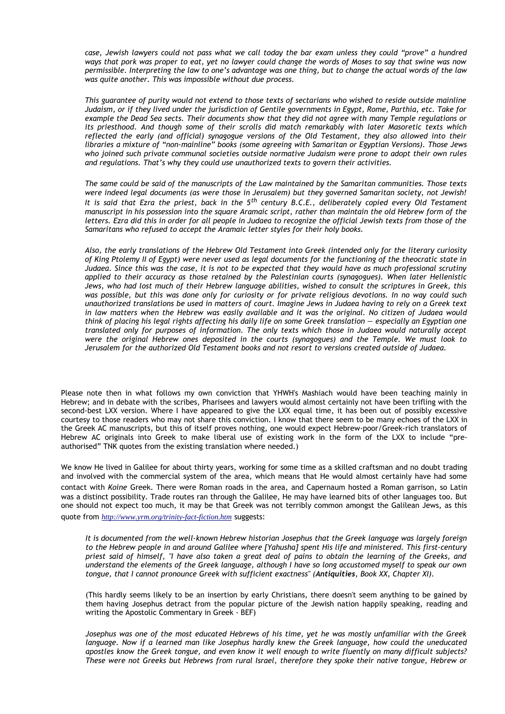*case, Jewish lawyers could not pass what we call today the bar exam unless they could "prove" a hundred ways that pork was proper to eat, yet no lawyer could change the words of Moses to say that swine was now permissible. Interpreting the law to one's advantage was one thing, but to change the actual words of the law was quite another. This was impossible without due process.*

*This guarantee of purity would not extend to those texts of sectarians who wished to reside outside mainline Judaism, or if they lived under the jurisdiction of Gentile governments in Egypt, Rome, Parthia, etc. Take for example the Dead Sea sects. Their documents show that they did not agree with many Temple regulations or its priesthood. And though some of their scrolls did match remarkably with later Masoretic texts which reflected the early (and official) synagogue versions of the Old Testament, they also allowed into their libraries a mixture of "non-mainline" books (some agreeing with Samaritan or Egyptian Versions). Those Jews who joined such private communal societies outside normative Judaism were prone to adopt their own rules and regulations. That's why they could use unauthorized texts to govern their activities.*

*The same could be said of the manuscripts of the Law maintained by the Samaritan communities. Those texts were indeed legal documents (as were those in Jerusalem) but they governed Samaritan society, not Jewish! It is said that Ezra the priest, back in the 5th century B.C.E., deliberately copied every Old Testament manuscript in his possession into the square Aramaic script, rather than maintain the old Hebrew form of the letters. Ezra did this in order for all people in Judaea to recognize the official Jewish texts from those of the Samaritans who refused to accept the Aramaic letter styles for their holy books.*

*Also, the early translations of the Hebrew Old Testament into Greek (intended only for the literary curiosity of King Ptolemy II of Egypt) were never used as legal documents for the functioning of the theocratic state in Judaea. Since this was the case, it is not to be expected that they would have as much professional scrutiny applied to their accuracy as those retained by the Palestinian courts (synagogues). When later Hellenistic Jews, who had lost much of their Hebrew language abilities, wished to consult the scriptures in Greek, this was possible, but this was done only for curiosity or for private religious devotions. In no way could such unauthorized translations be used in matters of court. Imagine Jews in Judaea having to rely on a Greek text in law matters when the Hebrew was easily available and it was the original. No citizen of Judaea would think of placing his legal rights affecting his daily life on some Greek translation — especially an Egyptian one translated only for purposes of information. The only texts which those in Judaea would naturally accept were the original Hebrew ones deposited in the courts (synagogues) and the Temple. We must look to Jerusalem for the authorized Old Testament books and not resort to versions created outside of Judaea.*

Please note then in what follows my own conviction that YHWH's Mashiach would have been teaching mainly in Hebrew; and in debate with the scribes, Pharisees and lawyers would almost certainly not have been trifling with the second-best LXX version. Where I have appeared to give the LXX equal time, it has been out of possibly excessive courtesy to those readers who may not share this conviction. I know that there seem to be many echoes of the LXX in the Greek AC manuscripts, but this of itself proves nothing, one would expect Hebrew-poor/Greek-rich translators of Hebrew AC originals into Greek to make liberal use of existing work in the form of the LXX to include "preauthorised" TNK quotes from the existing translation where needed.)

We know He lived in Galilee for about thirty years, working for some time as a skilled craftsman and no doubt trading and involved with the commercial system of the area, which means that He would almost certainly have had some contact with *Koine* Greek. There were Roman roads in the area, and Capernaum hosted a Roman garrison, so Latin was a distinct possibility. Trade routes ran through the Galilee, He may have learned bits of other languages too. But one should not expect too much, it may be that Greek was not terribly common amongst the Galilean Jews, as this quote from *<http://www.yrm.org/trinity-fact-fiction.htm>* suggests:

*It is documented from the well-known Hebrew historian Josephus that the Greek language was largely foreign to the Hebrew people in and around Galilee where [Yahusha] spent His life and ministered. This first-century priest said of himself, "I have also taken a great deal of pains to obtain the learning of the Greeks, and understand the elements of the Greek language, although I have so long accustomed myself to speak our own tongue, that I cannot pronounce Greek with sufficient exactness" (Antiquities, Book XX, Chapter XI).* 

(This hardly seems likely to be an insertion by early Christians, there doesn't seem anything to be gained by them having Josephus detract from the popular picture of the Jewish nation happily speaking, reading and writing the Apostolic Commentary in Greek - BEF)

*Josephus was one of the most educated Hebrews of his time, yet he was mostly unfamiliar with the Greek language. Now if a learned man like Josephus hardly knew the Greek language, how could the uneducated apostles know the Greek tongue, and even know it well enough to write fluently on many difficult subjects? These were not Greeks but Hebrews from rural Israel, therefore they spoke their native tongue, Hebrew or*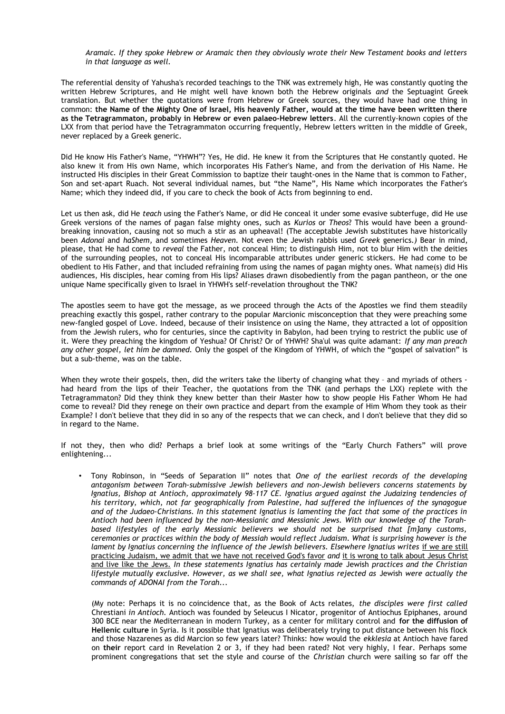*Aramaic. If they spoke Hebrew or Aramaic then they obviously wrote their New Testament books and letters in that language as well.* 

The referential density of Yahusha's recorded teachings to the TNK was extremely high, He was constantly quoting the written Hebrew Scriptures, and He might well have known both the Hebrew originals *and* the Septuagint Greek translation. But whether the quotations were from Hebrew or Greek sources, they would have had one thing in common: **the Name of the Mighty One of Israel, His heavenly Father, would at the time have been written there as the Tetragrammaton, probably in Hebrew or even palaeo-Hebrew letters**. All the currently-known copies of the LXX from that period have the Tetragrammaton occurring frequently, Hebrew letters written in the middle of Greek, never replaced by a Greek generic.

Did He know His Father's Name, "YHWH"? Yes, He did. He knew it from the Scriptures that He constantly quoted. He also knew it from His own Name, which incorporates His Father's Name, and from the derivation of His Name. He instructed His disciples in their Great Commission to baptize their taught-ones in the Name that is common to Father, Son and set-apart Ruach. Not several individual names, but "the Name", His Name which incorporates the Father's Name; which they indeed did, if you care to check the book of Acts from beginning to end.

Let us then ask, did He *teach* using the Father's Name, or did He conceal it under some evasive subterfuge, did He use Greek versions of the names of pagan false mighty ones, such as *Kurios* or *Theos*? This would have been a groundbreaking innovation, causing not so much a stir as an upheaval! (The acceptable Jewish substitutes have historically been *Adonai* and *haShem,* and sometimes *Heaven.* Not even the Jewish rabbis used *Greek* generics.*)* Bear in mind, please, that He had come to *reveal* the Father, not conceal Him; to distinguish Him, not to blur Him with the deities of the surrounding peoples, not to conceal His incomparable attributes under generic stickers. He had come to be obedient to His Father, and that included refraining from using the names of pagan mighty ones. What name(s) did His audiences, His disciples, hear coming from His lips? Aliases drawn disobediently from the pagan pantheon, or the one unique Name specifically given to Israel in YHWH's self-revelation throughout the TNK?

The apostles seem to have got the message, as we proceed through the Acts of the Apostles we find them steadily preaching exactly this gospel, rather contrary to the popular Marcionic misconception that they were preaching some new-fangled gospel of Love. Indeed, because of their insistence on using the Name, they attracted a lot of opposition from the Jewish rulers, who for centuries, since the captivity in Babylon, had been trying to restrict the public use of it. Were they preaching the kingdom of Yeshua? Of Christ? Or of YHWH? Sha'ul was quite adamant: *If any man preach any other gospel, let him be damned.* Only the gospel of the Kingdom of YHWH, of which the "gospel of salvation" is but a sub-theme, was on the table.

When they wrote their gospels, then, did the writers take the liberty of changing what they - and myriads of others had heard from the lips of their Teacher, the quotations from the TNK (and perhaps the LXX) replete with the Tetragrammaton? Did they think they knew better than their Master how to show people His Father Whom He had come to reveal? Did they renege on their own practice and depart from the example of Him Whom they took as their Example? I don't believe that they did in so any of the respects that we can check, and I don't believe that they did so in regard to the Name.

If not they, then who did? Perhaps a brief look at some writings of the "Early Church Fathers" will prove enlightening...

• Tony Robinson, in "Seeds of Separation II" notes that *One of the earliest records of the developing antagonism between Torah-submissive Jewish believers and non-Jewish believers concerns statements by Ignatius, Bishop at Antioch, approximately 98–117 CE. Ignatius argued against the Judaizing tendencies of his territory, which, not far geographically from Palestine, had suffered the influences of the synagogue and of the Judaeo-Christians. In this statement Ignatius is lamenting the fact that some of the practices in Antioch had been influenced by the non-Messianic and Messianic Jews. With our knowledge of the Torahbased lifestyles of the early Messianic believers we should not be surprised that [m]any customs, ceremonies or practices within the body of Messiah would reflect Judaism. What is surprising however is the lament by Ignatius concerning the influence of the Jewish believers. Elsewhere Ignatius writes if we are still* practicing Judaism, we admit that we have not received God's favor *and* it is wrong to talk about Jesus Christ and live like the Jews. *In these statements Ignatius has certainly made* Jewish *practices and the Christian lifestyle mutually exclusive. However, as we shall see, what Ignatius rejected as* Jewish *were actually the commands of ADONAI from the Torah...*

(My note: Perhaps it is no coincidence that, as the Book of Acts relates, *the disciples were first called* Chrestiani *in Antioch.* Antioch was founded by Seleucus I Nicator, progenitor of Antiochus Epiphanes, around 300 BCE near the Mediterranean in modern Turkey, as a center for military control and **for the diffusion of Hellenic culture** in Syria. Is it possible that Ignatius was deliberately trying to put distance between his flock and those Nazarenes as did Marcion so few years later? Thinks: how would the *ekklesia* at Antioch have fared on **their** report card in Revelation 2 or 3, if they had been rated? Not very highly, I fear. Perhaps some prominent congregations that set the style and course of the *Christian* church were sailing so far off the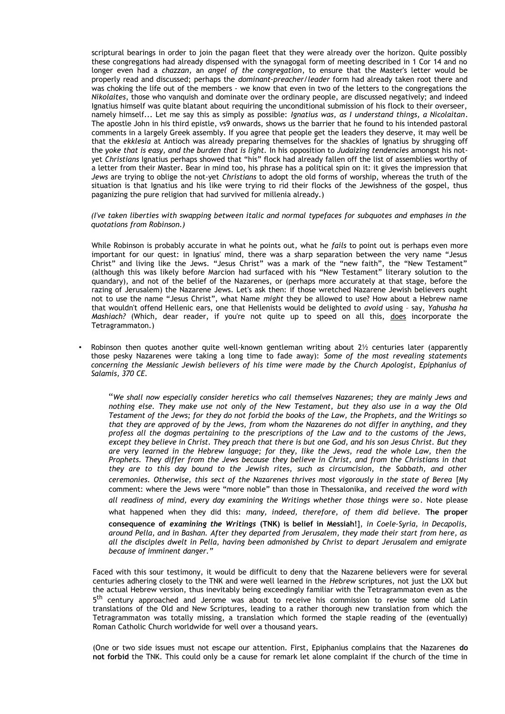scriptural bearings in order to join the pagan fleet that they were already over the horizon. Quite possibly these congregations had already dispensed with the synagogal form of meeting described in 1 Cor 14 and no longer even had a *chazzan*, an *angel of the congregation*, to ensure that the Master's letter would be properly read and discussed; perhaps the *dominant-preacher/leader* form had already taken root there and was choking the life out of the members - we know that even in two of the letters to the congregations the *Nikolaites*, those who vanquish and dominate over the ordinary people, are discussed negatively; and indeed Ignatius himself was quite blatant about requiring the unconditional submission of his flock to their overseer, namely himself... Let me say this as simply as possible: *Ignatius was, as I understand things, a Nicolaitan*. The apostle John in his third epistle, vs9 onwards, shows us the barrier that he found to his intended pastoral comments in a largely Greek assembly. If you agree that people get the leaders they deserve, it may well be that the *ekklesia* at Antioch was already preparing themselves for the shackles of Ignatius by shrugging off the *yoke that is easy, and the burden that is light.* In his opposition to *Judaizing tendencies* amongst his notyet *Christians* Ignatius perhaps showed that "his" flock had already fallen off the list of assemblies worthy of a letter from their Master. Bear in mind too, his phrase has a political spin on it: it gives the impression that *Jews* are trying to oblige the not-yet *Christians* to adopt the old forms of worship, whereas the truth of the situation is that Ignatius and his like were trying to rid their flocks of the Jewishness of the gospel, thus paganizing the pure religion that had survived for millenia already.)

#### *(I've taken liberties with swapping between italic and normal typefaces for subquotes and emphases in the quotations from Robinson.)*

While Robinson is probably accurate in what he points out, what he *fails* to point out is perhaps even more important for our quest: in Ignatius' mind, there was a sharp separation between the very name "Jesus Christ" and living like the Jews. "Jesus Christ" was a mark of the "new faith", the "New Testament" (although this was likely before Marcion had surfaced with his "New Testament" literary solution to the quandary), and not of the belief of the Nazarenes, or (perhaps more accurately at that stage, before the razing of Jerusalem) the Nazarene Jews. Let's ask then: if those wretched Nazarene Jewish believers ought not to use the name "Jesus Christ", what Name *might* they be allowed to use? How about a Hebrew name that wouldn't offend Hellenic ears, one that Hellenists would be delighted to *avoid* using – say, *Yahusha ha Mashiach?* (Which, dear reader, if you're not quite up to speed on all this, does incorporate the Tetragrammaton.)

Robinson then quotes another quite well-known gentleman writing about  $2\frac{1}{2}$  centuries later (apparently those pesky Nazarenes were taking a long time to fade away): *Some of the most revealing statements concerning the Messianic Jewish believers of his time were made by the Church Apologist, Epiphanius of Salamis, 370 CE.* 

"*We shall now especially consider heretics who call themselves Nazarenes; they are mainly Jews and nothing else. They make use not only of the New Testament, but they also use in a way the Old Testament of the Jews; for they do not forbid the books of the Law, the Prophets, and the Writings so that they are approved of by the Jews, from whom the Nazarenes do not differ in anything, and they profess all the dogmas pertaining to the prescriptions of the Law and to the customs of the Jews, except they believe in Christ. They preach that there is but one God, and his son Jesus Christ. But they are very learned in the Hebrew language; for they, like the Jews, read the whole Law, then the Prophets. They differ from the Jews because they believe in Christ, and from the Christians in that they are to this day bound to the Jewish rites, such as circumcision, the Sabbath, and other ceremonies. Otherwise, this sect of the Nazarenes thrives most vigorously in the state of Berea* [My comment: where the Jews were "more noble" than those in Thessalonika, and *received the word with all readiness of mind, every day examining the Writings whether those things were so*. Note please what happened when they did this: *many, indeed, therefore, of them did believe.* **The proper consequence of** *examining the Writings* **(TNK) is belief in Messiah!**], *in Coele-Syria, in Decapolis, around Pella, and in Bashan. After they departed from Jerusalem, they made their start from here, as all the disciples dwelt in Pella, having been admonished by Christ to depart Jerusalem and emigrate because of imminent danger."*

Faced with this sour testimony, it would be difficult to deny that the Nazarene believers were for several centuries adhering closely to the TNK and were well learned in the *Hebrew* scriptures, not just the LXX but the actual Hebrew version, thus inevitably being exceedingly familiar with the Tetragrammaton even as the 5<sup>th</sup> century approached and Jerome was about to receive his commission to revise some old Latin translations of the Old and New Scriptures, leading to a rather thorough new translation from which the Tetragrammaton was totally missing, a translation which formed the staple reading of the (eventually) Roman Catholic Church worldwide for well over a thousand years.

(One or two side issues must not escape our attention. First, Epiphanius complains that the Nazarenes **do not forbid** the TNK. This could only be a cause for remark let alone complaint if the church of the time in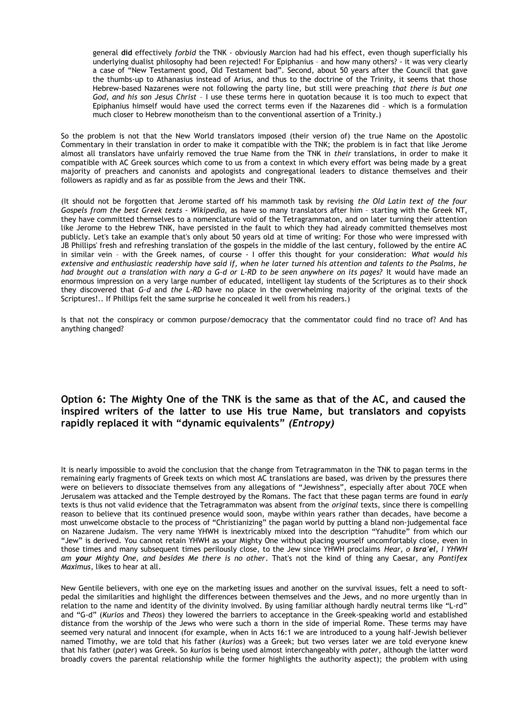general **did** effectively *forbid* the TNK - obviously Marcion had had his effect, even though superficially his underlying dualist philosophy had been rejected! For Epiphanius – and how many others? - it was very clearly a case of "New Testament good, Old Testament bad". Second, about 50 years after the Council that gave the thumbs-up to Athanasius instead of Arius, and thus to the doctrine of the Trinity, it seems that those Hebrew-based Nazarenes were not following the party line, but still were preaching *that there is but one God, and his son Jesus Christ* – I use these terms here in quotation because it is too much to expect that Epiphanius himself would have used the correct terms even if the Nazarenes did – which is a formulation much closer to Hebrew monotheism than to the conventional assertion of a Trinity.)

So the problem is not that the New World translators imposed (their version of) the true Name on the Apostolic Commentary in their translation in order to make it compatible with the TNK; the problem is in fact that like Jerome almost all translators have unfairly removed the true Name from the TNK in *their* translations, in order to make it compatible with AC Greek sources which come to us from a context in which every effort was being made by a great majority of preachers and canonists and apologists and congregational leaders to distance themselves and their followers as rapidly and as far as possible from the Jews and their TNK.

(It should not be forgotten that Jerome started off his mammoth task by revising *the Old Latin text of the four Gospels from the best Greek texts - Wikipedia,* as have so many translators after him – starting with the Greek NT, they have committed themselves to a nomenclature void of the Tetragrammaton, and on later turning their attention like Jerome to the Hebrew TNK, have persisted in the fault to which they had already committed themselves most publicly. Let's take an example that's only about 50 years old at time of writing: For those who were impressed with JB Phillips' fresh and refreshing translation of the gospels in the middle of the last century, followed by the entire AC in similar vein – with the Greek names, of course - I offer this thought for your consideration: *What would his extensive and enthusiastic readership have said if, when he later turned his attention and talents to the Psalms, he had brought out a translation with nary a G-d or L-RD to be seen anywhere on its pages?* It would have made an enormous impression on a very large number of educated, intelligent lay students of the Scriptures as to their shock they discovered that *G-d* and *the L-RD* have no place in the overwhelming majority of the original texts of the Scriptures!.. If Phillips felt the same surprise he concealed it well from his readers.)

Is that not the conspiracy or common purpose/democracy that the commentator could find no trace of? And has anything changed?

### **Option 6: The Mighty One of the TNK is the same as that of the AC, and caused the inspired writers of the latter to use His true Name, but translators and copyists rapidly replaced it with "dynamic equivalents"** *(Entropy)*

It is nearly impossible to avoid the conclusion that the change from Tetragrammaton in the TNK to pagan terms in the remaining early fragments of Greek texts on which most AC translations are based, was driven by the pressures there were on believers to dissociate themselves from any allegations of "Jewishness", especially after about 70CE when Jerusalem was attacked and the Temple destroyed by the Romans. The fact that these pagan terms are found in *early* texts is thus not valid evidence that the Tetragrammaton was absent from the *original* texts, since there is compelling reason to believe that its continued presence would soon, maybe within years rather than decades, have become a most unwelcome obstacle to the process of "Christianizing" the pagan world by putting a bland non-judgemental face on Nazarene Judaism. The very name YHWH is inextricably mixed into the description "Yahudite" from which our "Jew" is derived. You cannot retain YHWH as your Mighty One without placing yourself uncomfortably close, even in those times and many subsequent times perilously close, to the Jew since YHWH proclaims *Hear, o Isra'el, I YHWH am your Mighty One, and besides Me there is no other*. That's not the kind of thing any Caesar, any *Pontifex Maximus*, likes to hear at all.

New Gentile believers, with one eye on the marketing issues and another on the survival issues, felt a need to softpedal the similarities and highlight the differences between themselves and the Jews, and no more urgently than in relation to the name and identity of the divinity involved. By using familiar although hardly neutral terms like "L-rd" and "G-d" (*Kurios* and *Theos*) they lowered the barriers to acceptance in the Greek-speaking world and established distance from the worship of the Jews who were such a thorn in the side of imperial Rome. These terms may have seemed very natural and innocent (for example, when in Acts 16:1 we are introduced to a young half-Jewish believer named Timothy, we are told that his father (*kurios*) was a Greek; but two verses later we are told everyone knew that his father (*pater*) was Greek. So *kurios* is being used almost interchangeably with *pater*, although the latter word broadly covers the parental relationship while the former highlights the authority aspect); the problem with using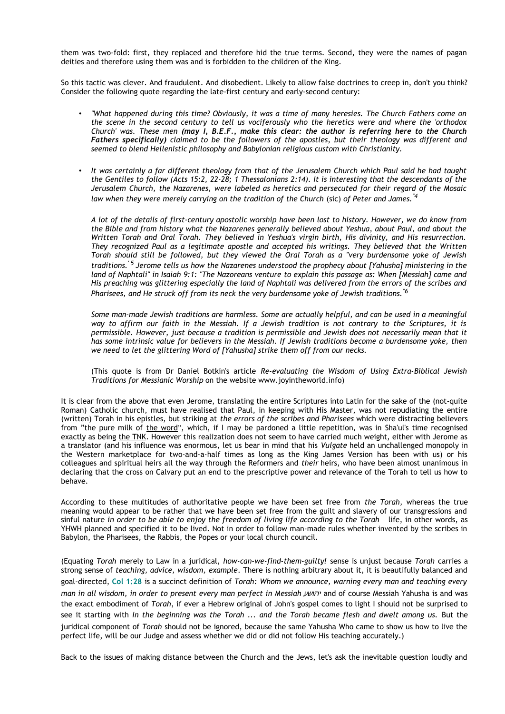them was two-fold: first, they replaced and therefore hid the true terms. Second, they were the names of pagan deities and therefore using them was and is forbidden to the children of the King.

So this tactic was clever. And fraudulent. And disobedient. Likely to allow false doctrines to creep in, don't you think? Consider the following quote regarding the late-first century and early-second century:

- *"What happened during this time? Obviously, it was a time of many heresies. The Church Fathers come on the scene in the second century to tell us vociferously who the heretics were and where the 'orthodox Church' was. These men (may I, B.E.F., make this clear: the author is referring here to the Church Fathers specifically) claimed to be the followers of the apostles, but their theology was different and seemed to blend Hellenistic philosophy and Babylonian religious custom with Christianity.*
- *It was certainly a far different theology from that of the Jerusalem Church which Paul said he had taught the Gentiles to follow (Acts 15:2, 22-28; 1 Thessalonians 2:14). It is interesting that the descendants of the Jerusalem Church, the Nazarenes, were labeled as heretics and persecuted for their regard of the Mosaic law when they were merely carrying on the tradition of the Church* (sic) *of Peter and James.''4*

*A lot of the details of first-century apostolic worship have been lost to history. However, we do know from the Bible and from history what the Nazarenes generally believed about Yeshua, about Paul, and about the Written Torah and Oral Torah. They believed in Yeshua's virgin birth, His divinity, and His resurrection. They recognized Paul as a legitimate apostle and accepted his writings. They believed that the Written Torah should still be followed, but they viewed the Oral Torah as a "very burdensome yoke of Jewish traditions.' 5 Jerome tells us how the Nazarenes understood the prophecy about [Yahusha] ministering in the land of Naphtali" in Isaiah 9:1: "The Nazoreans venture to explain this passage as: When [Messiah] came and His preaching was glittering especially the land of Naphtali was delivered from the errors of the scribes and Pharisees, and He struck off from its neck the very burdensome yoke of Jewish traditions.''6*

*Some man-made Jewish traditions are harmless. Some are actually helpful, and can be used in a meaningful way to affirm our faith in the Messiah. If a Jewish tradition is not contrary to the Scriptures, it is permissible. However, just because a tradition is permissible and Jewish does not necessarily mean that it has some intrinsic value for believers in the Messiah. If Jewish traditions become a burdensome yoke, then we need to let the glittering Word of [Yahusha] strike them off from our necks.*

(This quote is from Dr Daniel Botkin's article *Re-evaluating the Wisdom of Using Extra-Biblical Jewish Traditions for Messianic Worship* on the website www.joyintheworld.info)

It is clear from the above that even Jerome, translating the entire Scriptures into Latin for the sake of the (not-quite Roman) Catholic church, must have realised that Paul, in keeping with His Master, was not repudiating the entire (written) Torah in his epistles, but striking at *the errors of the scribes and Pharisees* which were distracting believers from "the pure milk of the word", which, if I may be pardoned a little repetition, was in Sha'ul's time recognised exactly as being the TNK. However this realization does not seem to have carried much weight, either with Jerome as a translator (and his influence was enormous, let us bear in mind that his *Vulgate* held an unchallenged monopoly in the Western marketplace for two-and-a-half times as long as the King James Version has been with us) or his colleagues and spiritual heirs all the way through the Reformers and *their* heirs, who have been almost unanimous in declaring that the cross on Calvary put an end to the prescriptive power and relevance of the Torah to tell us how to behave.

According to these multitudes of authoritative people we have been set free from *the Torah,* whereas the true meaning would appear to be rather that we have been set free from the guilt and slavery of our transgressions and sinful nature *in order to be able to enjoy the freedom of living life according to the Torah* – life, in other words, as YHWH planned and specified it to be lived. Not in order to follow man-made rules whether invented by the scribes in Babylon, the Pharisees, the Rabbis, the Popes or your local church council.

(Equating *Torah* merely to Law in a juridical, *how-can-we-find-them-guilty!* sense is unjust because *Torah* carries a strong sense of *teaching, advice, wisdom, example*. There is nothing arbitrary about it, it is beautifully balanced and goal-directed, **Col 1:28** is a succinct definition of *Torah: Whom we announce, warning every man and teaching every man in all wisdom, in order to present every man perfect in Messiah* יהושע and of course Messiah Yahusha is and was the exact embodiment of *Torah*, if ever a Hebrew original of John's gospel comes to light I should not be surprised to see it starting with *In the beginning was the Torah ... and the Torah became flesh and dwelt among us.* But the juridical component of *Torah* should not be ignored, because the same Yahusha Who came to show us how to live the perfect life, will be our Judge and assess whether we did or did not follow His teaching accurately.)

Back to the issues of making distance between the Church and the Jews, let's ask the inevitable question loudly and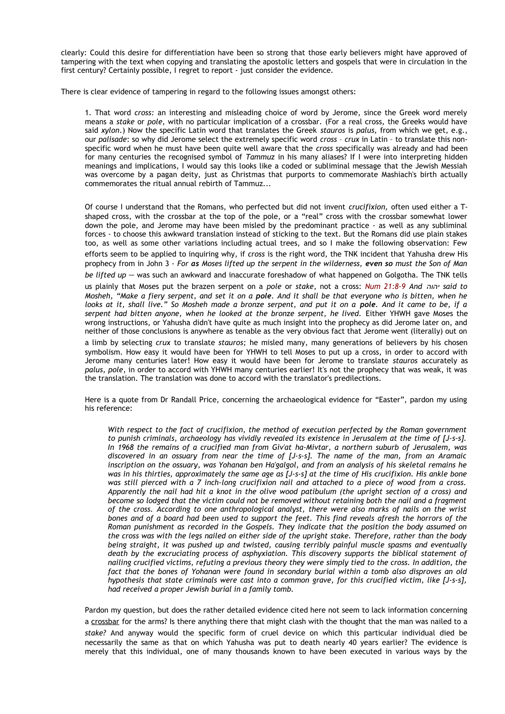clearly: Could this desire for differentiation have been so strong that those early believers might have approved of tampering with the text when copying and translating the apostolic letters and gospels that were in circulation in the first century? Certainly possible, I regret to report - just consider the evidence.

There is clear evidence of tampering in regard to the following issues amongst others:

1. That word *cross:* an interesting and misleading choice of word by Jerome, since the Greek word merely means a *stake* or *pole*, with no particular implication of a crossbar. (For a real cross, the Greeks would have said *xylon*.) Now the specific Latin word that translates the Greek *stauros* is *palus,* from which we get, e.g., our *palisade*: so why did Jerome select the extremely specific word *cross* – *crux* in Latin – to translate this nonspecific word when he must have been quite well aware that the *cross* specifically was already and had been for many centuries the recognised symbol of *Tammuz* in his many aliases? If I were into interpreting hidden meanings and implications, I would say this looks like a coded or subliminal message that the Jewish Messiah was overcome by a pagan deity, just as Christmas that purports to commemorate Mashiach's birth actually commemorates the ritual annual rebirth of Tammuz...

Of course I understand that the Romans, who perfected but did not invent *crucifixion,* often used either a Tshaped cross, with the crossbar at the top of the pole, or a "real" cross with the crossbar somewhat lower down the pole, and Jerome may have been misled by the predominant practice - as well as any subliminal forces - to choose this awkward translation instead of sticking to the text. But the Romans did use plain stakes too, as well as some other variations including actual trees, and so I make the following observation: Few efforts seem to be applied to inquiring why, if *cross* is the right word, the TNK incident that Yahusha drew His prophecy from in John 3 - *For as Moses lifted up the serpent in the wilderness, even so must the Son of Man be lifted up* – was such an awkward and inaccurate foreshadow of what happened on Golgotha. The TNK tells us plainly that Moses put the brazen serpent on a *pole* or *stake*, not a cross: *Num 21:8-9 And יהוה said to Mosheh, "Make a fiery serpent, and set it on a pole. And it shall be that everyone who is bitten, when he looks at it, shall live." So Mosheh made a bronze serpent, and put it on a pole. And it came to be, if a serpent had bitten anyone, when he looked at the bronze serpent, he lived.* Either YHWH gave Moses the wrong instructions, or Yahusha didn't have quite as much insight into the prophecy as did Jerome later on, and neither of those conclusions is anywhere as tenable as the very obvious fact that Jerome went (literally) out on

a limb by selecting *crux* to translate *stauros;* he misled many, many generations of believers by his chosen symbolism. How easy it would have been for YHWH to tell Moses to put up a cross, in order to accord with Jerome many centuries later! How easy it would have been for Jerome to translate *stauros* accurately as *palus, pole*, in order to accord with YHWH many centuries earlier! It's not the prophecy that was weak, it was the translation. The translation was done to accord with the translator's predilections.

Here is a quote from Dr Randall Price, concerning the archaeological evidence for "Easter", pardon my using his reference:

*With respect to the fact of crucifixion, the method of execution perfected by the Roman government to punish criminals, archaeology has vividly revealed its existence in Jerusalem at the time of [J-s-s]. In 1968 the remains of a crucified man from Giv'at ha-Mivtar, a northern suburb of Jerusalem, was discovered in an ossuary from near the time of [J-s-s]. The name of the man, from an Aramaic inscription on the ossuary, was Yohanan ben Ha'galgol, and from an analysis of his skeletal remains he was in his thirties, approximately the same age as [J-s-s] at the time of His crucifixion. His ankle bone was still pierced with a 7 inch-long crucifixion nail and attached to a piece of wood from a cross. Apparently the nail had hit a knot in the olive wood patibulum (the upright section of a cross) and become so lodged that the victim could not be removed without retaining both the nail and a fragment of the cross. According to one anthropological analyst, there were also marks of nails on the wrist bones and of a board had been used to support the feet. This find reveals afresh the horrors of the Roman punishment as recorded in the Gospels. They indicate that the position the body assumed on the cross was with the legs nailed on either side of the upright stake. Therefore, rather than the body being straight, it was pushed up and twisted, causing terribly painful muscle spasms and eventually death by the excruciating process of asphyxiation. This discovery supports the biblical statement of nailing crucified victims, refuting a previous theory they were simply tied to the cross. In addition, the fact that the bones of Yohanan were found in secondary burial within a tomb also disproves an old hypothesis that state criminals were cast into a common grave, for this crucified victim, like [J-s-s], had received a proper Jewish burial in a family tomb.* 

Pardon my question, but does the rather detailed evidence cited here not seem to lack information concerning a crossbar for the arms? Is there anything there that might clash with the thought that the man was nailed to a *stake?* And anyway would the specific form of cruel device on which this particular individual died be necessarily the same as that on which Yahusha was put to death nearly 40 years earlier? The evidence is merely that this individual, one of many thousands known to have been executed in various ways by the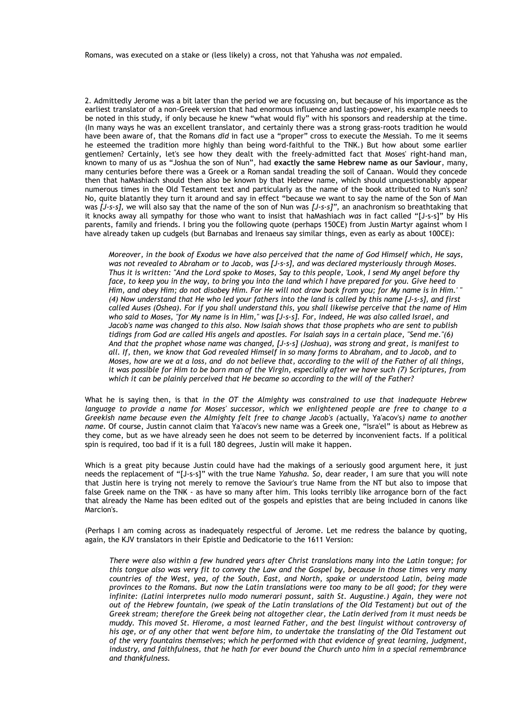Romans, was executed on a stake or (less likely) a cross, not that Yahusha was *not* empaled.

2. Admittedly Jerome was a bit later than the period we are focussing on, but because of his importance as the earliest translator of a non-Greek version that had enormous influence and lasting-power, his example needs to be noted in this study, if only because he knew "what would fly" with his sponsors and readership at the time. (In many ways he was an excellent translator, and certainly there was a strong grass-roots tradition he would have been aware of, that the Romans *did* in fact use a "proper" cross to execute the Messiah. To me it seems he esteemed the tradition more highly than being word-faithful to the TNK.) But how about some earlier gentlemen? Certainly, let's see how they dealt with the freely-admitted fact that Moses' right-hand man, known to many of us as "Joshua the son of Nun", had **exactly the same Hebrew name as our Saviour**, many, many centuries before there was a Greek or a Roman sandal treading the soil of Canaan. Would they concede then that haMashiach should then also be known by that Hebrew name, which should unquestionably appear numerous times in the Old Testament text and particularly as the name of the book attributed to Nun's son? No, quite blatantly they turn it around and say in effect "because we want to say the name of the Son of Man was *[J-s-s],* we will also say that the name of the son of Nun was *[J-s-s]",* an anachronism so breathtaking that it knocks away all sympathy for those who want to insist that haMashiach *was* in fact called "[J-s-s]" by His parents, family and friends. I bring you the following quote (perhaps 150CE) from Justin Martyr against whom I have already taken up cudgels (but Barnabas and Irenaeus say similar things, even as early as about 100CE):

*Moreover, in the book of Exodus we have also perceived that the name of God Himself which, He says, was not revealed to Abraham or to Jacob, was [J-s-s], and was declared mysteriously through Moses. Thus it is written: "And the Lord spoke to Moses, Say to this people, 'Look, I send My angel before thy face, to keep you in the way, to bring you into the land which I have prepared for you. Give heed to Him, and obey Him; do not disobey Him. For He will not draw back from you; for My name is in Him.' " (4) Now understand that He who led your fathers into the land is called by this name [J-s-s], and first called Auses (Oshea). For if you shall understand this, you shall likewise perceive that the name of Him who said to Moses, "for My name is in Him," was [J-s-s]. For, indeed, He was also called Israel, and Jacob's name was changed to this also. Now Isaiah shows that those prophets who are sent to publish tidings from God are called His angels and apostles. For Isaiah says in a certain place, "Send me."(6) And that the prophet whose name was changed, [J-s-s] (Joshua), was strong and great, is manifest to all. If, then, we know that God revealed Himself in so many forms to Abraham, and to Jacob, and to Moses, how are we at a loss, and do not believe that, according to the will of the Father of all things, it was possible for Him to be born man of the Virgin, especially after we have such (7) Scriptures, from which it can be plainly perceived that He became so according to the will of the Father?*

What he is saying then, is that *in the OT the Almighty was constrained to use that inadequate Hebrew language to provide a name for Moses' successor, which we enlightened people are free to change to a Greekish name because even the Almighty felt free to change Jacob's (*actually, Ya'acov's*) name to another name.* Of course, Justin cannot claim that Ya'acov's new name was a Greek one, "Isra'el" is about as Hebrew as they come, but as we have already seen he does not seem to be deterred by inconvenient facts. If a political spin is required, too bad if it is a full 180 degrees, Justin will make it happen.

Which is a great pity because Justin could have had the makings of a seriously good argument here, it just needs the replacement of "[J-s-s]" with the true Name *Yahusha. So*, dear reader, I am sure that you will note that Justin here is trying not merely to remove the Saviour's true Name from the NT but also to impose that false Greek name on the TNK - as have so many after him. This looks terribly like arrogance born of the fact that already the Name has been edited out of the gospels and epistles that are being included in canons like Marcion's.

(Perhaps I am coming across as inadequately respectful of Jerome. Let me redress the balance by quoting, again, the KJV translators in their Epistle and Dedicatorie to the 1611 Version:

*There were also within a few hundred years after Christ translations many into the Latin tongue; for this tongue also was very fit to convey the Law and the Gospel by, because in those times very many countries of the West, yea, of the South, East, and North, spake or understood Latin, being made provinces to the Romans. But now the Latin translations were too many to be all good; for they were infinite: (Latini interpretes nullo modo numerari possunt, saith St. Augustine.) Again, they were not out of the Hebrew fountain, (we speak of the Latin translations of the Old Testament) but out of the Greek stream; therefore the Greek being not altogether clear, the Latin derived from it must needs be muddy. This moved St. Hierome, a most learned Father, and the best linguist without controversy of his age, or of any other that went before him, to undertake the translating of the Old Testament out of the very fountains themselves; which he performed with that evidence of great learning, judgment, industry, and faithfulness, that he hath for ever bound the Church unto him in a special remembrance and thankfulness.*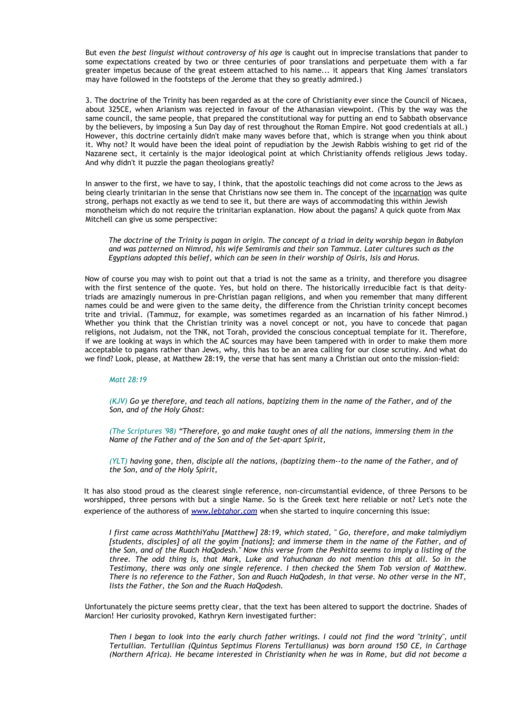But even *the best linguist without controversy of his age* is caught out in imprecise translations that pander to some expectations created by two or three centuries of poor translations and perpetuate them with a far greater impetus because of the great esteem attached to his name... it appears that King James' translators may have followed in the footsteps of the Jerome that they so greatly admired.)

3. The doctrine of the Trinity has been regarded as at the core of Christianity ever since the Council of Nicaea, about 325CE, when Arianism was rejected in favour of the Athanasian viewpoint. (This by the way was the same council, the same people, that prepared the constitutional way for putting an end to Sabbath observance by the believers, by imposing a Sun Day day of rest throughout the Roman Empire. Not good credentials at all.) However, this doctrine certainly didn't make many waves before that, which is strange when you think about it. Why not? It would have been the ideal point of repudiation by the Jewish Rabbis wishing to get rid of the Nazarene sect, it certainly is the major ideological point at which Christianity offends religious Jews today. And why didn't it puzzle the pagan theologians greatly?

In answer to the first, we have to say, I think, that the apostolic teachings did not come across to the Jews as being clearly trinitarian in the sense that Christians now see them in. The concept of the incarnation was quite strong, perhaps not exactly as we tend to see it, but there are ways of accommodating this within Jewish monotheism which do not require the trinitarian explanation. How about the pagans? A quick quote from Max Mitchell can give us some perspective:

*The doctrine of the Trinity is pagan in origin. The concept of a triad in deity worship began in Babylon and was patterned on Nimrod, his wife Semiramis and their son Tammuz. Later cultures such as the Egyptians adopted this belief, which can be seen in their worship of Osiris, Isis and Horus.*

Now of course you may wish to point out that a triad is not the same as a trinity, and therefore you disagree with the first sentence of the quote. Yes, but hold on there. The historically irreducible fact is that deitytriads are amazingly numerous in pre-Christian pagan religions, and when you remember that many different names could be and were given to the same deity, the difference from the Christian trinity concept becomes trite and trivial. (Tammuz, for example, was sometimes regarded as an incarnation of his father Nimrod.) Whether you think that the Christian trinity was a novel concept or not, you have to concede that pagan religions, not Judaism, not the TNK, not Torah, provided the conscious conceptual template for it. Therefore, if we are looking at ways in which the AC sources may have been tampered with in order to make them more acceptable to pagans rather than Jews, why, this has to be an area calling for our close scrutiny. And what do we find? Look, please, at Matthew 28:19, the verse that has sent many a Christian out onto the mission-field:

#### *Matt 28:19*

*(KJV) Go ye therefore, and teach all nations, baptizing them in the name of the Father, and of the Son, and of the Holy Ghost:*

*(The Scriptures '98) "Therefore, go and make taught ones of all the nations, immersing them in the Name of the Father and of the Son and of the Set-apart Spirit,* 

*(YLT) having gone, then, disciple all the nations, (baptizing them--to the name of the Father, and of the Son, and of the Holy Spirit,* 

It has also stood proud as the clearest single reference, non-circumstantial evidence, of three Persons to be worshipped, three persons with but a single Name. So is the Greek text here reliable or not? Let's note the experience of the authoress of *[www.lebtahor.com](http://www.lebtahor.com/)* when she started to inquire concerning this issue:

*I first came across MaththiYahu [Matthew] 28:19, which stated, " Go, therefore, and make talmiydiym [students, disciples] of all the goyim [nations]; and immerse them in the name of the Father, and of the Son, and of the Ruach HaQodesh." Now this verse from the Peshitta seems to imply a listing of the three. The odd thing is, that Mark, Luke and Yahuchanan do not mention this at all. So in the Testimony, there was only one single reference. I then checked the Shem Tob version of Matthew. There is no reference to the Father, Son and Ruach HaQodesh, in that verse. No other verse in the NT, lists the Father, the Son and the Ruach HaQodesh.*

Unfortunately the picture seems pretty clear, that the text has been altered to support the doctrine. Shades of Marcion! Her curiosity provoked, Kathryn Kern investigated further:

*Then I began to look into the early church father writings. I could not find the word "trinity", until Tertullian. Tertullian (Quintus Septimus Florens Tertullianus) was born around 150 CE, in Carthage (Northern Africa). He became interested in Christianity when he was in Rome, but did not become a*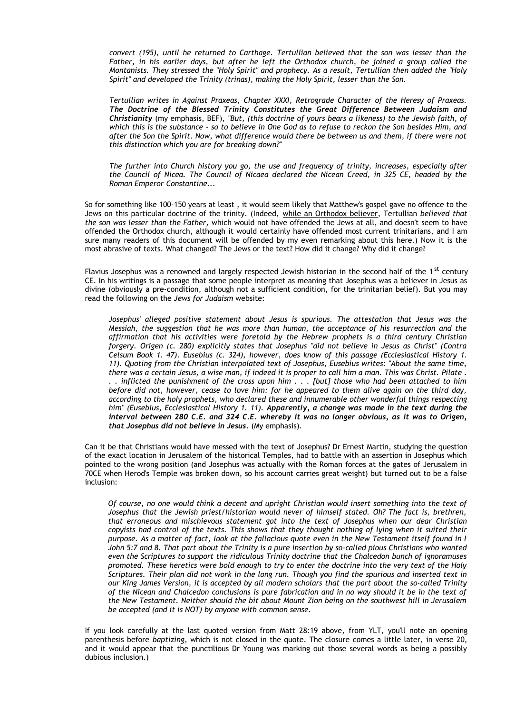*convert (195), until he returned to Carthage. Tertullian believed that the son was lesser than the Father, in his earlier days, but after he left the Orthodox church, he joined a group called the Montanists. They stressed the "Holy Spirit" and prophecy. As a result, Tertullian then added the "Holy Spirit" and developed the Trinity (trinas), making the Holy Spirit, lesser than the Son.* 

*Tertullian writes in Against Praxeas, Chapter XXXI, Retrograde Character of the Heresy of Praxeas. The Doctrine of the Blessed Trinity Constitutes the Great Difference Between Judaism and Christianity* (my emphasis, BEF), *"But, (this doctrine of yours bears a likeness) to the Jewish faith, of which this is the substance - so to believe in One God as to refuse to reckon the Son besides Him, and after the Son the Spirit. Now, what difference would there be between us and them, if there were not this distinction which you are for breaking down?"*

*The further into Church history you go, the use and frequency of trinity, increases, especially after the Council of Nicea. The Council of Nicaea declared the Nicean Creed, in 325 CE, headed by the Roman Emperor Constantine...*

So for something like 100-150 years at least , it would seem likely that Matthew's gospel gave no offence to the Jews on this particular doctrine of the trinity. (Indeed, while an Orthodox believer, Tertullian *believed that the son was lesser than the Father,* which would not have offended the Jews at all, and doesn't seem to have offended the Orthodox church, although it would certainly have offended most current trinitarians, and I am sure many readers of this document will be offended by my even remarking about this here.) Now it is the most abrasive of texts. What changed? The Jews or the text? How did it change? Why did it change?

Flavius Josephus was a renowned and largely respected Jewish historian in the second half of the 1<sup>st</sup> century CE. In his writings is a passage that some people interpret as meaning that Josephus was a believer in Jesus as divine (obviously a pre-condition, although not a sufficient condition, for the trinitarian belief). But you may read the following on the *Jews for Judaism* website:

*Josephus' alleged positive statement about Jesus is spurious. The attestation that Jesus was the Messiah, the suggestion that he was more than human, the acceptance of his resurrection and the affirmation that his activities were foretold by the Hebrew prophets is a third century Christian forgery. Origen (c. 280) explicitly states that Josephus "did not believe in Jesus as Christ" (Contra Celsum Book 1. 47). Eusebius (c. 324), however, does know of this passage (Ecclesiastical History 1. 11). Quoting from the Christian interpolated text of Josephus, Eusebius writes: "About the same time, there was a certain Jesus, a wise man, if indeed it is proper to call him a man. This was Christ. Pilate . . . inflicted the punishment of the cross upon him . . . [but] those who had been attached to him before did not, however, cease to love him: for he appeared to them alive again on the third day, according to the holy prophets, who declared these and innumerable other wonderful things respecting him" (Eusebius, Ecclesiastical History 1. 11). Apparently, a change was made in the text during the interval between 280 C.E. and 324 C.E. whereby it was no longer obvious, as it was to Origen, that Josephus did not believe in Jesus.* (My emphasis).

Can it be that Christians would have messed with the text of Josephus? Dr Ernest Martin, studying the question of the exact location in Jerusalem of the historical Temples, had to battle with an assertion in Josephus which pointed to the wrong position (and Josephus was actually with the Roman forces at the gates of Jerusalem in 70CE when Herod's Temple was broken down, so his account carries great weight) but turned out to be a false inclusion:

*Of course, no one would think a decent and upright Christian would insert something into the text of Josephus that the Jewish priest/historian would never of himself stated. Oh? The fact is, brethren, that erroneous and mischievous statement got into the text of Josephus when our dear Christian copyists had control of the texts. This shows that they thought nothing of lying when it suited their purpose. As a matter of fact, look at the fallacious quote even in the New Testament itself found in I John 5:7 and 8. That part about the Trinity is a pure insertion by so-called pious Christians who wanted even the Scriptures to support the ridiculous Trinity doctrine that the Chalcedon bunch of ignoramuses promoted. These heretics were bold enough to try to enter the doctrine into the very text of the Holy Scriptures. Their plan did not work in the long run. Though you find the spurious and inserted text in our King James Version, it is accepted by all modern scholars that the part about the so-called Trinity of the Nicean and Chalcedon conclusions is pure fabrication and in no way should it be in the text of the New Testament. Neither should the bit about Mount Zion being on the southwest hill in Jerusalem be accepted (and it is NOT) by anyone with common sense.* 

If you look carefully at the last quoted version from Matt 28:19 above, from YLT, you'll note an opening parenthesis before *baptizing*, which is not closed in the quote. The closure comes a little later, in verse 20, and it would appear that the punctilious Dr Young was marking out those several words as being a possibly dubious inclusion.)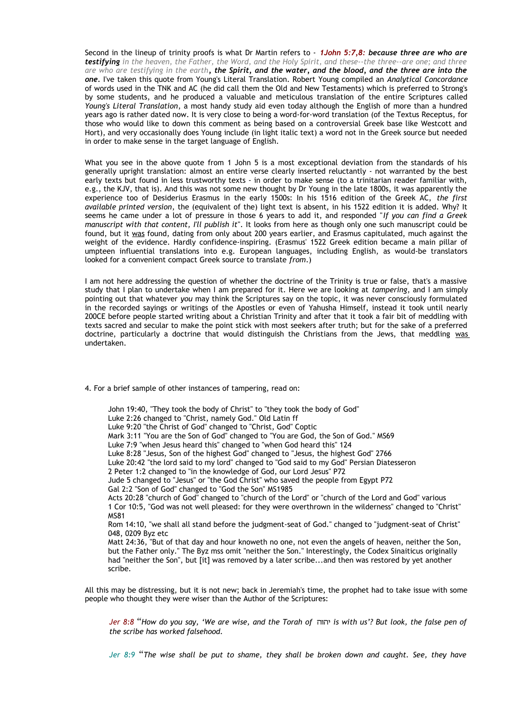Second in the lineup of trinity proofs is what Dr Martin refers to - *1John 5:7,8: because three are who are testifying in the heaven, the Father, the Word, and the Holy Spirit, and these--the three--are one; and three are who are testifying in the earth, the Spirit, and the water, and the blood, and the three are into the one.* I've taken this quote from Young's Literal Translation. Robert Young compiled an *Analytical Concordance* of words used in the TNK and AC (he did call them the Old and New Testaments) which is preferred to Strong's by some students, and he produced a valuable and meticulous translation of the entire Scriptures called *Young's Literal Translation*, a most handy study aid even today although the English of more than a hundred years ago is rather dated now. It is very close to being a word-for-word translation (of the Textus Receptus, for those who would like to down this comment as being based on a controversial Greek base like Westcott and Hort), and very occasionally does Young include (in light italic text) a word not in the Greek source but needed in order to make sense in the target language of English.

What you see in the above quote from 1 John 5 is a most exceptional deviation from the standards of his generally upright translation: almost an entire verse clearly inserted reluctantly - not warranted by the best early texts but found in less trustworthy texts - in order to make sense (to a trinitarian reader familiar with, e.g., the KJV, that is). And this was not some new thought by Dr Young in the late 1800s, it was apparently the experience too of Desiderius Erasmus in the early 1500s: In his 1516 edition of the Greek AC, *the first available printed version*, the (equivalent of the) light text is absent, in his 1522 edition it is added. Why? It seems he came under a lot of pressure in those 6 years to add it, and responded "*If you can find a Greek manuscript with that content, I'll publish it*". It looks from here as though only one such manuscript could be found, but it was found, dating from only about 200 years earlier, and Erasmus capitulated, much against the weight of the evidence. Hardly confidence-inspiring. (Erasmus' 1522 Greek edition became a main pillar of umpteen influential translations into e.g. European languages, including English, as would-be translators looked for a convenient compact Greek source to translate *from*.)

I am not here addressing the question of whether the doctrine of the Trinity is true or false, that's a massive study that I plan to undertake when I am prepared for it. Here we are looking at *tampering*, and I am simply pointing out that whatever *you* may think the Scriptures say on the topic, it was never consciously formulated in the recorded sayings or writings of the Apostles or even of Yahusha Himself, instead it took until nearly 200CE before people started writing about a Christian Trinity and after that it took a fair bit of meddling with texts sacred and secular to make the point stick with most seekers after truth; but for the sake of a preferred doctrine, particularly a doctrine that would distinguish the Christians from the Jews, that meddling was undertaken.

4. For a brief sample of other instances of tampering, read on:

scribe.

John 19:40, "They took the body of Christ" to "they took the body of God" Luke 2:26 changed to "Christ, namely God." Old Latin ff Luke 9:20 "the Christ of God" changed to "Christ, God" Coptic Mark 3:11 "You are the Son of God" changed to "You are God, the Son of God." MS69 Luke 7:9 "when Jesus heard this" changed to "when God heard this" 124 Luke 8:28 "Jesus, Son of the highest God" changed to "Jesus, the highest God" 2766 Luke 20:42 "the lord said to my lord" changed to "God said to my God" Persian Diatesseron 2 Peter 1:2 changed to "in the knowledge of God, our Lord Jesus" P72 Jude 5 changed to "Jesus" or "the God Christ" who saved the people from Egypt P72 Gal 2:2 "Son of God" changed to "God the Son" MS1985 Acts 20:28 "church of God" changed to "church of the Lord" or "church of the Lord and God" various 1 Cor 10:5, "God was not well pleased: for they were overthrown in the wilderness" changed to "Christ" MS81 Rom 14:10, "we shall all stand before the judgment-seat of God." changed to "judgment-seat of Christ" 048, 0209 Byz etc Matt 24:36, "But of that day and hour knoweth no one, not even the angels of heaven, neither the Son, but the Father only." The Byz mss omit "neither the Son." Interestingly, the Codex Sinaiticus originally had "neither the Son", but [it] was removed by a later scribe...and then was restored by yet another

All this may be distressing, but it is not new; back in Jeremiah's time, the prophet had to take issue with some people who thought they were wiser than the Author of the Scriptures:

*Jer 8:8* "*How do you say, 'We are wise, and the Torah of* יהוה *is with us'? But look, the false pen of the scribe has worked falsehood.* 

*Jer 8:9* "*The wise shall be put to shame, they shall be broken down and caught. See, they have*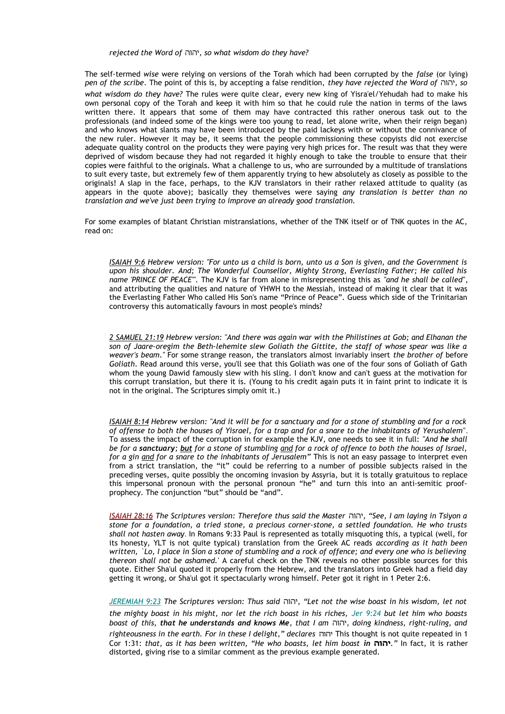#### *rejected the Word of* יהוה*, so what wisdom do they have?*

The self-termed *wise* were relying on versions of the Torah which had been corrupted by the *false* (or lying) *pen of the scribe*. The point of this is, by accepting a false rendition, *they have rejected the Word of* יהוה*, so what wisdom do they have?* The rules were quite clear, every new king of Yisra'el/Yehudah had to make his own personal copy of the Torah and keep it with him so that he could rule the nation in terms of the laws written there. It appears that some of them may have contracted this rather onerous task out to the professionals (and indeed some of the kings were too young to read, let alone write, when their reign began) and who knows what slants may have been introduced by the paid lackeys with or without the connivance of the new ruler. However it may be, it seems that the people commissioning these copyists did not exercise adequate quality control on the products they were paying very high prices for. The result was that they were deprived of wisdom because they had not regarded it highly enough to take the trouble to ensure that their copies were faithful to the originals. What a challenge to us, who are surrounded by a multitude of translations to suit every taste, but extremely few of them apparently trying to hew absolutely as closely as possible to the originals! A slap in the face, perhaps, to the KJV translators in their rather relaxed attitude to quality (as appears in the quote above); basically they themselves were saying *any translation is better than no translation and we've just been trying to improve an already good translation.* 

For some examples of blatant Christian mistranslations, whether of the TNK itself or of TNK quotes in the AC, read on:

*ISAIAH 9:6 Hebrew version: "For unto us a child is born, unto us a Son is given, and the Government is upon his shoulder. And; The Wonderful Counsellor, Mighty Strong, Everlasting Father; He called his name 'PRINCE OF PEACE'".* The KJV is far from alone in misrepresenting this as *"and he shall be called"*, and attributing the qualities and nature of YHWH to the Messiah, instead of making it clear that it was the Everlasting Father Who called His Son's name "Prince of Peace". Guess which side of the Trinitarian controversy this automatically favours in most people's minds?

*2 SAMUEL 21:19 Hebrew version: "And there was again war with the Philistines at Gob; and Elhanan the son of Jaare-oregim the Beth-lehemite slew Goliath the Gittite, the staff of whose spear was like a weaver's beam."* For some strange reason, the translators almost invariably insert *the brother of* before *Goliath*. Read around this verse, you'll see that this Goliath was one of the four sons of Goliath of Gath whom the young Dawid famously slew with his sling. I don't know and can't guess at the motivation for this corrupt translation, but there it is. (Young to his credit again puts it in faint print to indicate it is not in the original. The Scriptures simply omit it.)

*ISAIAH 8:14 Hebrew version: "And it will be for a sanctuary and for a stone of stumbling and for a rock of offense to both the houses of Yisrael, for a trap and for a snare to the inhabitants of Yerushalem"*. To assess the impact of the corruption in for example the KJV, one needs to see it in full: *"And he shall be for a sanctuary; but for a stone of stumbling and for a rock of offence to both the houses of Israel, for a gin and for a snare to the inhabitants of Jerusalem"* This is not an easy passage to interpret even from a strict translation, the "it" could be referring to a number of possible subjects raised in the preceding verses, quite possibly the oncoming invasion by Assyria, but it is totally gratuitous to replace this impersonal pronoun with the personal pronoun "he" and turn this into an anti-semitic proofprophecy. The conjunction "but" should be "and".

*ISAIAH 28:16 The Scriptures version: Therefore thus said the Master* יהוה*," See, I am laying in Tsiyon a stone for a foundation, a tried stone, a precious corner-stone, a settled foundation. He who trusts shall not hasten away*. In Romans 9:33 Paul is represented as totally misquoting this, a typical (well, for its honesty, YLT is not quite typical) translation from the Greek AC reads *according as it hath been written, `Lo, I place in Sion a stone of stumbling and a rock of offence; and every one who is believing thereon shall not be ashamed.*' A careful check on the TNK reveals no other possible sources for this quote. Either Sha'ul quoted it properly from the Hebrew, and the translators into Greek had a field day getting it wrong, or Sha'ul got it spectacularly wrong himself. Peter got it right in 1 Peter 2:6.

*JEREMIAH 9:23 The Scriptures version: Thus said* יהוה*," Let not the wise boast in his wisdom, let not the mighty boast in his might, nor let the rich boast in his riches, Jer 9:24 but let him who boasts boast of this, that he understands and knows Me, that I am* יהוה*, doing kindness, right-ruling, and righteousness in the earth. For in these I delight," declares* יהוה This thought is not quite repeated in 1 Cor 1:31: *that, as it has been written, "He who boasts, let him boast in* **יהוה***. "*In fact, it is rather distorted, giving rise to a similar comment as the previous example generated.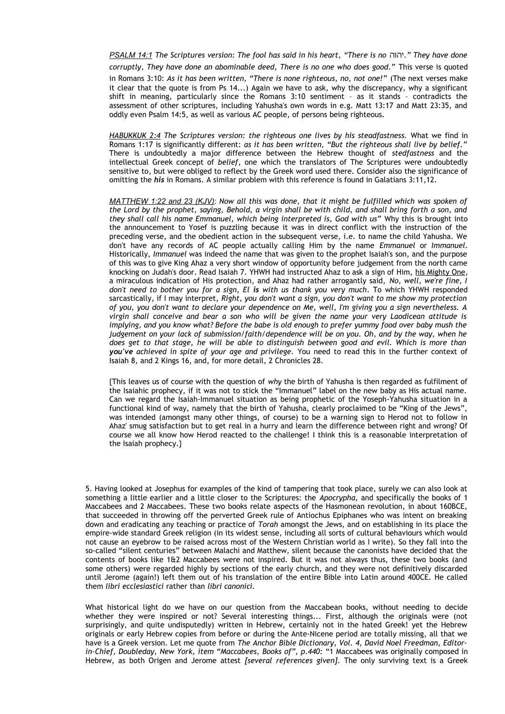*PSALM 14:1 The Scriptures version: The fool has said in his heart, "There is no* יהוה*. "They have done corruptly, They have done an abominable deed, There is no one who does good."* This verse is quoted

in Romans 3:10: *As it has been written, "There is none righteous, no, not one!"* (The next verses make it clear that the quote is from Ps 14...) Again we have to ask, why the discrepancy, why a significant shift in meaning, particularly since the Romans 3:10 sentiment – as it stands – contradicts the assessment of other scriptures, including Yahusha's own words in e.g. Matt 13:17 and Matt 23:35, and oddly even Psalm 14:5, as well as various AC people, of persons being righteous.

*HABUKKUK 2:4 The Scriptures version: the righteous one lives by his steadfastness.* What we find in Romans 1:17 is significantly different: *as it has been written, "But the righteous shall live by belief."* There is undoubtedly a major difference between the Hebrew thought of *stedfastness* and the intellectual Greek concept of *belief*, one which the translators of The Scriptures were undoubtedly sensitive to, but were obliged to reflect by the Greek word used there. Consider also the significance of omitting the *his* in Romans. A similar problem with this reference is found in Galatians 3:11,12.

*MATTHEW 1:22 and 23 (KJV)*: *Now all this was done, that it might be fulfilled which was spoken of the Lord by the prophet, saying, Behold, a virgin shall be with child, and shall bring forth a son, and they shall call his name Emmanuel, which being interpreted is, God with us"* Why this is brought into the announcement to Yosef is puzzling because it was in direct conflict with the instruction of the preceding verse, and the obedient action in the subsequent verse, i.e. to name the child Yahusha. We don't have any records of AC people actually calling Him by the name *Emmanuel* or *Immanuel.* Historically, *Immanuel* was indeed the name that was given to the prophet Isaiah's son, and the purpose of this was to give King Ahaz a very short window of opportunity before judgement from the north came knocking on Judah's door. Read Isaiah 7. YHWH had instructed Ahaz to ask a sign of Him, his Mighty One, a miraculous indication of His protection, and Ahaz had rather arrogantly said, *No, well, we're fine, I don't need to bother you for a sign, El is with us thank you very much*. To which YHWH responded sarcastically, if I may interpret, *Right, you don't want a sign, you don't want to me show my protection of you, you don't want to declare your dependence on Me, well, I'm giving you a sign nevertheless. A virgin shall conceive and bear a son who will be given the name your very Laodicean attitude is implying, and you know what? Before the babe is old enough to prefer yummy food over baby mush the judgement on your lack of submission/faith/dependence will be on you. Oh, and by the way, when he does get to that stage, he will be able to distinguish between good and evil. Which is more than you've achieved in spite of your age and privilege.* You need to read this in the further context of Isaiah 8, and 2 Kings 16, and, for more detail, 2 Chronicles 28.

{This leaves us of course with the question of *why* the birth of Yahusha is then regarded as fulfilment of the Isaiahic prophecy, if it was not to stick the "Immanuel" label on the new baby as His actual name. Can we regard the Isaiah-Immanuel situation as being prophetic of the Yoseph-Yahusha situation in a functional kind of way, namely that the birth of Yahusha, clearly proclaimed to be "King of the Jews", was intended (amongst many other things, of course) to be a warning sign to Herod not to follow in Ahaz' smug satisfaction but to get real in a hurry and learn the difference between right and wrong? Of course we all know how Herod reacted to the challenge! I think this is a reasonable interpretation of the Isaiah prophecy.}

5. Having looked at Josephus for examples of the kind of tampering that took place, surely we can also look at something a little earlier and a little closer to the Scriptures: the *Apocrypha,* and specifically the books of 1 Maccabees and 2 Maccabees. These two books relate aspects of the Hasmonean revolution, in about 160BCE, that succeeded in throwing off the perverted Greek rule of Antiochus Epiphanes who was intent on breaking down and eradicating any teaching or practice of *Torah* amongst the Jews, and on establishing in its place the empire-wide standard Greek religion (in its widest sense, including all sorts of cultural behaviours which would not cause an eyebrow to be raised across most of the Western Christian world as I write). So they fall into the so-called "silent centuries" between Malachi and Matthew, silent because the canonists have decided that the contents of books like 1&2 Maccabees were not inspired. But it was not always thus, these two books (and some others) were regarded highly by sections of the early church, and they were not definitively discarded until Jerome (again!) left them out of his translation of the entire Bible into Latin around 400CE. He called them *libri ecclesiastici* rather than *libri canonici.*

What historical light do we have on our question from the Maccabean books, without needing to decide whether they were inspired or not? Several interesting things... First, although the originals were (not surprisingly, and quite undisputedly) written in Hebrew, certainly not in the hated Greek! yet the Hebrew originals or early Hebrew copies from before or during the Ante-Nicene period are totally missing, all that we have is a Greek version. Let me quote from *The Anchor Bible Dictionary, Vol. 4, David Noel Freedman, Editorin-Chief, Doubleday, New York, item "Maccabees, Books of", p.440:* "1 Maccabees was originally composed in Hebrew, as both Origen and Jerome attest *[several references given]*. The only surviving text is a Greek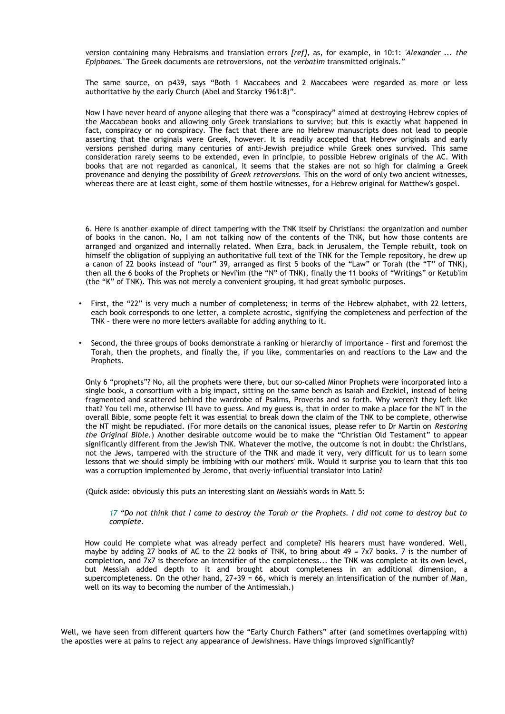version containing many Hebraisms and translation errors *[ref],* as, for example, in 10:1: *'Alexander ... the Epiphanes.'* The Greek documents are retroversions, not the *verbatim* transmitted originals."

The same source, on p439, says "Both 1 Maccabees and 2 Maccabees were regarded as more or less authoritative by the early Church (Abel and Starcky 1961:8)".

Now I have never heard of anyone alleging that there was a "conspiracy" aimed at destroying Hebrew copies of the Maccabean books and allowing only Greek translations to survive; but this is exactly what happened in fact, conspiracy or no conspiracy. The fact that there are no Hebrew manuscripts does not lead to people asserting that the originals were Greek, however. It is readily accepted that Hebrew originals and early versions perished during many centuries of anti-Jewish prejudice while Greek ones survived. This same consideration rarely seems to be extended, even in principle, to possible Hebrew originals of the AC. With books that are not regarded as canonical, it seems that the stakes are not so high for claiming a Greek provenance and denying the possibility of *Greek retroversions.* This on the word of only two ancient witnesses, whereas there are at least eight, some of them hostile witnesses, for a Hebrew original for Matthew's gospel.

6. Here is another example of direct tampering with the TNK itself by Christians: the organization and number of books in the canon. No, I am not talking now of the contents of the TNK, but how those contents are arranged and organized and internally related. When Ezra, back in Jerusalem, the Temple rebuilt, took on himself the obligation of supplying an authoritative full text of the TNK for the Temple repository, he drew up a canon of 22 books instead of "our" 39, arranged as first 5 books of the "Law" or Torah (the "T" of TNK), then all the 6 books of the Prophets or Nevi'im (the "N" of TNK), finally the 11 books of "Writings" or Ketub'im (the "K" of TNK). This was not merely a convenient grouping, it had great symbolic purposes.

- First, the "22" is very much a number of completeness; in terms of the Hebrew alphabet, with 22 letters, each book corresponds to one letter, a complete acrostic, signifying the completeness and perfection of the TNK – there were no more letters available for adding anything to it.
- Second, the three groups of books demonstrate a ranking or hierarchy of importance first and foremost the Torah, then the prophets, and finally the, if you like, commentaries on and reactions to the Law and the Prophets.

Only 6 "prophets"? No, all the prophets were there, but our so-called Minor Prophets were incorporated into a single book, a consortium with a big impact, sitting on the same bench as Isaiah and Ezekiel, instead of being fragmented and scattered behind the wardrobe of Psalms, Proverbs and so forth. Why weren't they left like that? You tell me, otherwise I'll have to guess. And my guess is, that in order to make a place for the NT in the overall Bible, some people felt it was essential to break down the claim of the TNK to be complete, otherwise the NT might be repudiated. (For more details on the canonical issues, please refer to Dr Martin on *Restoring the Original Bible.*) Another desirable outcome would be to make the "Christian Old Testament" to appear significantly different from the Jewish TNK. Whatever the motive, the outcome is not in doubt: the Christians, not the Jews, tampered with the structure of the TNK and made it very, very difficult for us to learn some lessons that we should simply be imbibing with our mothers' milk. Would it surprise you to learn that this too was a corruption implemented by Jerome, that overly-influential translator into Latin?

(Quick aside: obviously this puts an interesting slant on Messiah's words in Matt 5:

*17 "Do not think that I came to destroy the Torah or the Prophets. I did not come to destroy but to complete.* 

How could He complete what was already perfect and complete? His hearers must have wondered. Well, maybe by adding 27 books of AC to the 22 books of TNK, to bring about 49 = 7x7 books. 7 is the number of completion, and 7x7 is therefore an intensifier of the completeness... the TNK was complete at its own level, but Messiah added depth to it and brought about completeness in an additional dimension, a supercompleteness. On the other hand,  $27+39 = 66$ , which is merely an intensification of the number of Man, well on its way to becoming the number of the Antimessiah.)

Well, we have seen from different quarters how the "Early Church Fathers" after (and sometimes overlapping with) the apostles were at pains to reject any appearance of Jewishness. Have things improved significantly?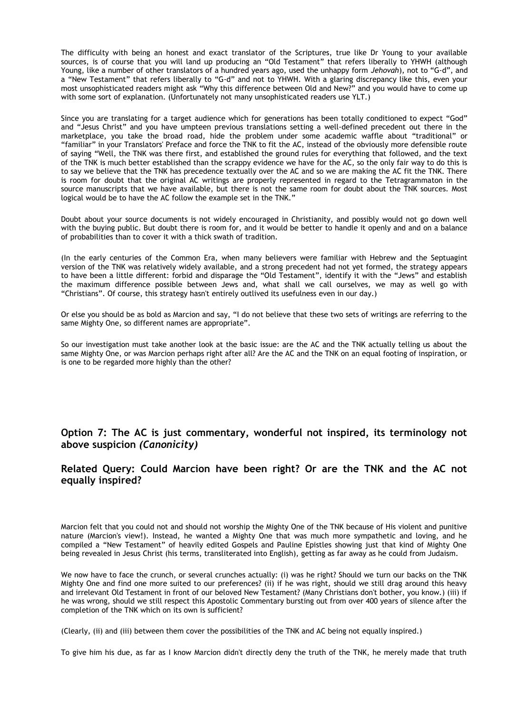The difficulty with being an honest and exact translator of the Scriptures, true like Dr Young to your available sources, is of course that you will land up producing an "Old Testament" that refers liberally to YHWH (although Young, like a number of other translators of a hundred years ago, used the unhappy form *Jehovah*), not to "G-d", and a "New Testament" that refers liberally to "G-d" and not to YHWH. With a glaring discrepancy like this, even your most unsophisticated readers might ask "Why this difference between Old and New?" and you would have to come up with some sort of explanation. (Unfortunately not many unsophisticated readers use YLT.)

Since you are translating for a target audience which for generations has been totally conditioned to expect "God" and "Jesus Christ" and you have umpteen previous translations setting a well-defined precedent out there in the marketplace, you take the broad road, hide the problem under some academic waffle about "traditional" or "familiar" in your Translators' Preface and force the TNK to fit the AC, instead of the obviously more defensible route of saying "Well, the TNK was there first, and established the ground rules for everything that followed, and the text of the TNK is much better established than the scrappy evidence we have for the AC, so the only fair way to do this is to say we believe that the TNK has precedence textually over the AC and so we are making the AC fit the TNK. There is room for doubt that the original AC writings are properly represented in regard to the Tetragrammaton in the source manuscripts that we have available, but there is not the same room for doubt about the TNK sources. Most logical would be to have the AC follow the example set in the TNK."

Doubt about your source documents is not widely encouraged in Christianity, and possibly would not go down well with the buying public. But doubt there is room for, and it would be better to handle it openly and and on a balance of probabilities than to cover it with a thick swath of tradition.

(In the early centuries of the Common Era, when many believers were familiar with Hebrew and the Septuagint version of the TNK was relatively widely available, and a strong precedent had not yet formed, the strategy appears to have been a little different: forbid and disparage the "Old Testament", identify it with the "Jews" and establish the maximum difference possible between Jews and, what shall we call ourselves, we may as well go with "Christians". Of course, this strategy hasn't entirely outlived its usefulness even in our day.)

Or else you should be as bold as Marcion and say, "I do not believe that these two sets of writings are referring to the same Mighty One, so different names are appropriate".

So our investigation must take another look at the basic issue: are the AC and the TNK actually telling us about the same Mighty One, or was Marcion perhaps right after all? Are the AC and the TNK on an equal footing of inspiration, or is one to be regarded more highly than the other?

**Option 7: The AC is just commentary, wonderful not inspired, its terminology not above suspicion** *(Canonicity)*

### **Related Query: Could Marcion have been right? Or are the TNK and the AC not equally inspired?**

Marcion felt that you could not and should not worship the Mighty One of the TNK because of His violent and punitive nature (Marcion's view!). Instead, he wanted a Mighty One that was much more sympathetic and loving, and he compiled a "New Testament" of heavily edited Gospels and Pauline Epistles showing just that kind of Mighty One being revealed in Jesus Christ (his terms, transliterated into English), getting as far away as he could from Judaism.

We now have to face the crunch, or several crunches actually: (i) was he right? Should we turn our backs on the TNK Mighty One and find one more suited to our preferences? (ii) if he was right, should we still drag around this heavy and irrelevant Old Testament in front of our beloved New Testament? (Many Christians don't bother, you know.) (iii) if he was wrong, should we still respect this Apostolic Commentary bursting out from over 400 years of silence after the completion of the TNK which on its own is sufficient?

(Clearly, (ii) and (iii) between them cover the possibilities of the TNK and AC being not equally inspired.)

To give him his due, as far as I know Marcion didn't directly deny the truth of the TNK, he merely made that truth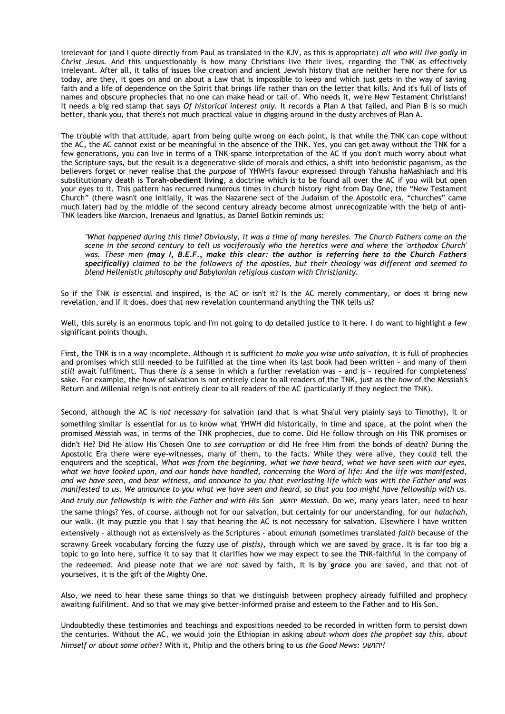irrelevant for (and I quote directly from Paul as translated in the KJV, as this is appropriate) *all who will live godly in Christ Jesus.* And this unquestionably is how many Christians live their lives, regarding the TNK as effectively irrelevant. After all, it talks of issues like creation and ancient Jewish history that are neither here nor there for us today, are they, it goes on and on about a Law that is impossible to keep and which just gets in the way of saving faith and a life of dependence on the Spirit that brings life rather than on the letter that kills. And it's full of lists of names and obscure prophecies that no one can make head or tail of. Who needs it, we're New Testament Christians! It needs a big red stamp that says *Of historical interest only.* It records a Plan A that failed, and Plan B is so much better, thank you, that there's not much practical value in digging around in the dusty archives of Plan A.

The trouble with that attitude, apart from being quite wrong on each point, is that while the TNK can cope without the AC, the AC cannot exist or be meaningful in the absence of the TNK. Yes, you can get away without the TNK for a few generations, you can live in terms of a TNK-sparse interpretation of the AC if you don't much worry about what the Scripture says, but the result is a degenerative slide of morals and ethics, a shift into hedonistic paganism, as the believers forget or never realise that the *purpose* of YHWH's favour expressed through Yahusha haMashiach and His substitutionary death is **Torah-obedient living**, a doctrine which is to be found all over the AC if you will but open your eyes to it. This pattern has recurred numerous times in church history right from Day One, the "New Testament Church" (there wasn't one initially, it was the Nazarene sect of the Judaism of the Apostolic era, "churches" came much later) had by the middle of the second century already become almost unrecognizable with the help of anti-TNK leaders like Marcion, Irenaeus and Ignatius, as Daniel Botkin reminds us:

*"What happened during this time? Obviously, it was a time of many heresies. The Church Fathers come on the scene in the second century to tell us vociferously who the heretics were and where the 'orthodox Church' was. These men (may I, B.E.F., make this clear: the author is referring here to the Church Fathers specifically) claimed to be the followers of the apostles, but their theology was different and seemed to blend Hellenistic philosophy and Babylonian religious custom with Christianity.*

So if the TNK *is* essential and inspired, is the AC or isn't it? Is the AC merely commentary, or does it bring new revelation, and if it does, does that new revelation countermand anything the TNK tells us?

Well, this surely is an enormous topic and I'm not going to do detailed justice to it here. I do want to highlight a few significant points though.

First, the TNK is in a way incomplete. Although it is sufficient *to make you wise unto salvation*, it is full of prophecies and promises which still needed to be fulfilled at the time when its last book had been written – and many of them *still* await fulfilment. Thus there *is* a sense in which a further revelation was – and is – required for completeness' sake. For example, the *how* of salvation is not entirely clear to all readers of the TNK, just as the *how* of the Messiah's Return and Millenial reign is not entirely clear to all readers of the AC (particularly if they neglect the TNK).

Second, although the AC is *not necessary* for salvation (and that is what Sha'ul very plainly says to Timothy), it or something similar *is* essential for us to know what YHWH did historically, in time and space, at the point when the promised Messiah was, in terms of the TNK prophecies, due to come. Did He follow through on His TNK promises or didn't He? Did He allow His Chosen One to *see corruption* or did He free Him from the bonds of death? During the Apostolic Era there were eye-witnesses, many of them, to the facts. While they were alive, they could tell the enquirers and the sceptical, *What was from the beginning, what we have heard, what we have seen with our eyes, what we have looked upon, and our hands have handled, concerning the Word of life: And the life was manifested, and we have seen, and bear witness, and announce to you that everlasting life which was with the Father and was manifested to us. We announce to you what we have seen and heard, so that you too might have fellowship with us. And truly our fellowship is with the Father and with His Son* יהושע *Messiah.* Do we, many years later, need to hear

the same things? Yes, of course, although not for our salvation, but certainly for our understanding, for our *halachah,* our walk. (It may puzzle you that I say that hearing the AC is not necessary for salvation. Elsewhere I have written extensively – although not as extensively as the Scriptures - about *emunah* (sometimes translated *faith* because of the

scrawny Greek vocabulary forcing the fuzzy use of *pistis),* through which we are saved by grace. It is far too big a topic to go into here, suffice it to say that it clarifies how we may expect to see the TNK-faithful in the company of the redeemed. And please note that we are *not* saved by faith, it is **by** *grace* you are saved, and that not of yourselves, it is the gift of the Mighty One.

Also, we need to hear these same things so that we distinguish between prophecy already fulfilled and prophecy awaiting fulfilment. And so that we may give better-informed praise and esteem to the Father and to His Son.

Undoubtedly these testimonies and teachings and expositions needed to be recorded in written form to persist down the centuries. Without the AC, we would join the Ethiopian in asking *about whom does the prophet say this, about himself or about some other?* With it, Philip and the others bring to us *the Good News:* יהושע*!*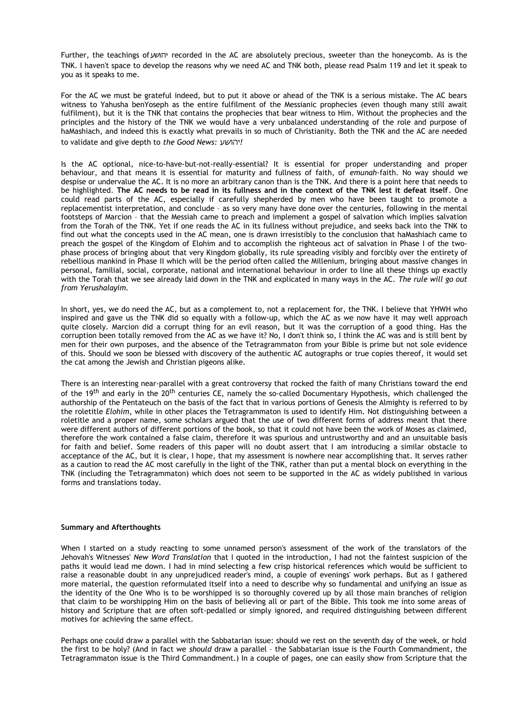Further, the teachings of יהושע recorded in the AC are absolutely precious, sweeter than the honeycomb. As is the TNK. I haven't space to develop the reasons why we need AC and TNK both, please read Psalm 119 and let it speak to you as it speaks to me.

For the AC we must be grateful indeed, but to put it above or ahead of the TNK is a serious mistake. The AC bears witness to Yahusha benYoseph as the entire fulfilment of the Messianic prophecies (even though many still await fulfilment), but it is the TNK that contains the prophecies that bear witness to Him. Without the prophecies and the principles and the history of the TNK we would have a very unbalanced understanding of the role and purpose of haMashiach, and indeed this is exactly what prevails in so much of Christianity. Both the TNK and the AC are needed to validate and give depth to *the Good News:* יהושע*!*

Is the AC optional, nice-to-have-but-not-really-essential? It is essential for proper understanding and proper behaviour, and that means it is essential for maturity and fullness of faith, of *emunah-*faith. No way should we despise or undervalue the AC. It is no more an arbitrary canon than is the TNK. And there is a point here that needs to be highlighted. **The AC needs to be read in its fullness and in the context of the TNK lest it defeat itself**. One could read parts of the AC, especially if carefully shepherded by men who have been taught to promote a replacementist interpretation, and conclude – as so very many have done over the centuries, following in the mental footsteps of Marcion – that the Messiah came to preach and implement a gospel of salvation which implies salvation from the Torah of the TNK. Yet if one reads the AC in its fullness without prejudice, and seeks back into the TNK to find out what the concepts used in the AC mean, one is drawn irresistibly to the conclusion that haMashiach came to preach the gospel of the Kingdom of Elohim and to accomplish the righteous act of salvation in Phase I of the twophase process of bringing about that very Kingdom globally, its rule spreading visibly and forcibly over the entirety of rebellious mankind in Phase II which will be the period often called the Millenium, bringing about massive changes in personal, familial, social, corporate, national and international behaviour in order to line all these things up exactly with the Torah that we see already laid down in the TNK and explicated in many ways in the AC. *The rule will go out from Yerushalayim.*

In short, yes, we do need the AC, but as a complement to, not a replacement for, the TNK. I believe that YHWH who inspired and gave us the TNK did so equally with a follow-up, which the AC as we now have it may well approach quite closely. Marcion did a corrupt thing for an evil reason, but it was the corruption of a good thing. Has the corruption been totally removed from the AC as we have it? No, I don't think so, I think the AC was and is still bent by men for their own purposes, and the absence of the Tetragrammaton from your Bible is prime but not sole evidence of this. Should we soon be blessed with discovery of the authentic AC autographs or true copies thereof, it would set the cat among the Jewish and Christian pigeons alike.

There is an interesting near-parallel with a great controversy that rocked the faith of many Christians toward the end of the 19<sup>th</sup> and early in the 20<sup>th</sup> centuries CE, namely the so-called Documentary Hypothesis, which challenged the authorship of the Pentateuch on the basis of the fact that in various portions of Genesis the Almighty is referred to by the roletitle *Elohim*, while in other places the Tetragrammaton is used to identify Him. Not distinguishing between a roletitle and a proper name, some scholars argued that the use of two different forms of address meant that there were different authors of different portions of the book, so that it could not have been the work of Moses as claimed, therefore the work contained a false claim, therefore it was spurious and untrustworthy and and an unsuitable basis for faith and belief. Some readers of this paper will no doubt assert that I am introducing a similar obstacle to acceptance of the AC, but it is clear, I hope, that my assessment is nowhere near accomplishing that. It serves rather as a caution to read the AC most carefully in the light of the TNK, rather than put a mental block on everything in the TNK (including the Tetragrammaton) which does not seem to be supported in the AC as widely published in various forms and translations today.

### **Summary and Afterthoughts**

When I started on a study reacting to some unnamed person's assessment of the work of the translators of the Jehovah's Witnesses' *New Word Translation* that I quoted in the introduction*,* I had not the faintest suspicion of the paths it would lead me down. I had in mind selecting a few crisp historical references which would be sufficient to raise a reasonable doubt in any unprejudiced reader's mind, a couple of evenings' work perhaps. But as I gathered more material, the question reformulated itself into a need to describe why so fundamental and unifying an issue as the identity of the One Who is to be worshipped is so thoroughly covered up by all those main branches of religion that claim to be worshipping Him on the basis of believing all or part of the Bible. This took me into some areas of history and Scripture that are often soft-pedalled or simply ignored, and required distinguishing between different motives for achieving the same effect.

Perhaps one could draw a parallel with the Sabbatarian issue: should we rest on the seventh day of the week, or hold the first to be holy? (And in fact we *should* draw a parallel – the Sabbatarian issue is the Fourth Commandment, the Tetragrammaton issue is the Third Commandment.) In a couple of pages, one can easily show from Scripture that the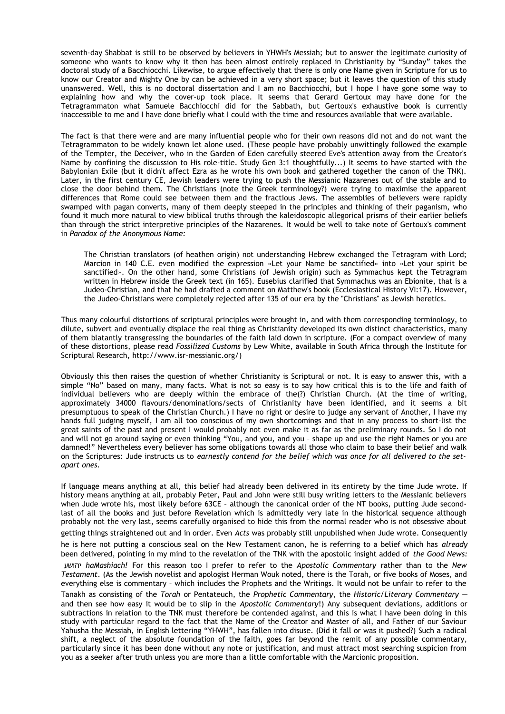seventh-day Shabbat is still to be observed by believers in YHWH's Messiah; but to answer the legitimate curiosity of someone who wants to know why it then has been almost entirely replaced in Christianity by "Sunday" takes the doctoral study of a Bacchiocchi. Likewise, to argue effectively that there is only one Name given in Scripture for us to know our Creator and Mighty One by can be achieved in a very short space; but it leaves the question of this study unanswered. Well, this is no doctoral dissertation and I am no Bacchiocchi, but I hope I have gone some way to explaining how and why the cover-up took place. It seems that Gerard Gertoux may have done for the Tetragrammaton what Samuele Bacchiocchi did for the Sabbath, but Gertoux's exhaustive book is currently inaccessible to me and I have done briefly what I could with the time and resources available that were available.

The fact is that there were and are many influential people who for their own reasons did not and do not want the Tetragrammaton to be widely known let alone used. (These people have probably unwittingly followed the example of the Tempter, the Deceiver, who in the Garden of Eden carefully steered Eve's attention away from the Creator's Name by confining the discussion to His role-title. Study Gen 3:1 thoughtfully...) It seems to have started with the Babylonian Exile (but it didn't affect Ezra as he wrote his own book and gathered together the canon of the TNK). Later, in the first century CE, Jewish leaders were trying to push the Messianic Nazarenes out of the stable and to close the door behind them. The Christians (note the Greek terminology?) were trying to maximise the apparent differences that Rome could see between them and the fractious Jews. The assemblies of believers were rapidly swamped with pagan converts, many of them deeply steeped in the principles and thinking of their paganism, who found it much more natural to view biblical truths through the kaleidoscopic allegorical prisms of their earlier beliefs than through the strict interpretive principles of the Nazarenes. It would be well to take note of Gertoux's comment in *Paradox of the Anonymous Name:*

The Christian translators (of heathen origin) not understanding Hebrew exchanged the Tetragram with Lord; Marcion in 140 C.E. even modified the expression «Let your Name be sanctified» into «Let your spirit be sanctified». On the other hand, some Christians (of Jewish origin) such as Symmachus kept the Tetragram written in Hebrew inside the Greek text (in 165). Eusebius clarified that Symmachus was an Ebionite, that is a Judeo-Christian, and that he had drafted a comment on Matthew's book (Ecclesiastical History VI:17). However, the Judeo-Christians were completely rejected after 135 of our era by the "Christians" as Jewish heretics.

Thus many colourful distortions of scriptural principles were brought in, and with them corresponding terminology, to dilute, subvert and eventually displace the real thing as Christianity developed its own distinct characteristics, many of them blatantly transgressing the boundaries of the faith laid down in scripture. (For a compact overview of many of these distortions, please read *Fossilized Customs* by Lew White, available in South Africa through the Institute for Scriptural Research, http://www.isr-messianic.org/)

Obviously this then raises the question of whether Christianity is Scriptural or not. It is easy to answer this, with a simple "No" based on many, many facts. What is not so easy is to say how critical this is to the life and faith of individual believers who are deeply within the embrace of the(?) Christian Church. (At the time of writing, approximately 34000 flavours/denominations/sects of Christianity have been identified, and it seems a bit presumptuous to speak of **the** Christian Church.) I have no right or desire to judge any servant of Another, I have my hands full judging myself, I am all too conscious of my own shortcomings and that in any process to short-list the great saints of the past and present I would probably not even make it as far as the preliminary rounds. So I do not and will not go around saying or even thinking "You, and you, and you – shape up and use the right Names or you are damned!" Nevertheless every believer has some obligations towards all those who claim to base their belief and walk on the Scriptures: Jude instructs us to *earnestly contend for the belief which was once for all delivered to the setapart ones.*

If language means anything at all, this belief had already been delivered in its entirety by the time Jude wrote. If history means anything at all, probably Peter, Paul and John were still busy writing letters to the Messianic believers when Jude wrote his, most likely before 63CE – although the canonical order of the NT books, putting Jude secondlast of all the books and just before Revelation which is admittedly very late in the historical sequence although probably not the very last, seems carefully organised to hide this from the normal reader who is not obsessive about getting things straightened out and in order. Even *Acts* was probably still unpublished when Jude wrote. Consequently

he is here not putting a conscious seal on the New Testament canon, he is referring to a belief which has *already* been delivered, pointing in my mind to the revelation of the TNK with the apostolic insight added of *the Good News:* יהושע *haMashiach!* For this reason too I prefer to refer to the *Apostolic Commentary* rather than to the *New Testament*. (As the Jewish novelist and apologist Herman Wouk noted, there is the Torah, or five books of Moses, and everything else is commentary – which includes the Prophets and the Writings. It would not be unfair to refer to the Tanakh as consisting of the *Torah* or Pentateuch, the *Prophetic Commentary*, the *Historic/Literary Commentary* – and then see how easy it would be to slip in the *Apostolic Commentary*!) Any subsequent deviations, additions or

subtractions in relation to the TNK must therefore be contended against, and this is what I have been doing in this study with particular regard to the fact that the Name of the Creator and Master of all, and Father of our Saviour Yahusha the Messiah, in English lettering "YHWH", has fallen into disuse. (Did it fall or was it pushed?) Such a radical shift, a neglect of the absolute foundation of the faith, goes far beyond the remit of any possible commentary, particularly since it has been done without any note or justification, and must attract most searching suspicion from you as a seeker after truth unless you are more than a little comfortable with the Marcionic proposition.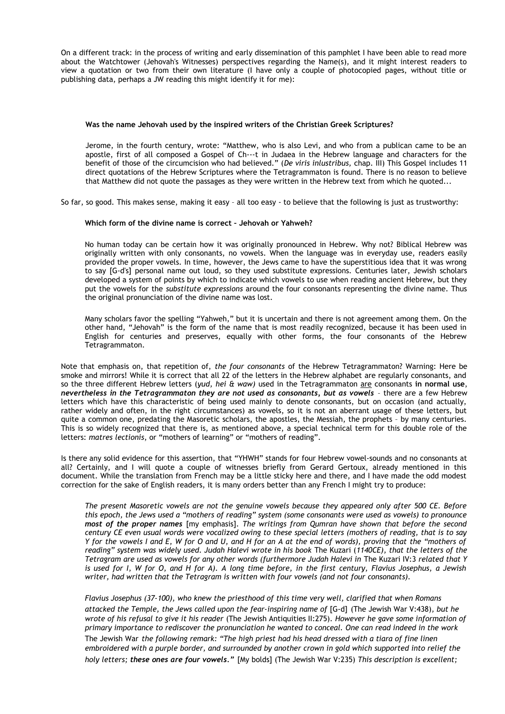On a different track: in the process of writing and early dissemination of this pamphlet I have been able to read more about the Watchtower (Jehovah's Witnesses) perspectives regarding the Name(s), and it might interest readers to view a quotation or two from their own literature (I have only a couple of photocopied pages, without title or publishing data, perhaps a JW reading this might identify it for me):

#### **Was the name Jehovah used by the inspired writers of the Christian Greek Scriptures?**

Jerome, in the fourth century, wrote: "Matthew, who is also Levi, and who from a publican came to be an apostle, first of all composed a Gospel of Ch---t in Judaea in the Hebrew language and characters for the benefit of those of the circumcision who had believed." (*De viris inlustribus,* chap. III) This Gospel includes 11 direct quotations of the Hebrew Scriptures where the Tetragrammaton is found. There is no reason to believe that Matthew did not quote the passages as they were written in the Hebrew text from which he quoted...

So far, so good. This makes sense, making it easy – all too easy - to believe that the following is just as trustworthy:

#### **Which form of the divine name is correct – Jehovah or Yahweh?**

No human today can be certain how it was originally pronounced in Hebrew. Why not? Biblical Hebrew was originally written with only consonants, no vowels. When the language was in everyday use, readers easily provided the proper vowels. In time, however, the Jews came to have the superstitious idea that it was wrong to say [G-d's] personal name out loud, so they used substitute expressions. Centuries later, Jewish scholars developed a system of points by which to indicate which vowels to use when reading ancient Hebrew, but they put the vowels for the *substitute expressions* around the four consonants representing the divine name. Thus the original pronunciation of the divine name was lost.

Many scholars favor the spelling "Yahweh," but it is uncertain and there is not agreement among them. On the other hand, "Jehovah" is the form of the name that is most readily recognized, because it has been used in English for centuries and preserves, equally with other forms, the four consonants of the Hebrew Tetragrammaton.

Note that emphasis on, that repetition of, *the four consonants* of the Hebrew Tetragrammaton? Warning: Here be smoke and mirrors! While it is correct that all 22 of the letters in the Hebrew alphabet are regularly consonants, and so the three different Hebrew letters (*yud, hei & waw)* used in the Tetragrammaton are consonants **in normal use**, *nevertheless in the Tetragrammaton they are not used as consonants, but as vowels* – there are a few Hebrew letters which have this characteristic of being used mainly to denote consonants, but on occasion (and actually, rather widely and often, in the right circumstances) as vowels, so it is not an aberrant usage of these letters, but quite a common one, predating the Masoretic scholars, the apostles, the Messiah, the prophets – by many centuries. This is so widely recognized that there is, as mentioned above, a special technical term for this double role of the letters: *matres lectionis*, or "mothers of learning" or "mothers of reading".

Is there any solid evidence for this assertion, that "YHWH" stands for four Hebrew vowel-sounds and no consonants at all? Certainly, and I will quote a couple of witnesses briefly from Gerard Gertoux, already mentioned in this document. While the translation from French may be a little sticky here and there, and I have made the odd modest correction for the sake of English readers, it is many orders better than any French I might try to produce:

*The present Masoretic vowels are not the genuine vowels because they appeared only after 500 CE. Before this epoch, the Jews used a "mothers of reading" system (some consonants were used as vowels) to pronounce most of the proper names* [my emphasis]*. The writings from Qumran have shown that before the second century CE even usual words were vocalized owing to these special letters (mothers of reading, that is to say Y for the vowels I and E, W for O and U, and H for an A at the end of words), proving that the "mothers of reading" system was widely used. Judah Halevi wrote in his book* The Kuzari (*1140CE), that the letters of the Tetragram are used as vowels for any other words (furthermore Judah Halevi in* The Kuzari IV:3 *related that Y is used for I, W for O, and H for A). A long time before, in the first century, Flavius Josephus, a Jewish writer, had written that the Tetragram is written with four vowels (and not four consonants).*

*Flavius Josephus (37-100), who knew the priesthood of this time very well, clarified that when Romans attacked the Temple, the Jews called upon the fear-inspiring name of* [G-d] (The Jewish War V:438)*, but he wrote of his refusal to give it his reader* (The Jewish Antiquities II:275)*. However he gave some information of primary importance to rediscover the pronunciation he wanted to conceal. One can read indeed in the work* The Jewish War *the following remark: "The high priest had his head dressed with a tiara of fine linen embroidered with a purple border, and surrounded by another crown in gold which supported into relief the holy letters; these ones are four vowels."* [My bolds] (The Jewish War V:235) *This description is excellent;*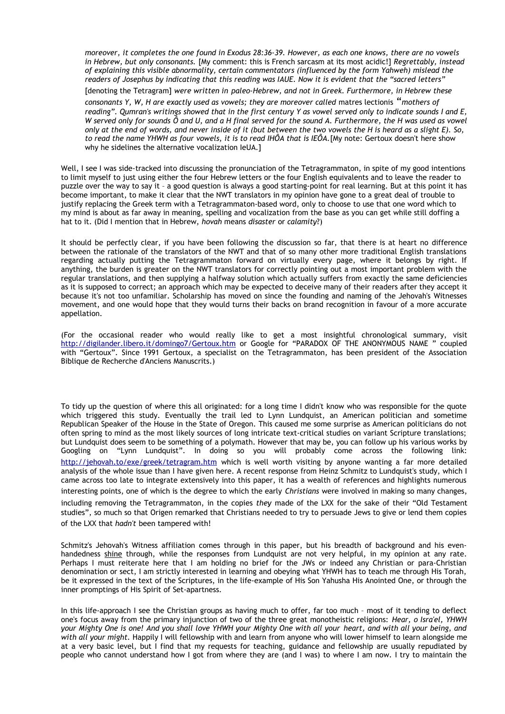*moreover, it completes the one found in Exodus 28:36-39. However, as each one knows, there are no vowels in Hebrew, but only consonants.* [My comment: this is French sarcasm at its most acidic!] *Regrettably, instead of explaining this visible abnormality, certain commentators (influenced by the form Yahweh) mislead the readers of Josephus by indicating that this reading was IAUE. Now it is evident that the "sacred letters"*

[denoting the Tetragram] *were written in paleo-Hebrew, and not in Greek. Furthermore, in Hebrew these*

*consonants Y, W, H are exactly used as vowels; they are moreover called* matres lectionis "*mothers of reading". Qumran's writings showed that in the first century Y as vowel served only to indicate sounds I and E, W served only for sounds Ô and U, and a H final served for the sound A. Furthermore, the H was used as vowel only at the end of words, and never inside of it (but between the two vowels the H is heard as a slight E). So, to read the name YHWH as four vowels, it is to read IHÔA that is IEÔA.*[My note: Gertoux doesn't here show why he sidelines the alternative vocalization IeUA.]

Well, I see I was side-tracked into discussing the pronunciation of the Tetragrammaton, in spite of my good intentions to limit myself to just using either the four Hebrew letters or the four English equivalents and to leave the reader to puzzle over the way to say it – a good question is always a good starting-point for real learning. But at this point it has become important, to make it clear that the NWT translators in my opinion have gone to a great deal of trouble to justify replacing the Greek term with a Tetragrammaton-based word, only to choose to use that one word which to my mind is about as far away in meaning, spelling and vocalization from the base as you can get while still doffing a hat to it. (Did I mention that in Hebrew, *hovah* means *disaster* or *calamity*?)

It should be perfectly clear, if you have been following the discussion so far, that there is at heart no difference between the rationale of the translators of the NWT and that of so many other more traditional English translations regarding actually putting the Tetragrammaton forward on virtually every page, where it belongs by right. If anything, the burden is greater on the NWT translators for correctly pointing out a most important problem with the regular translations, and then supplying a halfway solution which actually suffers from exactly the same deficiencies as it is supposed to correct; an approach which may be expected to deceive many of their readers after they accept it because it's not too unfamiliar. Scholarship has moved on since the founding and naming of the Jehovah's Witnesses movement, and one would hope that they would turns their backs on brand recognition in favour of a more accurate appellation.

(For the occasional reader who would really like to get a most insightful chronological summary, visit <http://digilander.libero.it/domingo7/Gertoux.htm>or Google for "PARADOX OF THE ANONYMOUS NAME " coupled with "Gertoux". Since 1991 Gertoux, a specialist on the Tetragrammaton, has been president of the Association Biblique de Recherche d'Anciens Manuscrits.)

To tidy up the question of where this all originated: for a long time I didn't know who was responsible for the quote which triggered this study. Eventually the trail led to Lynn Lundquist, an American politician and sometime Republican Speaker of the House in the State of Oregon. This caused me some surprise as American politicians do not often spring to mind as the most likely sources of long intricate text-critical studies on variant Scripture translations; but Lundquist does seem to be something of a polymath. However that may be, you can follow up his various works by Googling on "Lynn Lundquist". In doing so you will probably come across the following link: <http://jehovah.to/exe/greek/tetragram.htm> which is well worth visiting by anyone wanting a far more detailed analysis of the whole issue than I have given here. A recent response from Heinz Schmitz to Lundquist's study, which I came across too late to integrate extensively into this paper, it has a wealth of references and highlights numerous interesting points, one of which is the degree to which the early *Christians* were involved in making so many changes, including removing the Tetragrammaton, in the copies *they* made of the LXX for the sake of their "Old Testament studies", so much so that Origen remarked that Christians needed to try to persuade Jews to give or lend them copies of the LXX that *hadn't* been tampered with!

Schmitz's Jehovah's Witness affiliation comes through in this paper, but his breadth of background and his evenhandedness shine through, while the responses from Lundquist are not very helpful, in my opinion at any rate. Perhaps I must reiterate here that I am holding no brief for the JWs or indeed any Christian or para-Christian denomination or sect, I am strictly interested in learning and obeying what YHWH has to teach me through His Torah, be it expressed in the text of the Scriptures, in the life-example of His Son Yahusha His Anointed One, or through the inner promptings of His Spirit of Set-apartness.

In this life-approach I see the Christian groups as having much to offer, far too much - most of it tending to deflect one's focus away from the primary injunction of two of the three great monotheistic religions: *Hear, o Isra'el, YHWH your Mighty One is one! And you shall love YHWH your Mighty One with all your heart, and with all your being, and with all your might.* Happily I will fellowship with and learn from anyone who will lower himself to learn alongside me at a very basic level, but I find that my requests for teaching, guidance and fellowship are usually repudiated by people who cannot understand how I got from where they are (and I was) to where I am now. I try to maintain the